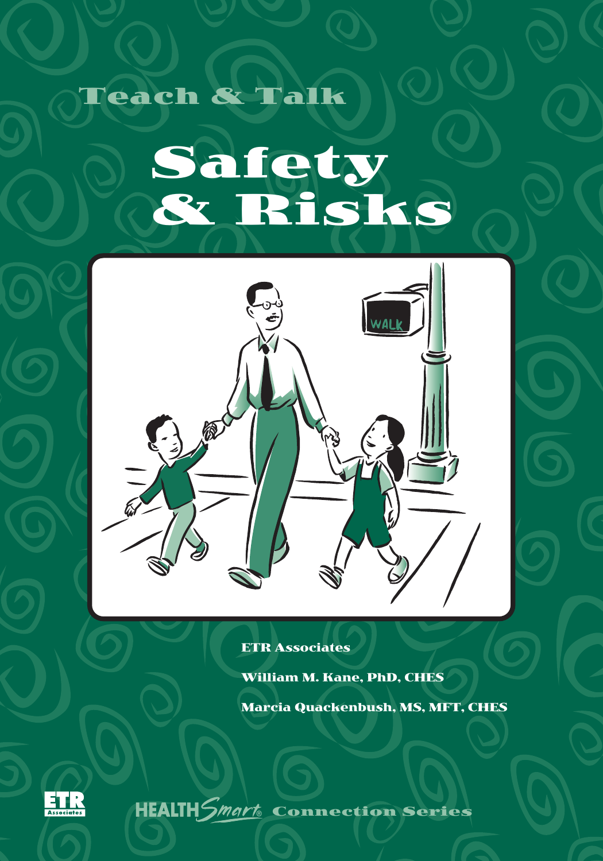Teach & Talk

# Safety & Risks



ETR Associates

William M. Kane, PhD, CHES Marcia Quackenbush, MS, MFT, CHES



**HEALTH***Smart* **Connection Series**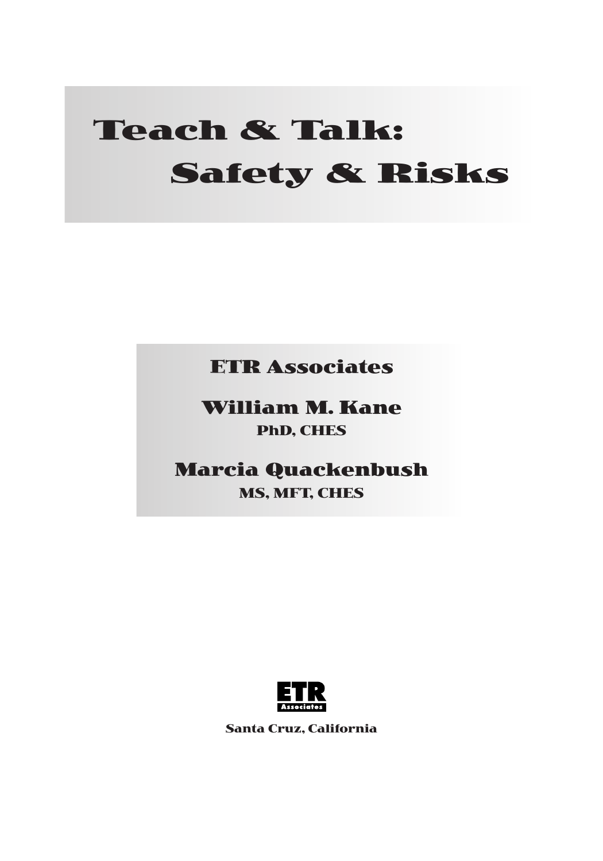# **Teach & Talk: Safety & Risks**

**ETR Associates**

**William M. Kane PhD, CHES**

**Marcia Quackenbush**

**MS, MFT, CHES**



**Santa Cruz, California**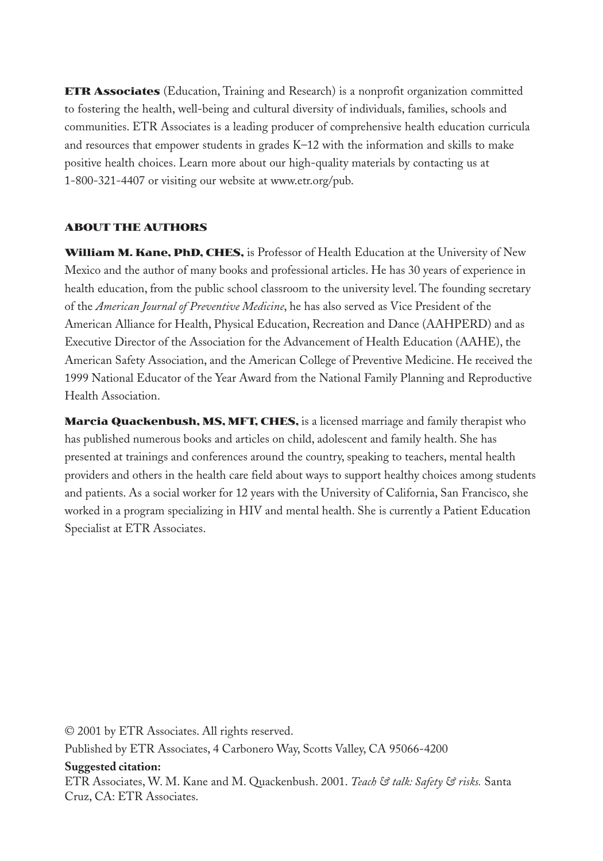**ETR Associates** (Education, Training and Research) is a nonprofit organization committed to fostering the health, well-being and cultural diversity of individuals, families, schools and communities. ETR Associates is a leading producer of comprehensive health education curricula and resources that empower students in grades K–12 with the information and skills to make positive health choices. Learn more about our high-quality materials by contacting us at 1-800-321-4407 or visiting our website at www.etr.org/pub.

#### **ABOUT THE AUTHORS**

**William M. Kane, PhD, CHES,** is Professor of Health Education at the University of New Mexico and the author of many books and professional articles. He has 30 years of experience in health education, from the public school classroom to the university level. The founding secretary of the *American Journal of Preventive Medicine*, he has also served as Vice President of the American Alliance for Health, Physical Education, Recreation and Dance (AAHPERD) and as Executive Director of the Association for the Advancement of Health Education (AAHE), the American Safety Association, and the American College of Preventive Medicine. He received the 1999 National Educator of the Year Award from the National Family Planning and Reproductive Health Association.

**Marcia Quackenbush, MS, MFT, CHES,** is a licensed marriage and family therapist who has published numerous books and articles on child, adolescent and family health. She has presented at trainings and conferences around the country, speaking to teachers, mental health providers and others in the health care field about ways to support healthy choices among students and patients. As a social worker for 12 years with the University of California, San Francisco, she worked in a program specializing in HIV and mental health. She is currently a Patient Education Specialist at ETR Associates.

© 2001 by ETR Associates. All rights reserved. Published by ETR Associates, 4 Carbonero Way, Scotts Valley, CA 95066-4200

#### **Suggested citation:**

ETR Associates, W. M. Kane and M. Quackenbush. 2001. *Teach & talk: Safety & risks.* Santa Cruz, CA: ETR Associates.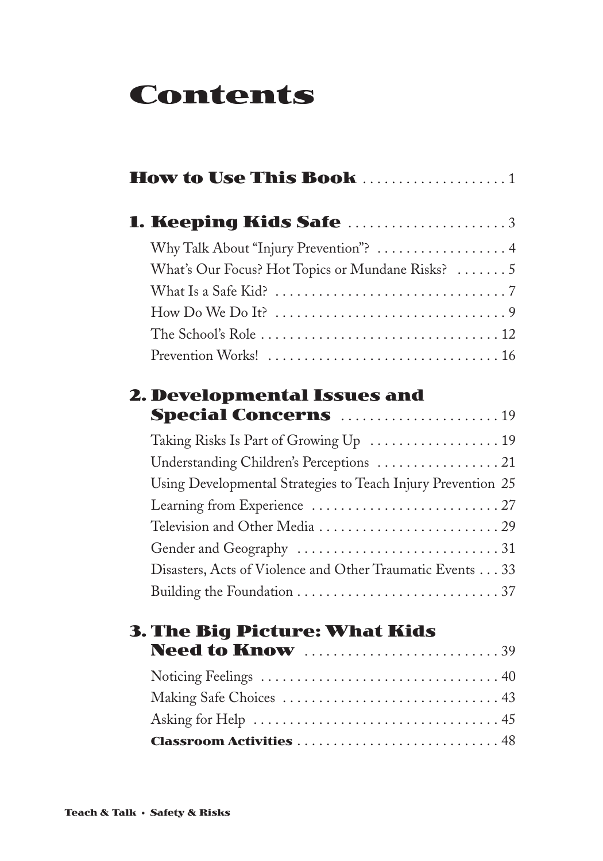# **Contents**

| How to Use This Book 1                                                 |
|------------------------------------------------------------------------|
| <b>1. Keeping Kids Safe</b> 3                                          |
| Why Talk About "Injury Prevention"?  4                                 |
| What's Our Focus? Hot Topics or Mundane Risks?  5                      |
|                                                                        |
| How Do We Do It? $\dots\dots\dots\dots\dots\dots\dots\dots\dots\dots9$ |
|                                                                        |
|                                                                        |
| 2. Developmental Issues and                                            |
| <b>Special Concerns</b> 19                                             |
| Taking Risks Is Part of Growing Up  19                                 |
| Understanding Children's Perceptions  21                               |
| Using Developmental Strategies to Teach Injury Prevention 25           |
|                                                                        |
|                                                                        |
|                                                                        |
| Disasters, Acts of Violence and Other Traumatic Events 33              |
|                                                                        |
| <b>3. The Big Picture: What Kids</b>                                   |
| <b>Need to Know</b> 39                                                 |
|                                                                        |
|                                                                        |
|                                                                        |
| <b>Classroom Activities</b> 48                                         |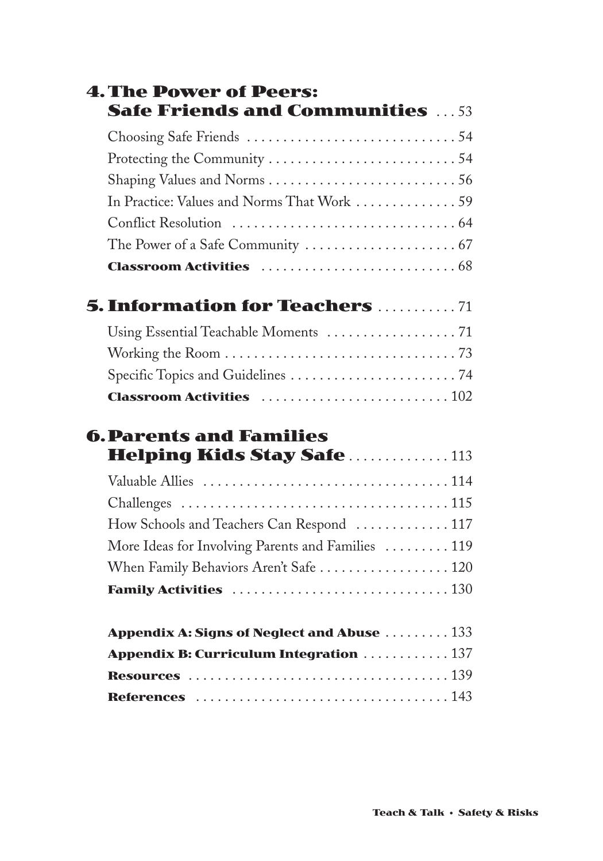| <b>4. The Power of Peers:</b>                      |  |
|----------------------------------------------------|--|
| <b>Safe Friends and Communities</b> 53             |  |
|                                                    |  |
|                                                    |  |
|                                                    |  |
| In Practice: Values and Norms That Work 59         |  |
|                                                    |  |
|                                                    |  |
|                                                    |  |
| <b>5. Information for Teachers  71</b>             |  |
|                                                    |  |
|                                                    |  |
|                                                    |  |
| <b>Classroom Activities</b> 102                    |  |
| <b>6. Parents and Families</b>                     |  |
| <b>Helping Kids Stay Safe 113</b>                  |  |
|                                                    |  |
|                                                    |  |
| How Schools and Teachers Can Respond  117          |  |
| More Ideas for Involving Parents and Families  119 |  |
| When Family Behaviors Aren't Safe  120             |  |
|                                                    |  |
| Appendix A: Signs of Neglect and Abuse  133        |  |
| <b>Appendix B: Curriculum Integration  137</b>     |  |
|                                                    |  |
|                                                    |  |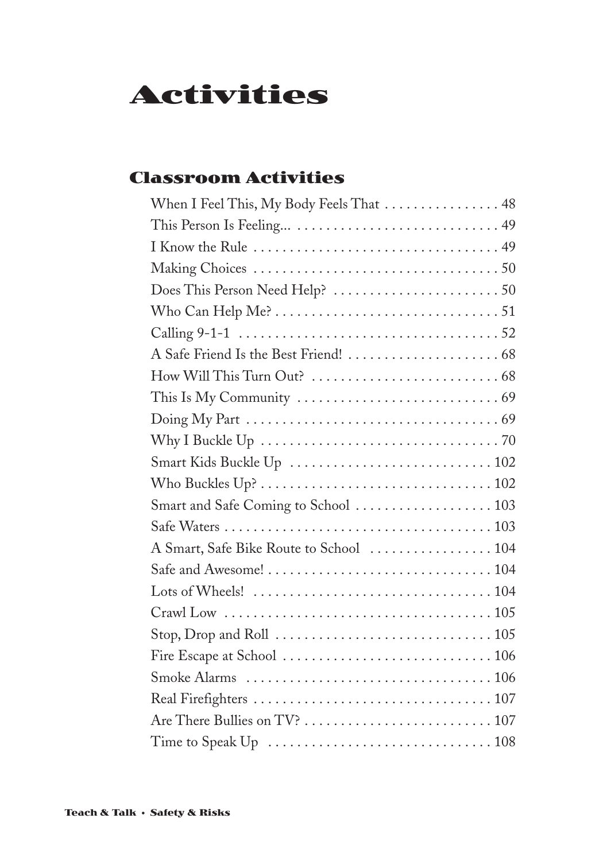# **Activities**

### **Classroom Activities**

| When I Feel This, My Body Feels That 48                                           |
|-----------------------------------------------------------------------------------|
|                                                                                   |
|                                                                                   |
|                                                                                   |
|                                                                                   |
|                                                                                   |
|                                                                                   |
|                                                                                   |
|                                                                                   |
|                                                                                   |
|                                                                                   |
|                                                                                   |
|                                                                                   |
|                                                                                   |
| Smart and Safe Coming to School  103                                              |
|                                                                                   |
| A Smart, Safe Bike Route to School  104                                           |
|                                                                                   |
|                                                                                   |
|                                                                                   |
|                                                                                   |
|                                                                                   |
|                                                                                   |
|                                                                                   |
|                                                                                   |
| Are There Bullies on TV? $\dots\dots\dots\dots\dots\dots\dots\dots\dots\dots 107$ |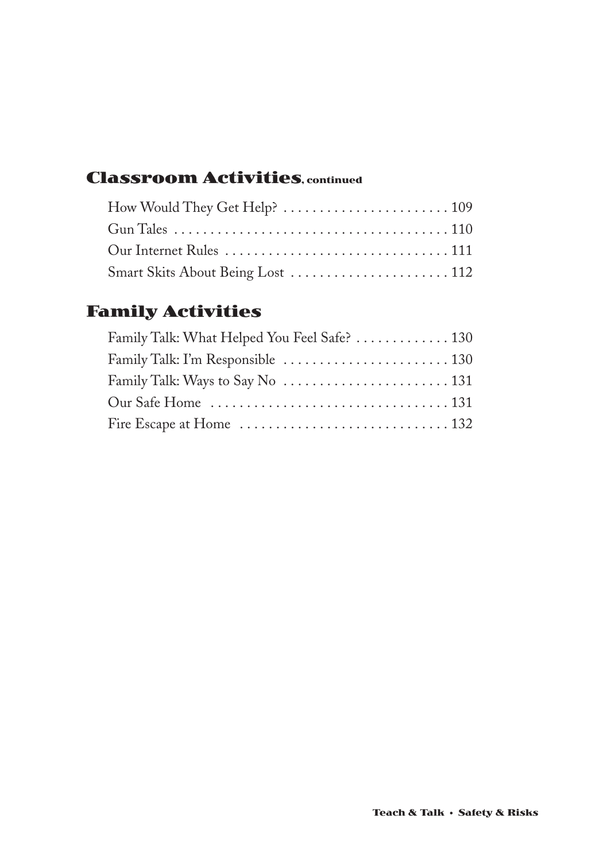### **Classroom Activities, continued**

| Smart Skits About Being Lost  112 |  |
|-----------------------------------|--|

### **Family Activities**

| Family Talk: What Helped You Feel Safe?  130 |  |
|----------------------------------------------|--|
|                                              |  |
|                                              |  |
|                                              |  |
|                                              |  |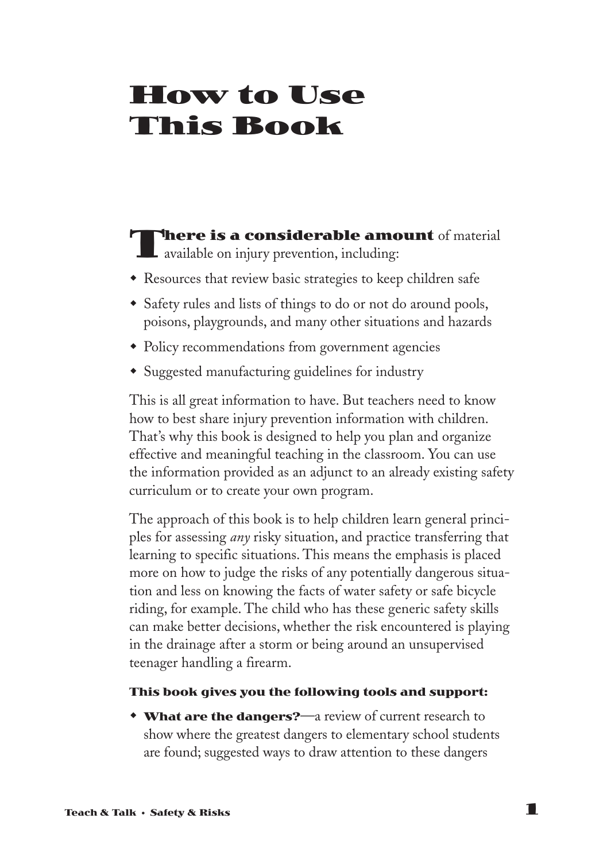# **How to Use This Book**

#### **There is a considerable amount** of material **L** available on injury prevention, including:

- Resources that review basic strategies to keep children safe
- Safety rules and lists of things to do or not do around pools, poisons, playgrounds, and many other situations and hazards
- Policy recommendations from government agencies
- Suggested manufacturing guidelines for industry

This is all great information to have. But teachers need to know how to best share injury prevention information with children. That's why this book is designed to help you plan and organize effective and meaningful teaching in the classroom. You can use the information provided as an adjunct to an already existing safety curriculum or to create your own program.

The approach of this book is to help children learn general principles for assessing *any* risky situation, and practice transferring that learning to specific situations. This means the emphasis is placed more on how to judge the risks of any potentially dangerous situation and less on knowing the facts of water safety or safe bicycle riding, for example. The child who has these generic safety skills can make better decisions, whether the risk encountered is playing in the drainage after a storm or being around an unsupervised teenager handling a firearm.

#### **This book gives you the following tools and support:**

**\* What are the dangers?**—a review of current research to show where the greatest dangers to elementary school students are found; suggested ways to draw attention to these dangers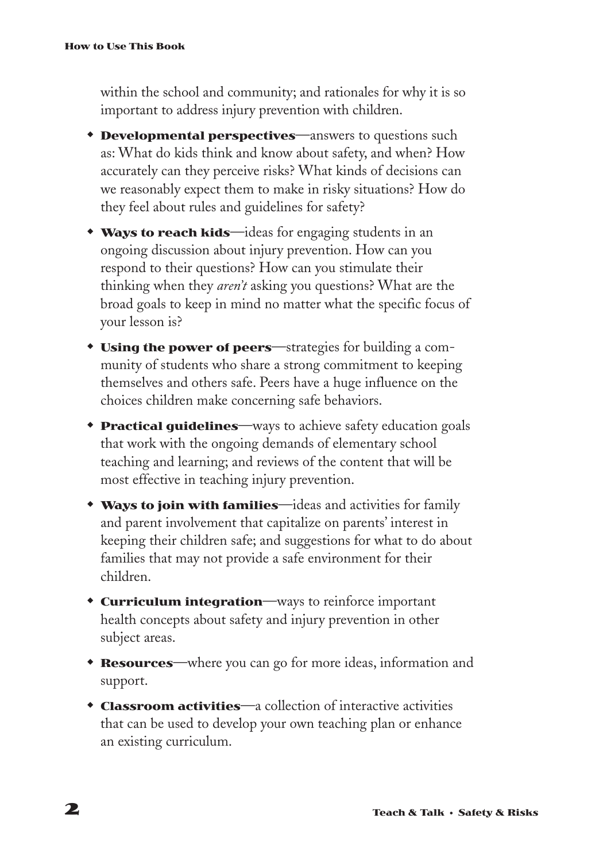within the school and community; and rationales for why it is so important to address injury prevention with children.

- **Developmental perspectives—answers to questions such** as: What do kids think and know about safety, and when? How accurately can they perceive risks? What kinds of decisions can we reasonably expect them to make in risky situations? How do they feel about rules and guidelines for safety?
- **Ways to reach kids**—ideas for engaging students in an ongoing discussion about injury prevention. How can you respond to their questions? How can you stimulate their thinking when they *aren't* asking you questions? What are the broad goals to keep in mind no matter what the specific focus of your lesson is?
- **v** Using the power of peers—strategies for building a community of students who share a strong commitment to keeping themselves and others safe. Peers have a huge influence on the choices children make concerning safe behaviors.
- **Practical guidelines—ways to achieve safety education goals** that work with the ongoing demands of elementary school teaching and learning; and reviews of the content that will be most effective in teaching injury prevention.
- **Ways to join with families**—ideas and activities for family and parent involvement that capitalize on parents' interest in keeping their children safe; and suggestions for what to do about families that may not provide a safe environment for their children.
- **to Curriculum integration**—ways to reinforce important health concepts about safety and injury prevention in other subject areas.
- **Resources**—where you can go for more ideas, information and support.
- **Classroom activities**—a collection of interactive activities that can be used to develop your own teaching plan or enhance an existing curriculum.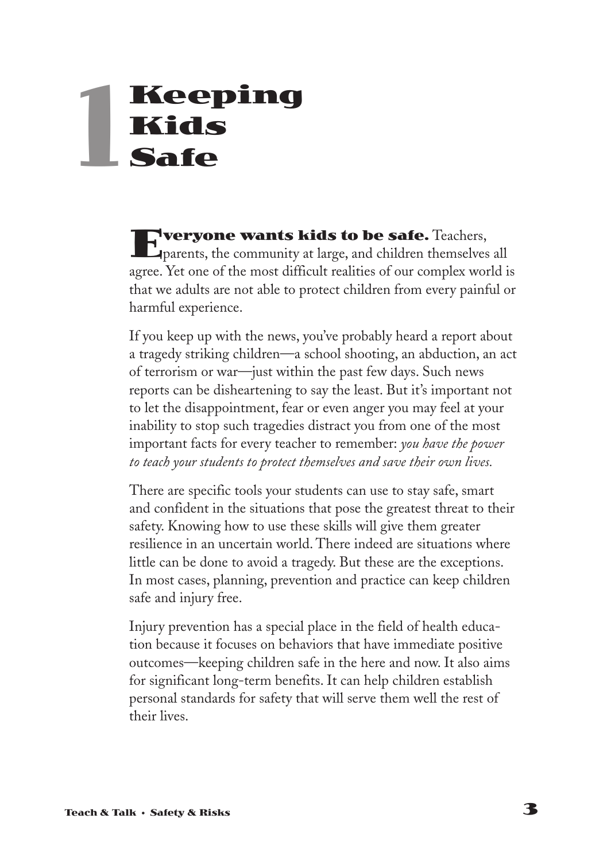# **Keeping Kids Safe 1**

**Everyone wants kids to be safe.** Teachers, parents, the community at large, and children themselves all agree. Yet one of the most difficult realities of our complex world is that we adults are not able to protect children from every painful or harmful experience.

If you keep up with the news, you've probably heard a report about a tragedy striking children—a school shooting, an abduction, an act of terrorism or war—just within the past few days. Such news reports can be disheartening to say the least. But it's important not to let the disappointment, fear or even anger you may feel at your inability to stop such tragedies distract you from one of the most important facts for every teacher to remember: *you have the power to teach your students to protect themselves and save their own lives.*

There are specific tools your students can use to stay safe, smart and confident in the situations that pose the greatest threat to their safety. Knowing how to use these skills will give them greater resilience in an uncertain world. There indeed are situations where little can be done to avoid a tragedy. But these are the exceptions. In most cases, planning, prevention and practice can keep children safe and injury free.

Injury prevention has a special place in the field of health education because it focuses on behaviors that have immediate positive outcomes—keeping children safe in the here and now. It also aims for significant long-term benefits. It can help children establish personal standards for safety that will serve them well the rest of their lives.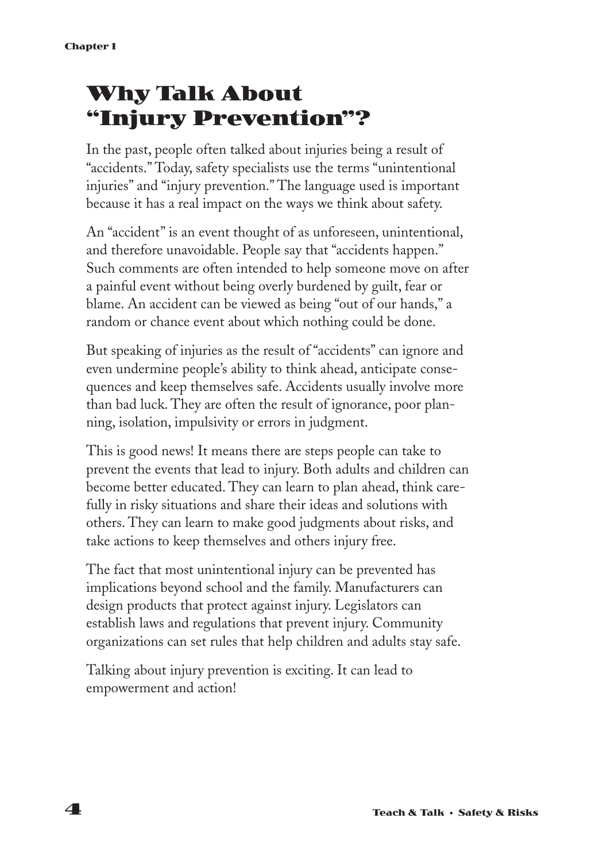# **Why Talk About "Injury Prevention"?**

In the past, people often talked about injuries being a result of "accidents." Today, safety specialists use the terms "unintentional injuries" and "injury prevention." The language used is important because it has a real impact on the ways we think about safety.

An "accident" is an event thought of as unforeseen, unintentional, and therefore unavoidable. People say that "accidents happen." Such comments are often intended to help someone move on after a painful event without being overly burdened by guilt, fear or blame. An accident can be viewed as being "out of our hands," a random or chance event about which nothing could be done.

But speaking of injuries as the result of "accidents" can ignore and even undermine people's ability to think ahead, anticipate consequences and keep themselves safe. Accidents usually involve more than bad luck. They are often the result of ignorance, poor planning, isolation, impulsivity or errors in judgment.

This is good news! It means there are steps people can take to prevent the events that lead to injury. Both adults and children can become better educated. They can learn to plan ahead, think carefully in risky situations and share their ideas and solutions with others. They can learn to make good judgments about risks, and take actions to keep themselves and others injury free.

The fact that most unintentional injury can be prevented has implications beyond school and the family. Manufacturers can design products that protect against injury. Legislators can establish laws and regulations that prevent injury. Community organizations can set rules that help children and adults stay safe.

Talking about injury prevention is exciting. It can lead to empowerment and action!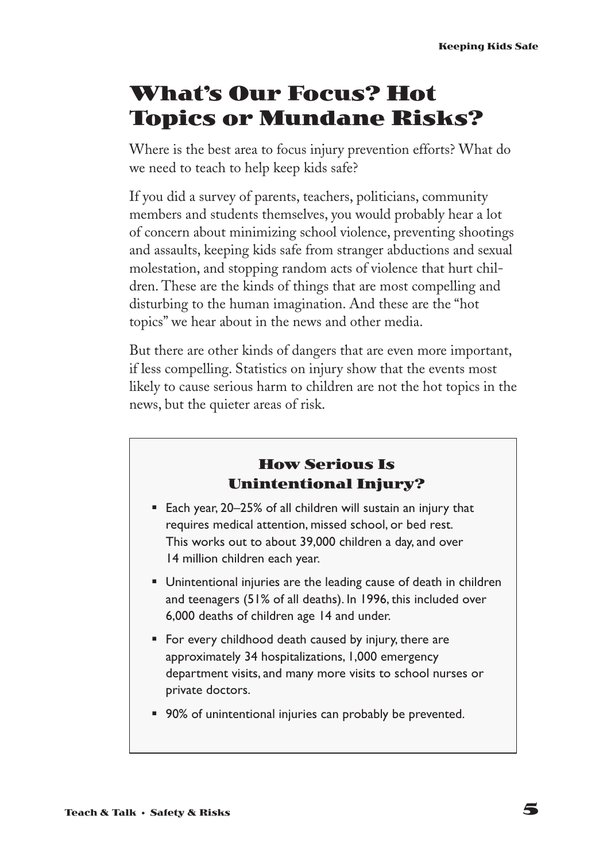# **What's Our Focus? Hot Topics or Mundane Risks?**

Where is the best area to focus injury prevention efforts? What do we need to teach to help keep kids safe?

If you did a survey of parents, teachers, politicians, community members and students themselves, you would probably hear a lot of concern about minimizing school violence, preventing shootings and assaults, keeping kids safe from stranger abductions and sexual molestation, and stopping random acts of violence that hurt children. These are the kinds of things that are most compelling and disturbing to the human imagination. And these are the "hot topics" we hear about in the news and other media.

But there are other kinds of dangers that are even more important, if less compelling. Statistics on injury show that the events most likely to cause serious harm to children are not the hot topics in the news, but the quieter areas of risk.

#### **How Serious Is Unintentional Injury?**

- Each year, 20–25% of all children will sustain an injury that requires medical attention, missed school, or bed rest. This works out to about 39,000 children a day, and over 14 million children each year.
- § Unintentional injuries are the leading cause of death in children and teenagers (51% of all deaths). In 1996, this included over 6,000 deaths of children age 14 and under.
- For every childhood death caused by injury, there are approximately 34 hospitalizations, 1,000 emergency department visits, and many more visits to school nurses or private doctors.
- 90% of unintentional injuries can probably be prevented.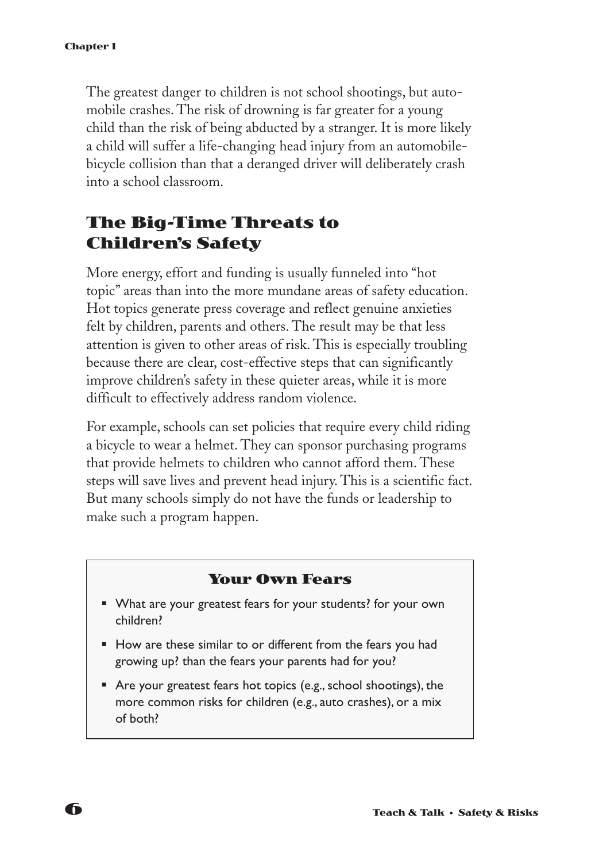The greatest danger to children is not school shootings, but automobile crashes. The risk of drowning is far greater for a young child than the risk of being abducted by a stranger. It is more likely a child will suffer a life-changing head injury from an automobilebicycle collision than that a deranged driver will deliberately crash into a school classroom.

#### **The Big-Time Threats to Children's Safety**

More energy, effort and funding is usually funneled into "hot topic" areas than into the more mundane areas of safety education. Hot topics generate press coverage and reflect genuine anxieties felt by children, parents and others. The result may be that less attention is given to other areas of risk. This is especially troubling because there are clear, cost-effective steps that can significantly improve children's safety in these quieter areas, while it is more difficult to effectively address random violence.

For example, schools can set policies that require every child riding a bicycle to wear a helmet. They can sponsor purchasing programs that provide helmets to children who cannot afford them. These steps will save lives and prevent head injury. This is a scientific fact. But many schools simply do not have the funds or leadership to make such a program happen.

#### **Your Own Fears**

- What are your greatest fears for your students? for your own children?
- How are these similar to or different from the fears you had growing up? than the fears your parents had for you?
- Are your greatest fears hot topics (e.g., school shootings), the more common risks for children (e.g., auto crashes), or a mix of both?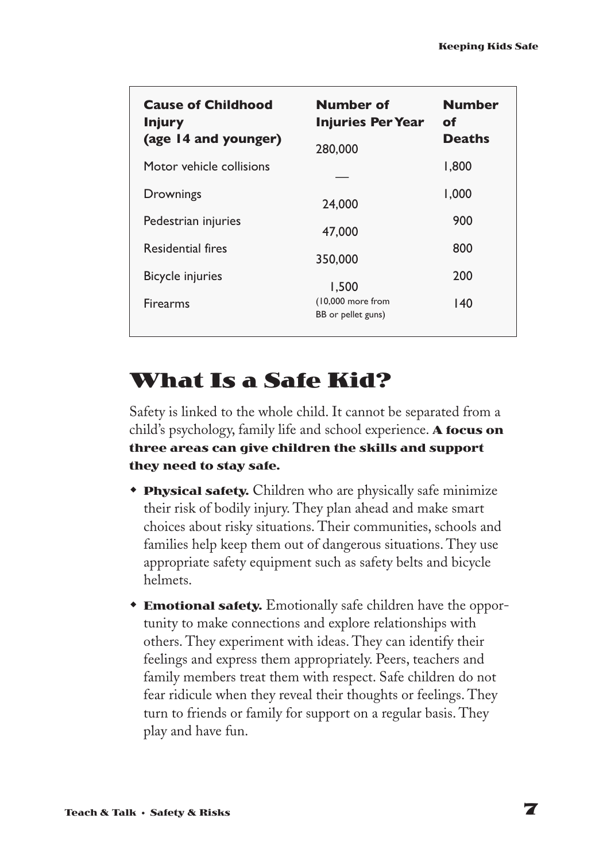| <b>Cause of Childhood</b><br><b>Injury</b><br>(age 14 and younger) | Number of<br><b>Injuries Per Year</b><br>280,000 | Number<br>of<br>Deaths |
|--------------------------------------------------------------------|--------------------------------------------------|------------------------|
| Motor vehicle collisions                                           |                                                  | 1,800                  |
| Drownings                                                          | 24,000                                           | 1,000                  |
| Pedestrian injuries                                                | 47,000                                           | 900                    |
| Residential fires                                                  | 350,000                                          | 800                    |
| <b>Bicycle injuries</b>                                            | 1,500                                            | 200                    |
| <b>Firearms</b>                                                    | $(10,000$ more from<br>BB or pellet guns)        | 140                    |

# **What Is a Safe Kid?**

Safety is linked to the whole child. It cannot be separated from a child's psychology, family life and school experience. **A focus on three areas can give children the skills and support they need to stay safe.**

- **Physical safety.** Children who are physically safe minimize their risk of bodily injury. They plan ahead and make smart choices about risky situations. Their communities, schools and families help keep them out of dangerous situations. They use appropriate safety equipment such as safety belts and bicycle helmets.
- **Emotional safety.** Emotionally safe children have the opportunity to make connections and explore relationships with others. They experiment with ideas. They can identify their feelings and express them appropriately. Peers, teachers and family members treat them with respect. Safe children do not fear ridicule when they reveal their thoughts or feelings. They turn to friends or family for support on a regular basis. They play and have fun.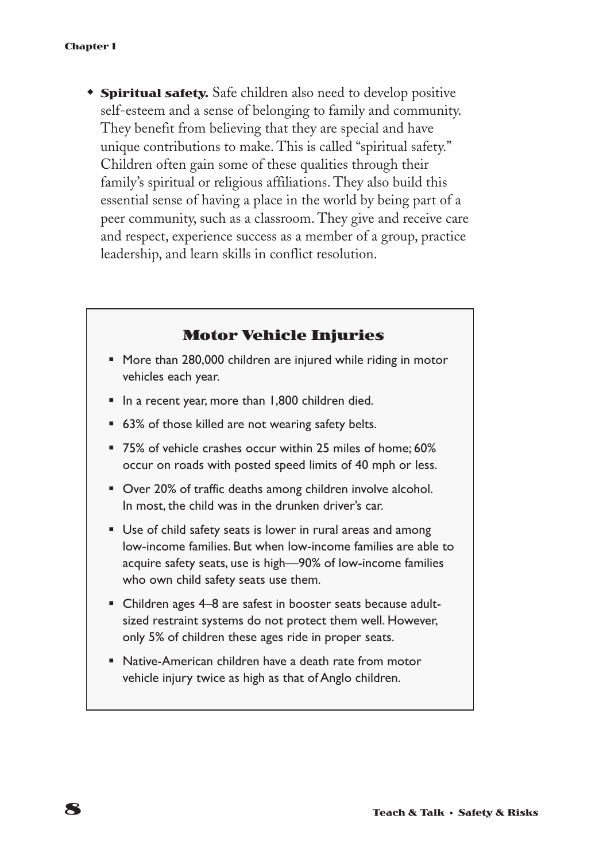**\* Spiritual safety.** Safe children also need to develop positive self-esteem and a sense of belonging to family and community. They benefit from believing that they are special and have unique contributions to make. This is called "spiritual safety." Children often gain some of these qualities through their family's spiritual or religious affiliations. They also build this essential sense of having a place in the world by being part of a peer community, such as a classroom. They give and receive care and respect, experience success as a member of a group, practice leadership, and learn skills in conflict resolution.

#### **Motor Vehicle Injuries**

- More than 280,000 children are injured while riding in motor vehicles each year.
- In a recent year, more than 1,800 children died.
- 63% of those killed are not wearing safety belts.
- 75% of vehicle crashes occur within 25 miles of home; 60% occur on roads with posted speed limits of 40 mph or less.
- Over 20% of traffic deaths among children involve alcohol. In most, the child was in the drunken driver's car.
- Use of child safety seats is lower in rural areas and among low-income families. But when low-income families are able to acquire safety seats, use is high—90% of low-income families who own child safety seats use them.
- Children ages 4–8 are safest in booster seats because adultsized restraint systems do not protect them well. However, only 5% of children these ages ride in proper seats.
- Native-American children have a death rate from motor vehicle injury twice as high as that of Anglo children.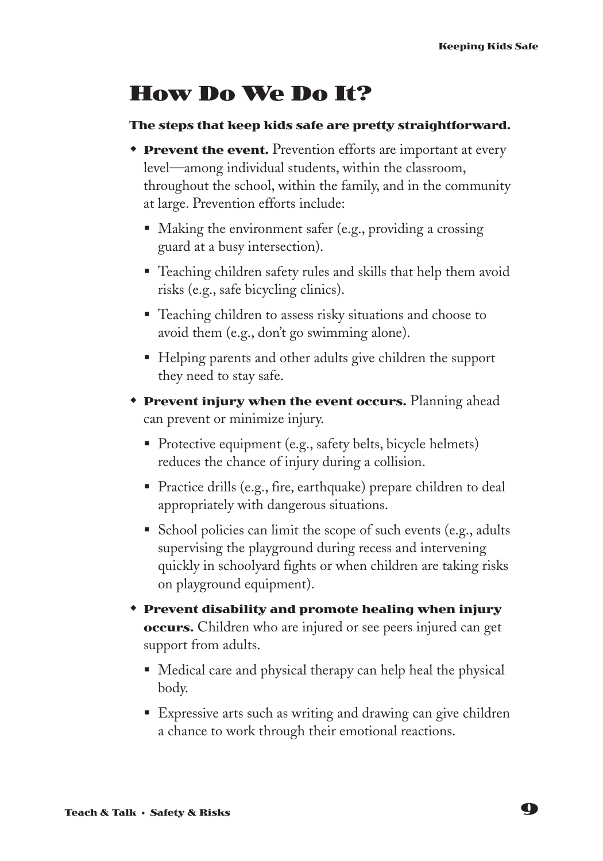# **How Do We Do It?**

#### **The steps that keep kids safe are pretty straightforward.**

- **Prevent the event.** Prevention efforts are important at every level—among individual students, within the classroom, throughout the school, within the family, and in the community at large. Prevention efforts include:
	- Making the environment safer (e.g., providing a crossing guard at a busy intersection).
	- Teaching children safety rules and skills that help them avoid risks (e.g., safe bicycling clinics).
	- Teaching children to assess risky situations and choose to avoid them (e.g., don't go swimming alone).
	- Helping parents and other adults give children the support they need to stay safe.
- **Prevent injury when the event occurs.** Planning ahead can prevent or minimize injury.
	- Protective equipment (e.g., safety belts, bicycle helmets) reduces the chance of injury during a collision.
	- § Practice drills (e.g., fire, earthquake) prepare children to deal appropriately with dangerous situations.
	- School policies can limit the scope of such events (e.g., adults supervising the playground during recess and intervening quickly in schoolyard fights or when children are taking risks on playground equipment).
- w **Prevent disability and promote healing when injury occurs.** Children who are injured or see peers injured can get support from adults.
	- Medical care and physical therapy can help heal the physical body.
	- Expressive arts such as writing and drawing can give children a chance to work through their emotional reactions.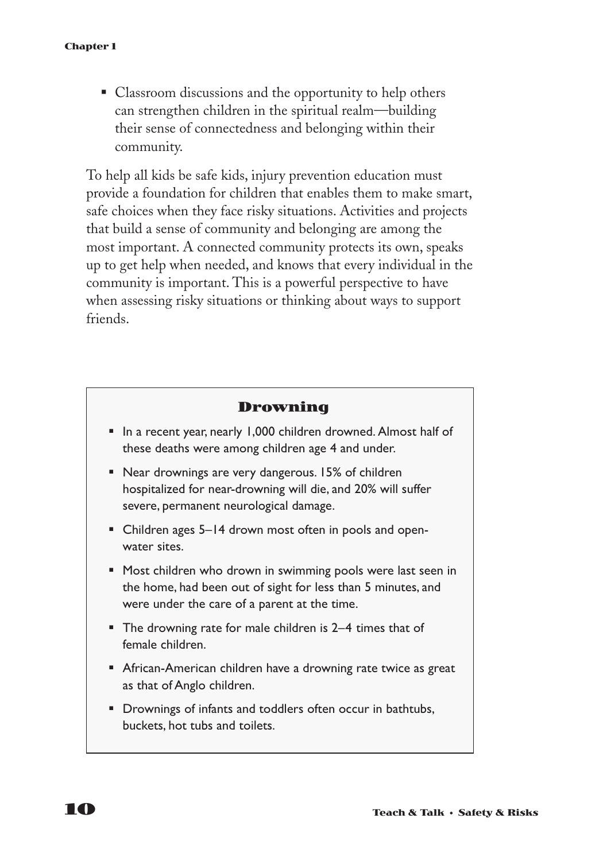■ Classroom discussions and the opportunity to help others can strengthen children in the spiritual realm—building their sense of connectedness and belonging within their community.

To help all kids be safe kids, injury prevention education must provide a foundation for children that enables them to make smart, safe choices when they face risky situations. Activities and projects that build a sense of community and belonging are among the most important. A connected community protects its own, speaks up to get help when needed, and knows that every individual in the community is important. This is a powerful perspective to have when assessing risky situations or thinking about ways to support friends.

#### **Drowning**

- In a recent year, nearly 1,000 children drowned. Almost half of these deaths were among children age 4 and under.
- Near drownings are very dangerous. 15% of children hospitalized for near-drowning will die, and 20% will suffer severe, permanent neurological damage.
- Children ages 5–14 drown most often in pools and openwater sites.
- Most children who drown in swimming pools were last seen in the home, had been out of sight for less than 5 minutes, and were under the care of a parent at the time.
- The drowning rate for male children is 2–4 times that of female children.
- African-American children have a drowning rate twice as great as that of Anglo children.
- Drownings of infants and toddlers often occur in bathtubs, buckets, hot tubs and toilets.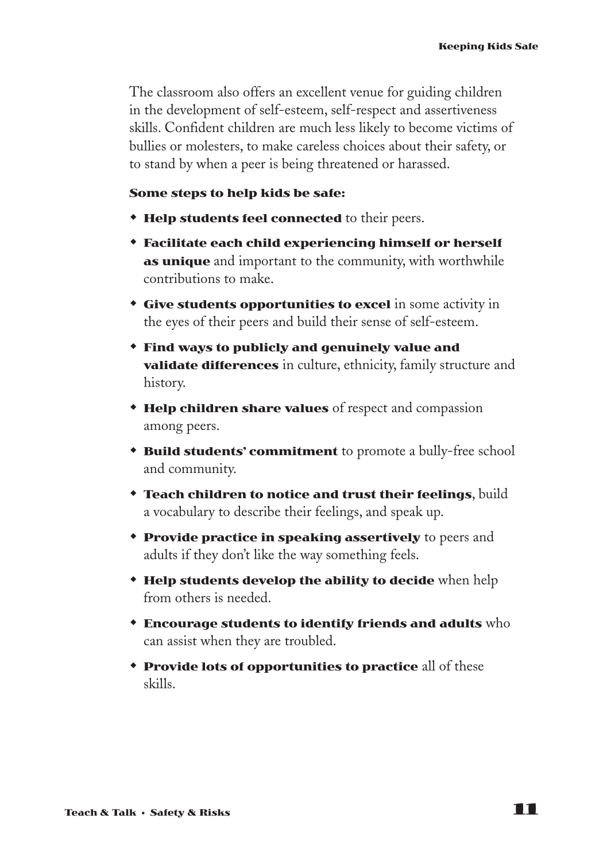The classroom also offers an excellent venue for guiding children in the development of self-esteem, self-respect and assertiveness skills. Confident children are much less likely to become victims of bullies or molesters, to make careless choices about their safety, or to stand by when a peer is being threatened or harassed.

#### **Some steps to help kids be safe:**

- **\* Help students feel connected** to their peers.
- **\*** Facilitate each child experiencing himself or herself **as unique** and important to the community, with worthwhile contributions to make.
- **Give students opportunities to excel** in some activity in the eyes of their peers and build their sense of self-esteem.
- w **Find ways to publicly and genuinely value and validate differences** in culture, ethnicity, family structure and history.
- **\* Help children share values** of respect and compassion among peers.
- **\* Build students' commitment** to promote a bully-free school and community.
- **\*** Teach children to notice and trust their feelings, build a vocabulary to describe their feelings, and speak up.
- **\* Provide practice in speaking assertively** to peers and adults if they don't like the way something feels.
- **\* Help students develop the ability to decide** when help from others is needed.
- w **Encourage students to identify friends and adults** who can assist when they are troubled.
- **Provide lots of opportunities to practice** all of these skills.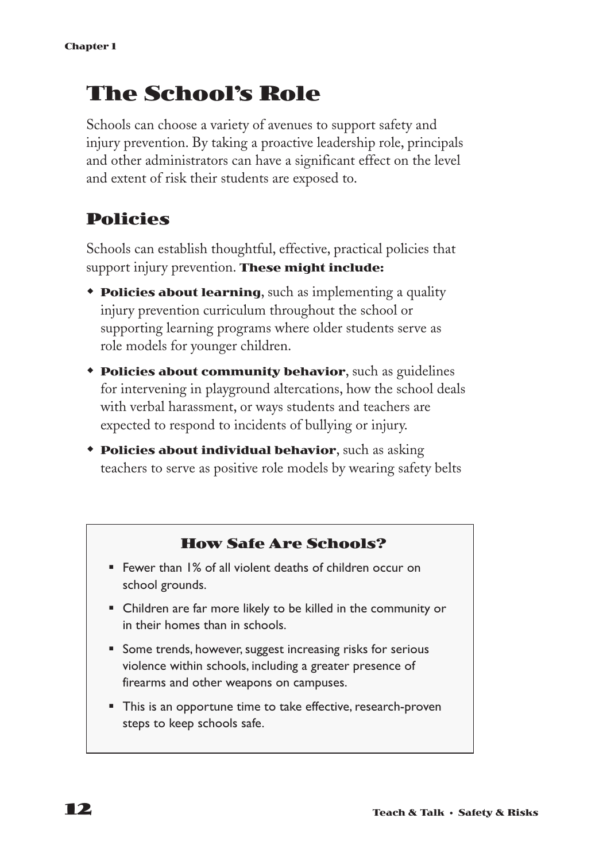# **The School's Role**

Schools can choose a variety of avenues to support safety and injury prevention. By taking a proactive leadership role, principals and other administrators can have a significant effect on the level and extent of risk their students are exposed to.

#### **Policies**

Schools can establish thoughtful, effective, practical policies that support injury prevention. **These might include:**

- **Policies about learning**, such as implementing a quality injury prevention curriculum throughout the school or supporting learning programs where older students serve as role models for younger children.
- **\*** Policies about community behavior, such as guidelines for intervening in playground altercations, how the school deals with verbal harassment, or ways students and teachers are expected to respond to incidents of bullying or injury.
- **\* Policies about individual behavior**, such as asking teachers to serve as positive role models by wearing safety belts

#### **How Safe Are Schools?**

- Fewer than 1% of all violent deaths of children occur on school grounds.
- Children are far more likely to be killed in the community or in their homes than in schools.
- Some trends, however, suggest increasing risks for serious violence within schools, including a greater presence of firearms and other weapons on campuses.
- This is an opportune time to take effective, research-proven steps to keep schools safe.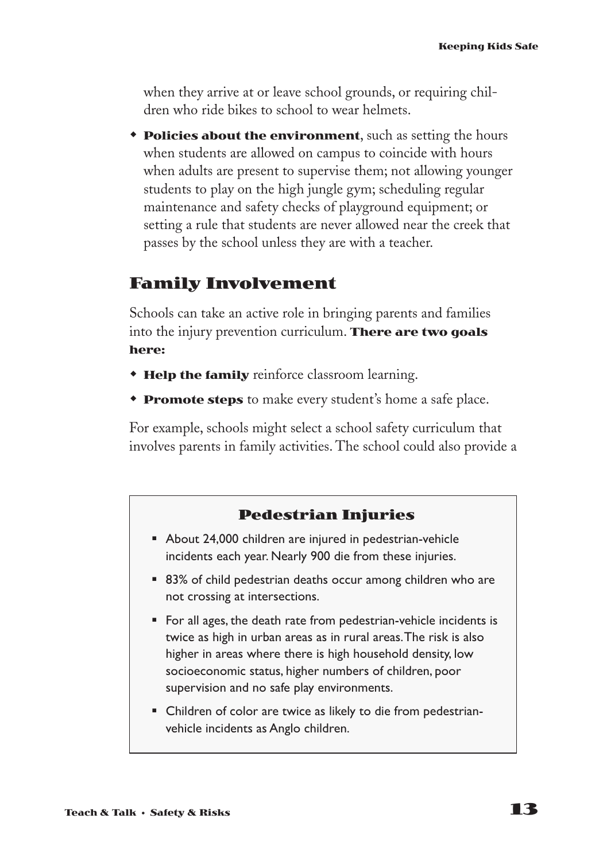when they arrive at or leave school grounds, or requiring children who ride bikes to school to wear helmets.

**\*** Policies about the environment, such as setting the hours when students are allowed on campus to coincide with hours when adults are present to supervise them; not allowing younger students to play on the high jungle gym; scheduling regular maintenance and safety checks of playground equipment; or setting a rule that students are never allowed near the creek that passes by the school unless they are with a teacher.

#### **Family Involvement**

Schools can take an active role in bringing parents and families into the injury prevention curriculum. **There are two goals here:**

- **\* Help the family** reinforce classroom learning.
- **Promote steps** to make every student's home a safe place.

For example, schools might select a school safety curriculum that involves parents in family activities. The school could also provide a

#### **Pedestrian Injuries**

- About 24,000 children are injured in pedestrian-vehicle incidents each year. Nearly 900 die from these injuries.
- 83% of child pedestrian deaths occur among children who are not crossing at intersections.
- For all ages, the death rate from pedestrian-vehicle incidents is twice as high in urban areas as in rural areas.The risk is also higher in areas where there is high household density, low socioeconomic status, higher numbers of children, poor supervision and no safe play environments.
- Children of color are twice as likely to die from pedestrianvehicle incidents as Anglo children.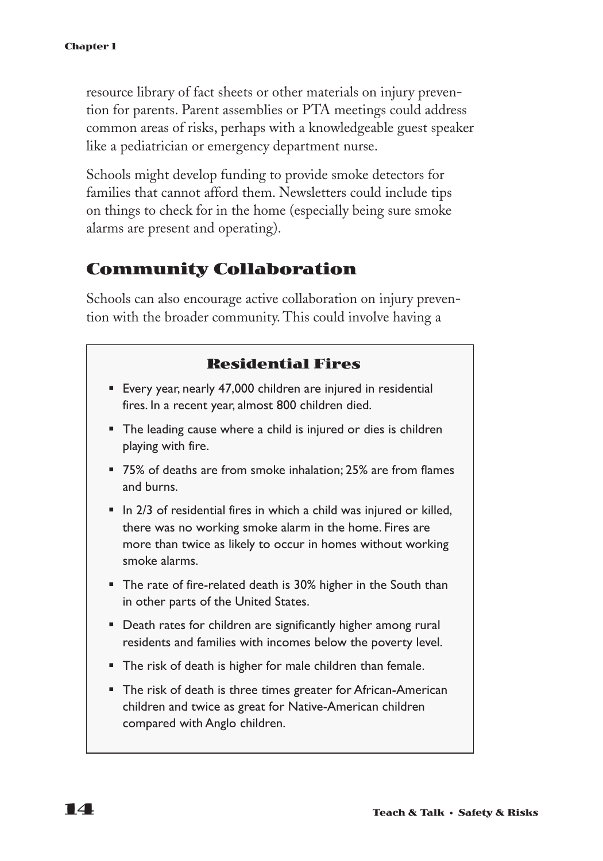resource library of fact sheets or other materials on injury prevention for parents. Parent assemblies or PTA meetings could address common areas of risks, perhaps with a knowledgeable guest speaker like a pediatrician or emergency department nurse.

Schools might develop funding to provide smoke detectors for families that cannot afford them. Newsletters could include tips on things to check for in the home (especially being sure smoke alarms are present and operating).

#### **Community Collaboration**

Schools can also encourage active collaboration on injury prevention with the broader community. This could involve having a

#### **Residential Fires**

- Every year, nearly 47,000 children are injured in residential fires. In a recent year, almost 800 children died.
- The leading cause where a child is injured or dies is children playing with fire.
- 75% of deaths are from smoke inhalation; 25% are from flames and burns.
- In 2/3 of residential fires in which a child was injured or killed, there was no working smoke alarm in the home. Fires are more than twice as likely to occur in homes without working smoke alarms.
- The rate of fire-related death is 30% higher in the South than in other parts of the United States.
- Death rates for children are significantly higher among rural residents and families with incomes below the poverty level.
- The risk of death is higher for male children than female.
- The risk of death is three times greater for African-American children and twice as great for Native-American children compared with Anglo children.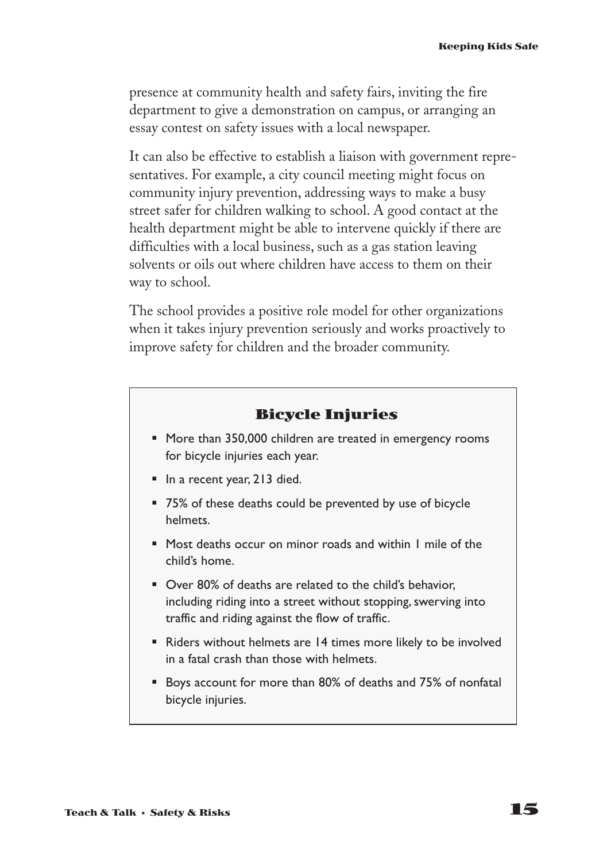presence at community health and safety fairs, inviting the fire department to give a demonstration on campus, or arranging an essay contest on safety issues with a local newspaper.

It can also be effective to establish a liaison with government representatives. For example, a city council meeting might focus on community injury prevention, addressing ways to make a busy street safer for children walking to school. A good contact at the health department might be able to intervene quickly if there are difficulties with a local business, such as a gas station leaving solvents or oils out where children have access to them on their way to school.

The school provides a positive role model for other organizations when it takes injury prevention seriously and works proactively to improve safety for children and the broader community.

#### **Bicycle Injuries**

- More than 350,000 children are treated in emergency rooms for bicycle injuries each year.
- In a recent year, 213 died.
- 75% of these deaths could be prevented by use of bicycle helmets.
- Most deaths occur on minor roads and within I mile of the child's home.
- Over 80% of deaths are related to the child's behavior, including riding into a street without stopping, swerving into traffic and riding against the flow of traffic.
- Riders without helmets are 14 times more likely to be involved in a fatal crash than those with helmets.
- Boys account for more than 80% of deaths and 75% of nonfatal bicycle injuries.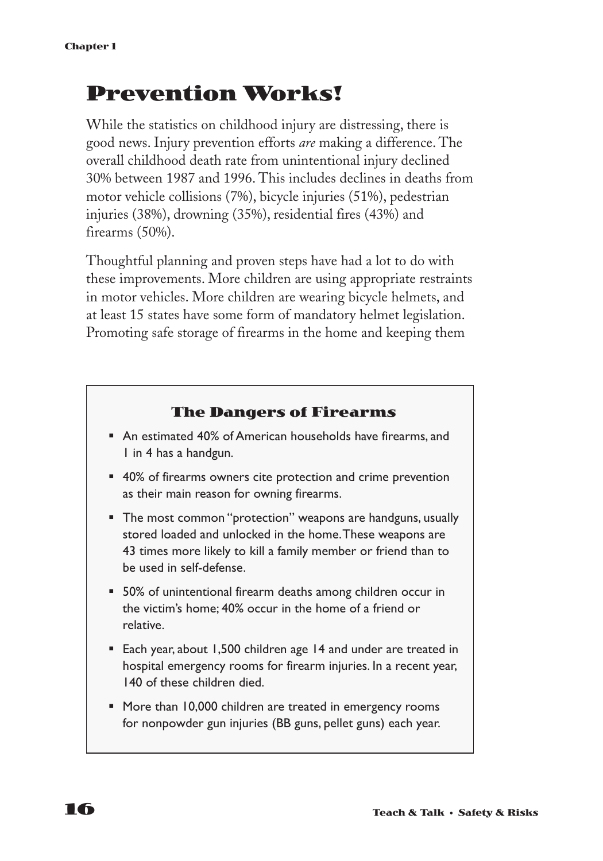# **Prevention Works!**

While the statistics on childhood injury are distressing, there is good news. Injury prevention efforts *are* making a difference. The overall childhood death rate from unintentional injury declined 30% between 1987 and 1996. This includes declines in deaths from motor vehicle collisions (7%), bicycle injuries (51%), pedestrian injuries (38%), drowning (35%), residential fires (43%) and firearms (50%).

Thoughtful planning and proven steps have had a lot to do with these improvements. More children are using appropriate restraints in motor vehicles. More children are wearing bicycle helmets, and at least 15 states have some form of mandatory helmet legislation. Promoting safe storage of firearms in the home and keeping them

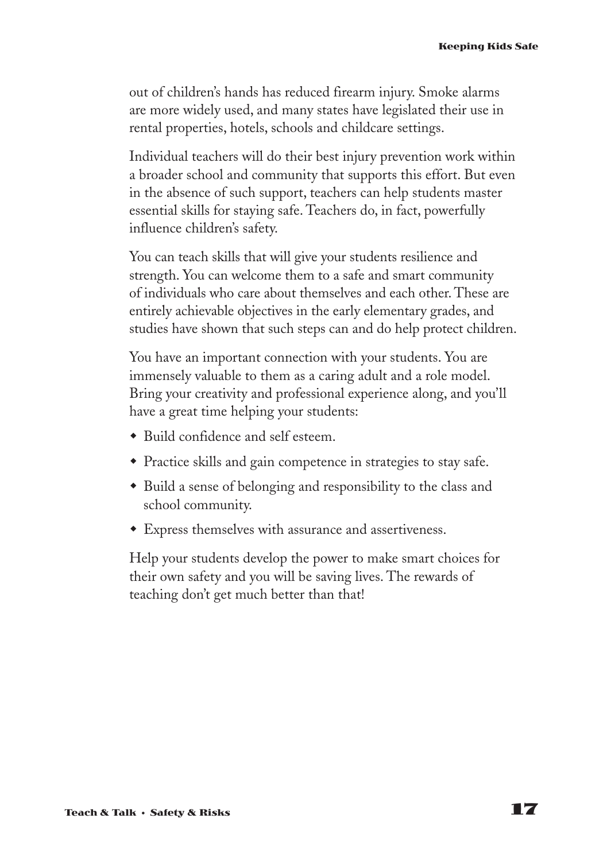out of children's hands has reduced firearm injury. Smoke alarms are more widely used, and many states have legislated their use in rental properties, hotels, schools and childcare settings.

Individual teachers will do their best injury prevention work within a broader school and community that supports this effort. But even in the absence of such support, teachers can help students master essential skills for staying safe. Teachers do, in fact, powerfully influence children's safety.

You can teach skills that will give your students resilience and strength. You can welcome them to a safe and smart community of individuals who care about themselves and each other. These are entirely achievable objectives in the early elementary grades, and studies have shown that such steps can and do help protect children.

You have an important connection with your students. You are immensely valuable to them as a caring adult and a role model. Bring your creativity and professional experience along, and you'll have a great time helping your students:

- Build confidence and self esteem.
- Practice skills and gain competence in strategies to stay safe.
- Build a sense of belonging and responsibility to the class and school community.
- w Express themselves with assurance and assertiveness.

Help your students develop the power to make smart choices for their own safety and you will be saving lives. The rewards of teaching don't get much better than that!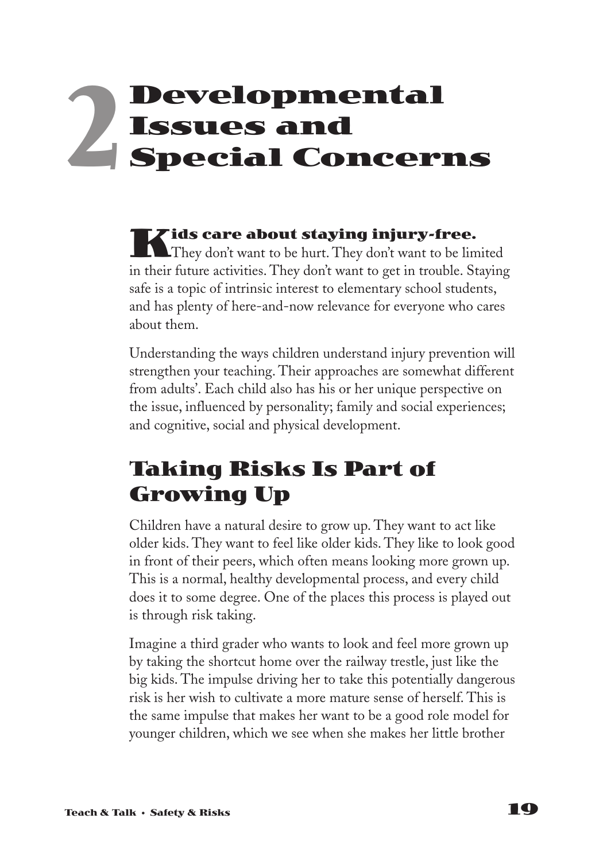# **Developmental Issues and Special Concerns 2**

**Kids care about staying injury-free.**<br>They don't want to be hurt. They don't want to be limited in their future activities. They don't want to get in trouble. Staying safe is a topic of intrinsic interest to elementary school students, and has plenty of here-and-now relevance for everyone who cares about them.

Understanding the ways children understand injury prevention will strengthen your teaching. Their approaches are somewhat different from adults'. Each child also has his or her unique perspective on the issue, influenced by personality; family and social experiences; and cognitive, social and physical development.

# **Taking Risks Is Part of Growing Up**

Children have a natural desire to grow up. They want to act like older kids. They want to feel like older kids. They like to look good in front of their peers, which often means looking more grown up. This is a normal, healthy developmental process, and every child does it to some degree. One of the places this process is played out is through risk taking.

Imagine a third grader who wants to look and feel more grown up by taking the shortcut home over the railway trestle, just like the big kids. The impulse driving her to take this potentially dangerous risk is her wish to cultivate a more mature sense of herself. This is the same impulse that makes her want to be a good role model for younger children, which we see when she makes her little brother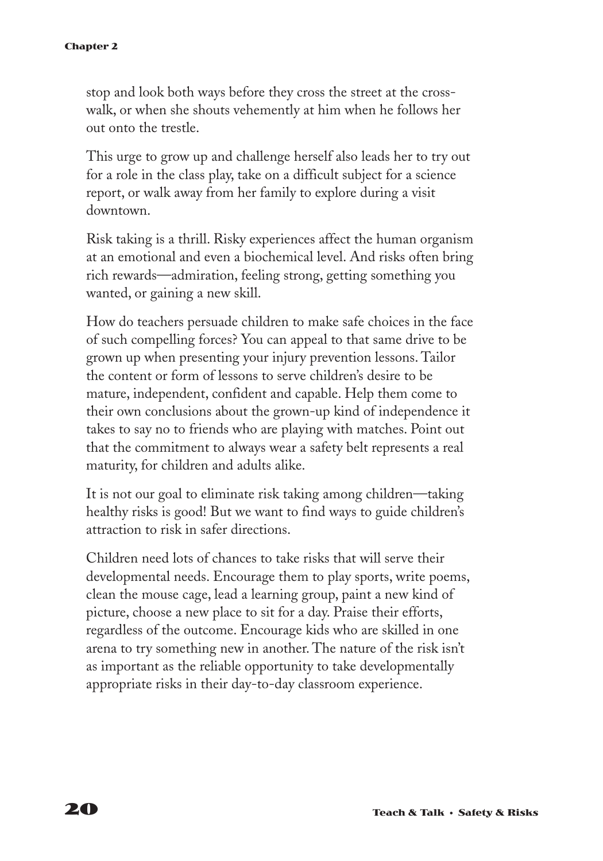stop and look both ways before they cross the street at the crosswalk, or when she shouts vehemently at him when he follows her out onto the trestle.

This urge to grow up and challenge herself also leads her to try out for a role in the class play, take on a difficult subject for a science report, or walk away from her family to explore during a visit downtown.

Risk taking is a thrill. Risky experiences affect the human organism at an emotional and even a biochemical level. And risks often bring rich rewards—admiration, feeling strong, getting something you wanted, or gaining a new skill.

How do teachers persuade children to make safe choices in the face of such compelling forces? You can appeal to that same drive to be grown up when presenting your injury prevention lessons. Tailor the content or form of lessons to serve children's desire to be mature, independent, confident and capable. Help them come to their own conclusions about the grown-up kind of independence it takes to say no to friends who are playing with matches. Point out that the commitment to always wear a safety belt represents a real maturity, for children and adults alike.

It is not our goal to eliminate risk taking among children—taking healthy risks is good! But we want to find ways to guide children's attraction to risk in safer directions.

Children need lots of chances to take risks that will serve their developmental needs. Encourage them to play sports, write poems, clean the mouse cage, lead a learning group, paint a new kind of picture, choose a new place to sit for a day. Praise their efforts, regardless of the outcome. Encourage kids who are skilled in one arena to try something new in another. The nature of the risk isn't as important as the reliable opportunity to take developmentally appropriate risks in their day-to-day classroom experience.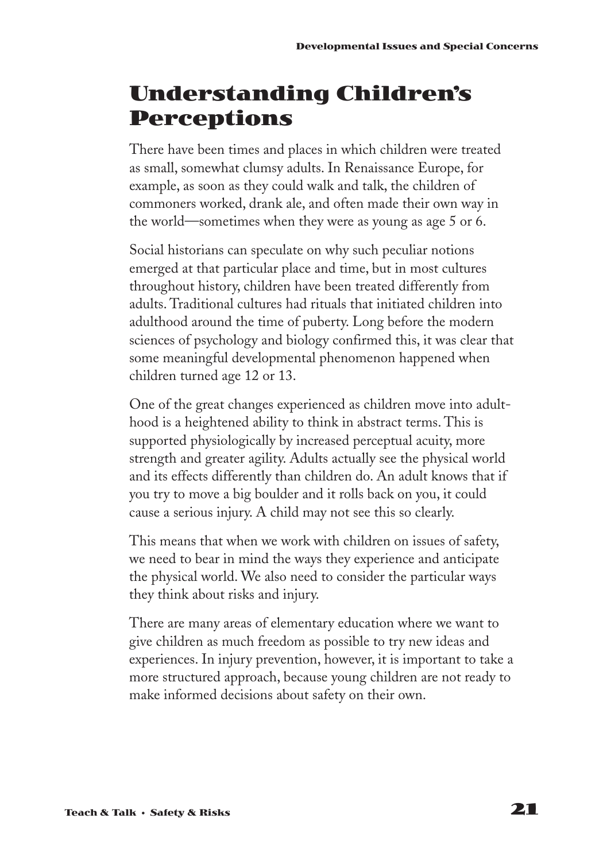# **Understanding Children's Perceptions**

There have been times and places in which children were treated as small, somewhat clumsy adults. In Renaissance Europe, for example, as soon as they could walk and talk, the children of commoners worked, drank ale, and often made their own way in the world—sometimes when they were as young as age 5 or 6.

Social historians can speculate on why such peculiar notions emerged at that particular place and time, but in most cultures throughout history, children have been treated differently from adults. Traditional cultures had rituals that initiated children into adulthood around the time of puberty. Long before the modern sciences of psychology and biology confirmed this, it was clear that some meaningful developmental phenomenon happened when children turned age 12 or 13.

One of the great changes experienced as children move into adulthood is a heightened ability to think in abstract terms. This is supported physiologically by increased perceptual acuity, more strength and greater agility. Adults actually see the physical world and its effects differently than children do. An adult knows that if you try to move a big boulder and it rolls back on you, it could cause a serious injury. A child may not see this so clearly.

This means that when we work with children on issues of safety, we need to bear in mind the ways they experience and anticipate the physical world. We also need to consider the particular ways they think about risks and injury.

There are many areas of elementary education where we want to give children as much freedom as possible to try new ideas and experiences. In injury prevention, however, it is important to take a more structured approach, because young children are not ready to make informed decisions about safety on their own.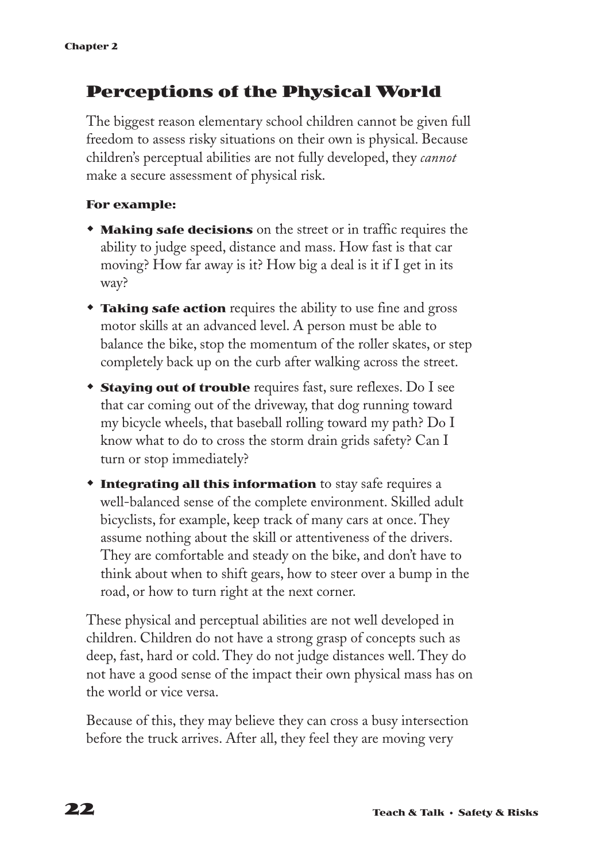#### **Perceptions of the Physical World**

The biggest reason elementary school children cannot be given full freedom to assess risky situations on their own is physical. Because children's perceptual abilities are not fully developed, they *cannot* make a secure assessment of physical risk.

#### **For example:**

- **Making safe decisions** on the street or in traffic requires the ability to judge speed, distance and mass. How fast is that car moving? How far away is it? How big a deal is it if I get in its way?
- **Taking safe action** requires the ability to use fine and gross motor skills at an advanced level. A person must be able to balance the bike, stop the momentum of the roller skates, or step completely back up on the curb after walking across the street.
- **Staying out of trouble** requires fast, sure reflexes. Do I see that car coming out of the driveway, that dog running toward my bicycle wheels, that baseball rolling toward my path? Do I know what to do to cross the storm drain grids safety? Can I turn or stop immediately?
- **Time 1 > Integrating all this information** to stay safe requires a well-balanced sense of the complete environment. Skilled adult bicyclists, for example, keep track of many cars at once. They assume nothing about the skill or attentiveness of the drivers. They are comfortable and steady on the bike, and don't have to think about when to shift gears, how to steer over a bump in the road, or how to turn right at the next corner.

These physical and perceptual abilities are not well developed in children. Children do not have a strong grasp of concepts such as deep, fast, hard or cold. They do not judge distances well. They do not have a good sense of the impact their own physical mass has on the world or vice versa.

Because of this, they may believe they can cross a busy intersection before the truck arrives. After all, they feel they are moving very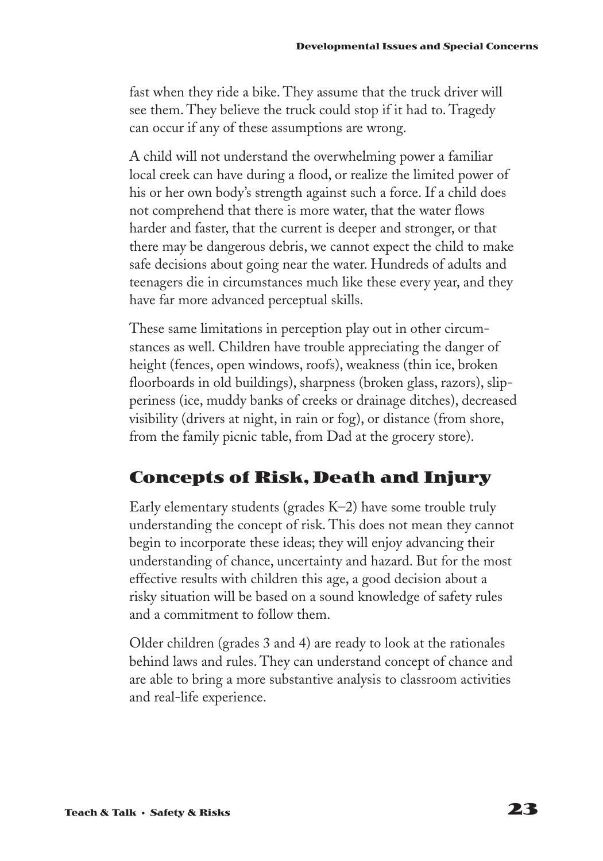fast when they ride a bike. They assume that the truck driver will see them. They believe the truck could stop if it had to. Tragedy can occur if any of these assumptions are wrong.

A child will not understand the overwhelming power a familiar local creek can have during a flood, or realize the limited power of his or her own body's strength against such a force. If a child does not comprehend that there is more water, that the water flows harder and faster, that the current is deeper and stronger, or that there may be dangerous debris, we cannot expect the child to make safe decisions about going near the water. Hundreds of adults and teenagers die in circumstances much like these every year, and they have far more advanced perceptual skills.

These same limitations in perception play out in other circumstances as well. Children have trouble appreciating the danger of height (fences, open windows, roofs), weakness (thin ice, broken floorboards in old buildings), sharpness (broken glass, razors), slipperiness (ice, muddy banks of creeks or drainage ditches), decreased visibility (drivers at night, in rain or fog), or distance (from shore, from the family picnic table, from Dad at the grocery store).

#### **Concepts of Risk, Death and Injury**

Early elementary students (grades K–2) have some trouble truly understanding the concept of risk. This does not mean they cannot begin to incorporate these ideas; they will enjoy advancing their understanding of chance, uncertainty and hazard. But for the most effective results with children this age, a good decision about a risky situation will be based on a sound knowledge of safety rules and a commitment to follow them.

Older children (grades 3 and 4) are ready to look at the rationales behind laws and rules. They can understand concept of chance and are able to bring a more substantive analysis to classroom activities and real-life experience.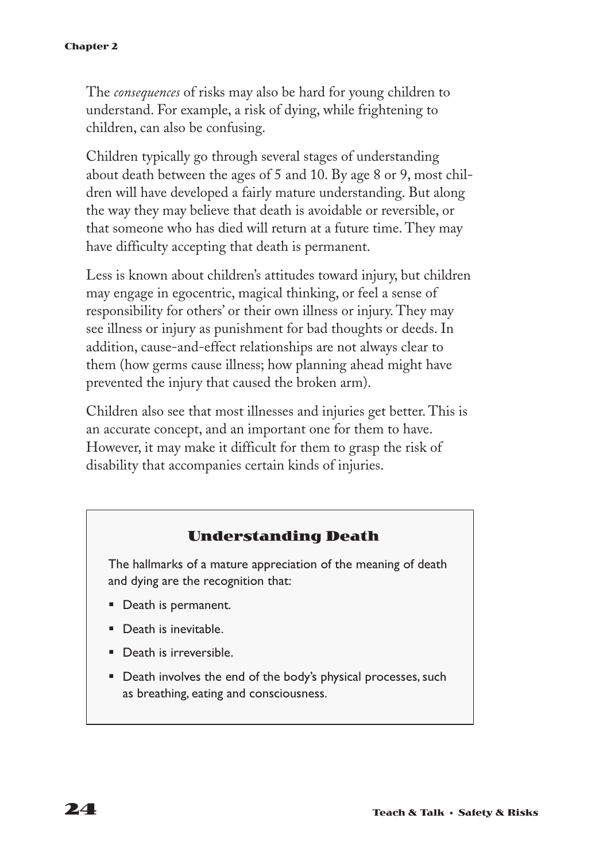#### **Chapter 2**

The *consequences* of risks may also be hard for young children to understand. For example, a risk of dying, while frightening to children, can also be confusing.

Children typically go through several stages of understanding about death between the ages of 5 and 10. By age 8 or 9, most children will have developed a fairly mature understanding. But along the way they may believe that death is avoidable or reversible, or that someone who has died will return at a future time. They may have difficulty accepting that death is permanent.

Less is known about children's attitudes toward injury, but children may engage in egocentric, magical thinking, or feel a sense of responsibility for others' or their own illness or injury. They may see illness or injury as punishment for bad thoughts or deeds. In addition, cause-and-effect relationships are not always clear to them (how germs cause illness; how planning ahead might have prevented the injury that caused the broken arm).

Children also see that most illnesses and injuries get better. This is an accurate concept, and an important one for them to have. However, it may make it difficult for them to grasp the risk of disability that accompanies certain kinds of injuries.

#### **Understanding Death**

The hallmarks of a mature appreciation of the meaning of death and dying are the recognition that:

- Death is permanent.
- Death is inevitable.
- **•** Death is irreversible.
- Death involves the end of the body's physical processes, such as breathing, eating and consciousness.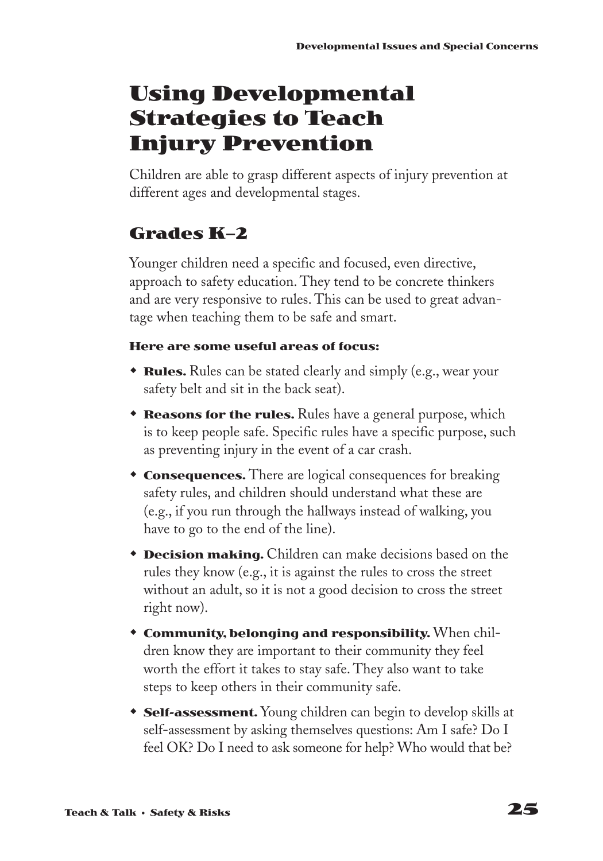# **Using Developmental Strategies to Teach Injury Prevention**

Children are able to grasp different aspects of injury prevention at different ages and developmental stages.

## **Grades K–2**

Younger children need a specific and focused, even directive, approach to safety education. They tend to be concrete thinkers and are very responsive to rules. This can be used to great advantage when teaching them to be safe and smart.

#### **Here are some useful areas of focus:**

- **\* Rules.** Rules can be stated clearly and simply (e.g., wear your safety belt and sit in the back seat).
- **Reasons for the rules.** Rules have a general purpose, which is to keep people safe. Specific rules have a specific purpose, such as preventing injury in the event of a car crash.
- **Consequences.** There are logical consequences for breaking safety rules, and children should understand what these are (e.g., if you run through the hallways instead of walking, you have to go to the end of the line).
- **Decision making.** Children can make decisions based on the rules they know (e.g., it is against the rules to cross the street without an adult, so it is not a good decision to cross the street right now).
- **Community, belonging and responsibility.** When children know they are important to their community they feel worth the effort it takes to stay safe. They also want to take steps to keep others in their community safe.
- **Self-assessment.** Young children can begin to develop skills at self-assessment by asking themselves questions: Am I safe? Do I feel OK? Do I need to ask someone for help? Who would that be?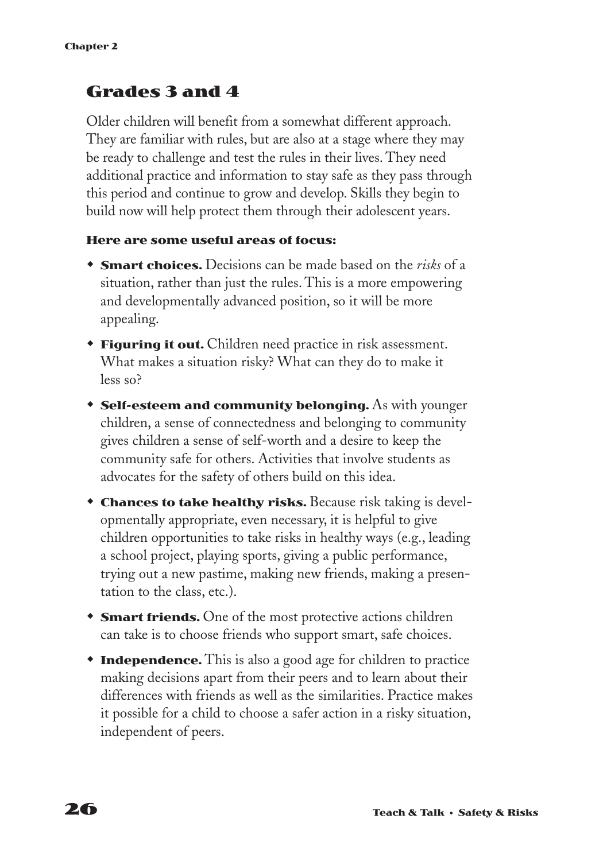#### **Grades 3 and 4**

Older children will benefit from a somewhat different approach. They are familiar with rules, but are also at a stage where they may be ready to challenge and test the rules in their lives. They need additional practice and information to stay safe as they pass through this period and continue to grow and develop. Skills they begin to build now will help protect them through their adolescent years.

#### **Here are some useful areas of focus:**

- **Smart choices.** Decisions can be made based on the *risks* of a situation, rather than just the rules. This is a more empowering and developmentally advanced position, so it will be more appealing.
- **Figuring it out.** Children need practice in risk assessment. What makes a situation risky? What can they do to make it less so?
- **Self-esteem and community belonging.** As with younger children, a sense of connectedness and belonging to community gives children a sense of self-worth and a desire to keep the community safe for others. Activities that involve students as advocates for the safety of others build on this idea.
- **Chances to take healthy risks.** Because risk taking is developmentally appropriate, even necessary, it is helpful to give children opportunities to take risks in healthy ways (e.g., leading a school project, playing sports, giving a public performance, trying out a new pastime, making new friends, making a presentation to the class, etc.).
- **Smart friends.** One of the most protective actions children can take is to choose friends who support smart, safe choices.
- **Independence.** This is also a good age for children to practice making decisions apart from their peers and to learn about their differences with friends as well as the similarities. Practice makes it possible for a child to choose a safer action in a risky situation, independent of peers.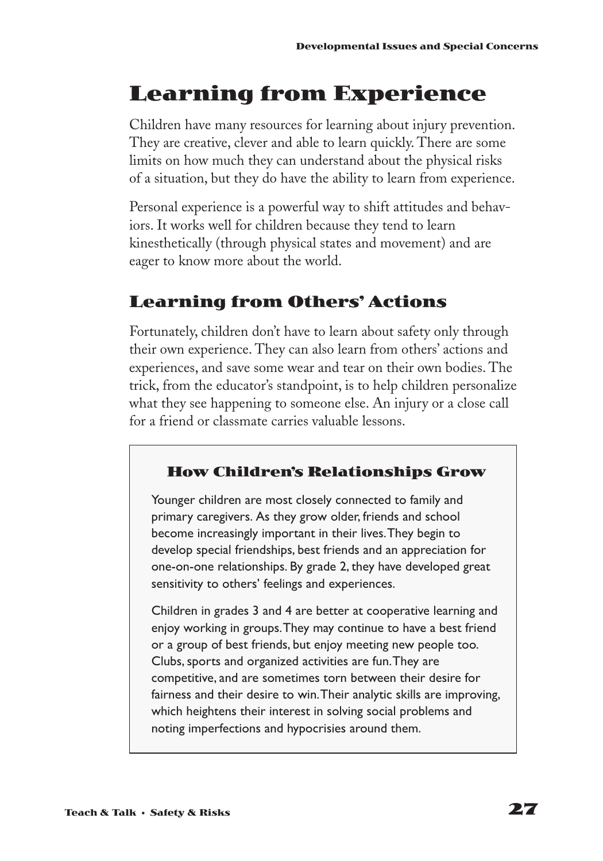# **Learning from Experience**

Children have many resources for learning about injury prevention. They are creative, clever and able to learn quickly. There are some limits on how much they can understand about the physical risks of a situation, but they do have the ability to learn from experience.

Personal experience is a powerful way to shift attitudes and behaviors. It works well for children because they tend to learn kinesthetically (through physical states and movement) and are eager to know more about the world.

### **Learning from Others' Actions**

Fortunately, children don't have to learn about safety only through their own experience. They can also learn from others' actions and experiences, and save some wear and tear on their own bodies. The trick, from the educator's standpoint, is to help children personalize what they see happening to someone else. An injury or a close call for a friend or classmate carries valuable lessons.

#### **How Children's Relationships Grow**

Younger children are most closely connected to family and primary caregivers. As they grow older, friends and school become increasingly important in their lives.They begin to develop special friendships, best friends and an appreciation for one-on-one relationships. By grade 2, they have developed great sensitivity to others' feelings and experiences.

Children in grades 3 and 4 are better at cooperative learning and enjoy working in groups.They may continue to have a best friend or a group of best friends, but enjoy meeting new people too. Clubs, sports and organized activities are fun.They are competitive, and are sometimes torn between their desire for fairness and their desire to win.Their analytic skills are improving, which heightens their interest in solving social problems and noting imperfections and hypocrisies around them.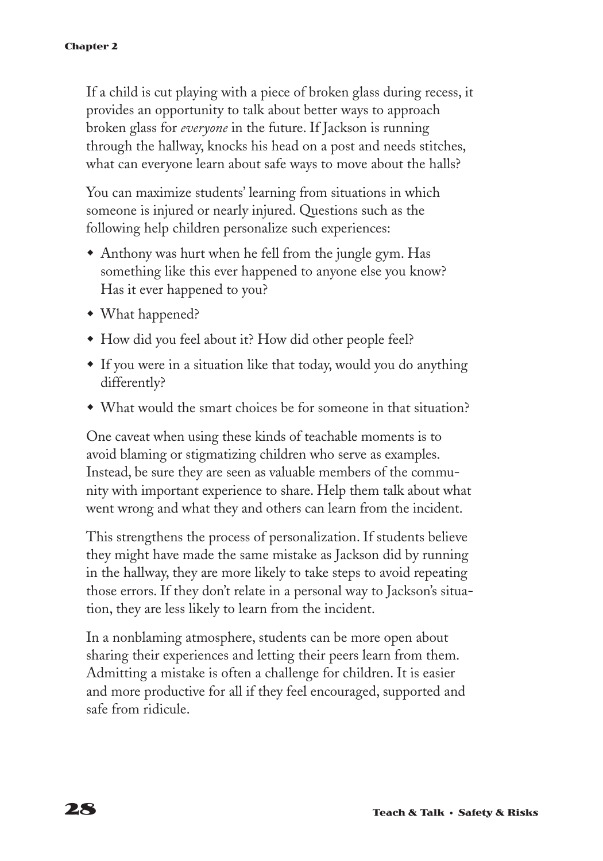If a child is cut playing with a piece of broken glass during recess, it provides an opportunity to talk about better ways to approach broken glass for *everyone* in the future. If Jackson is running through the hallway, knocks his head on a post and needs stitches, what can everyone learn about safe ways to move about the halls?

You can maximize students' learning from situations in which someone is injured or nearly injured. Questions such as the following help children personalize such experiences:

- Anthony was hurt when he fell from the jungle gym. Has something like this ever happened to anyone else you know? Has it ever happened to you?
- What happened?
- w How did you feel about it? How did other people feel?
- If you were in a situation like that today, would you do anything differently?
- What would the smart choices be for someone in that situation?

One caveat when using these kinds of teachable moments is to avoid blaming or stigmatizing children who serve as examples. Instead, be sure they are seen as valuable members of the community with important experience to share. Help them talk about what went wrong and what they and others can learn from the incident.

This strengthens the process of personalization. If students believe they might have made the same mistake as Jackson did by running in the hallway, they are more likely to take steps to avoid repeating those errors. If they don't relate in a personal way to Jackson's situation, they are less likely to learn from the incident.

In a nonblaming atmosphere, students can be more open about sharing their experiences and letting their peers learn from them. Admitting a mistake is often a challenge for children. It is easier and more productive for all if they feel encouraged, supported and safe from ridicule.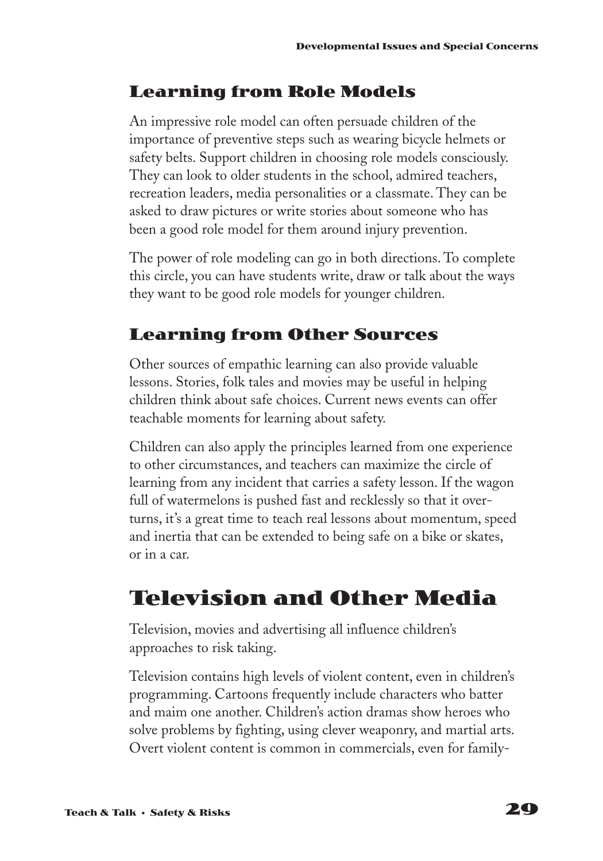### **Learning from Role Models**

An impressive role model can often persuade children of the importance of preventive steps such as wearing bicycle helmets or safety belts. Support children in choosing role models consciously. They can look to older students in the school, admired teachers, recreation leaders, media personalities or a classmate. They can be asked to draw pictures or write stories about someone who has been a good role model for them around injury prevention.

The power of role modeling can go in both directions. To complete this circle, you can have students write, draw or talk about the ways they want to be good role models for younger children.

### **Learning from Other Sources**

Other sources of empathic learning can also provide valuable lessons. Stories, folk tales and movies may be useful in helping children think about safe choices. Current news events can offer teachable moments for learning about safety.

Children can also apply the principles learned from one experience to other circumstances, and teachers can maximize the circle of learning from any incident that carries a safety lesson. If the wagon full of watermelons is pushed fast and recklessly so that it overturns, it's a great time to teach real lessons about momentum, speed and inertia that can be extended to being safe on a bike or skates, or in a car.

# **Television and Other Media**

Television, movies and advertising all influence children's approaches to risk taking.

Television contains high levels of violent content, even in children's programming. Cartoons frequently include characters who batter and maim one another. Children's action dramas show heroes who solve problems by fighting, using clever weaponry, and martial arts. Overt violent content is common in commercials, even for family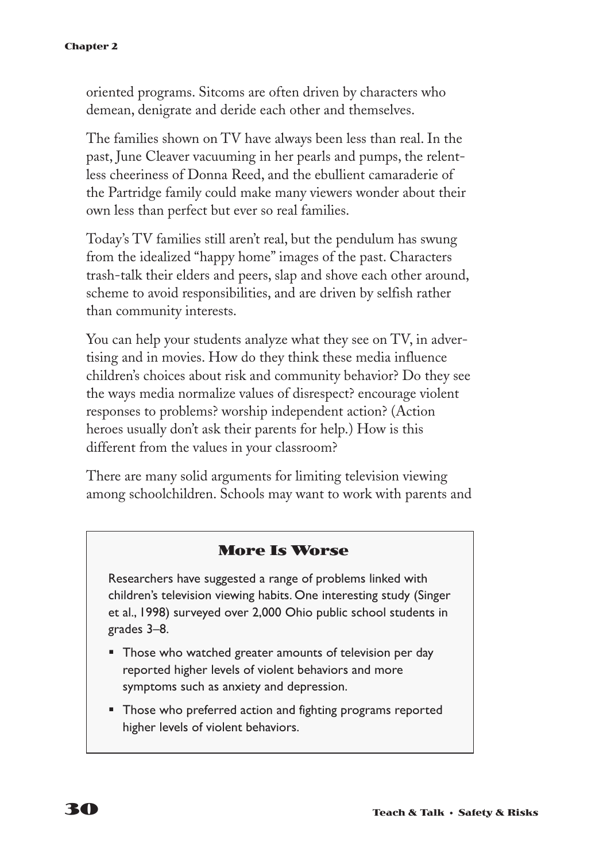oriented programs. Sitcoms are often driven by characters who demean, denigrate and deride each other and themselves.

The families shown on TV have always been less than real. In the past, June Cleaver vacuuming in her pearls and pumps, the relentless cheeriness of Donna Reed, and the ebullient camaraderie of the Partridge family could make many viewers wonder about their own less than perfect but ever so real families.

Today's TV families still aren't real, but the pendulum has swung from the idealized "happy home" images of the past. Characters trash-talk their elders and peers, slap and shove each other around, scheme to avoid responsibilities, and are driven by selfish rather than community interests.

You can help your students analyze what they see on TV, in advertising and in movies. How do they think these media influence children's choices about risk and community behavior? Do they see the ways media normalize values of disrespect? encourage violent responses to problems? worship independent action? (Action heroes usually don't ask their parents for help.) How is this different from the values in your classroom?

There are many solid arguments for limiting television viewing among schoolchildren. Schools may want to work with parents and

#### **More Is Worse**

Researchers have suggested a range of problems linked with children's television viewing habits. One interesting study (Singer et al., 1998) surveyed over 2,000 Ohio public school students in grades 3–8.

- Those who watched greater amounts of television per day reported higher levels of violent behaviors and more symptoms such as anxiety and depression.
- Those who preferred action and fighting programs reported higher levels of violent behaviors.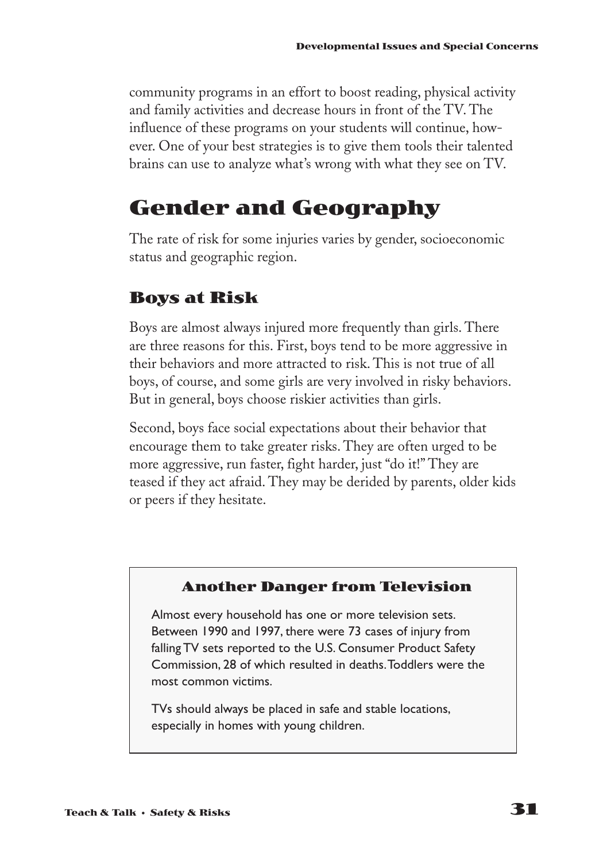community programs in an effort to boost reading, physical activity and family activities and decrease hours in front of the TV. The influence of these programs on your students will continue, however. One of your best strategies is to give them tools their talented brains can use to analyze what's wrong with what they see on TV.

## **Gender and Geography**

The rate of risk for some injuries varies by gender, socioeconomic status and geographic region.

### **Boys at Risk**

Boys are almost always injured more frequently than girls. There are three reasons for this. First, boys tend to be more aggressive in their behaviors and more attracted to risk. This is not true of all boys, of course, and some girls are very involved in risky behaviors. But in general, boys choose riskier activities than girls.

Second, boys face social expectations about their behavior that encourage them to take greater risks. They are often urged to be more aggressive, run faster, fight harder, just "do it!" They are teased if they act afraid. They may be derided by parents, older kids or peers if they hesitate.

#### **Another Danger from Television**

Almost every household has one or more television sets. Between 1990 and 1997, there were 73 cases of injury from falling TV sets reported to the U.S. Consumer Product Safety Commission, 28 of which resulted in deaths.Toddlers were the most common victims.

TVs should always be placed in safe and stable locations, especially in homes with young children.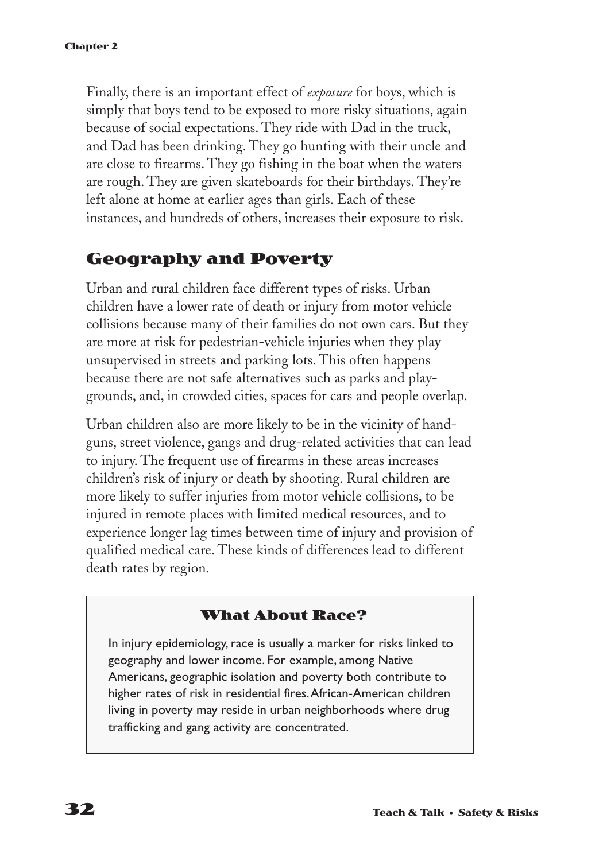Finally, there is an important effect of *exposure* for boys, which is simply that boys tend to be exposed to more risky situations, again because of social expectations. They ride with Dad in the truck, and Dad has been drinking. They go hunting with their uncle and are close to firearms. They go fishing in the boat when the waters are rough. They are given skateboards for their birthdays. They're left alone at home at earlier ages than girls. Each of these instances, and hundreds of others, increases their exposure to risk.

### **Geography and Poverty**

Urban and rural children face different types of risks. Urban children have a lower rate of death or injury from motor vehicle collisions because many of their families do not own cars. But they are more at risk for pedestrian-vehicle injuries when they play unsupervised in streets and parking lots. This often happens because there are not safe alternatives such as parks and playgrounds, and, in crowded cities, spaces for cars and people overlap.

Urban children also are more likely to be in the vicinity of handguns, street violence, gangs and drug-related activities that can lead to injury. The frequent use of firearms in these areas increases children's risk of injury or death by shooting. Rural children are more likely to suffer injuries from motor vehicle collisions, to be injured in remote places with limited medical resources, and to experience longer lag times between time of injury and provision of qualified medical care. These kinds of differences lead to different death rates by region.

#### **What About Race?**

In injury epidemiology, race is usually a marker for risks linked to geography and lower income. For example, among Native Americans, geographic isolation and poverty both contribute to higher rates of risk in residential fires.African-American children living in poverty may reside in urban neighborhoods where drug trafficking and gang activity are concentrated.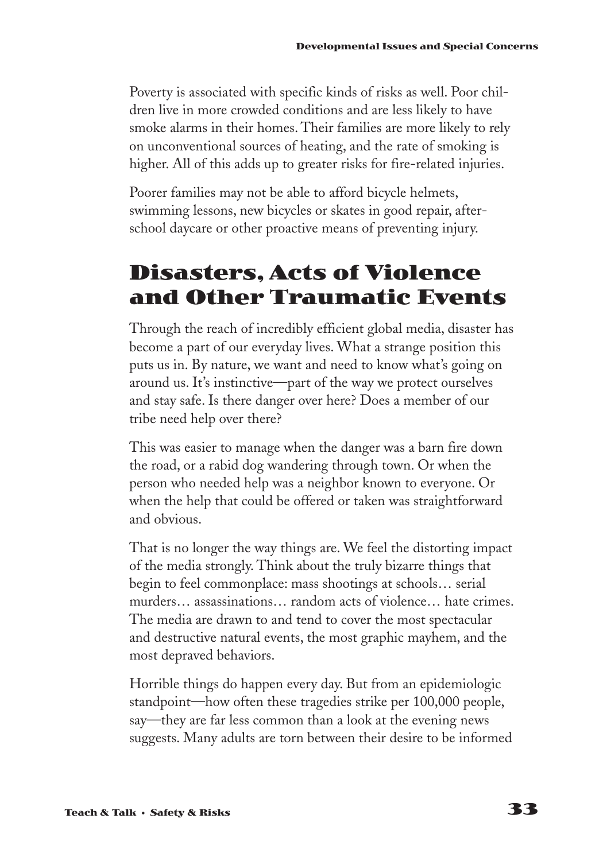Poverty is associated with specific kinds of risks as well. Poor children live in more crowded conditions and are less likely to have smoke alarms in their homes. Their families are more likely to rely on unconventional sources of heating, and the rate of smoking is higher. All of this adds up to greater risks for fire-related injuries.

Poorer families may not be able to afford bicycle helmets, swimming lessons, new bicycles or skates in good repair, afterschool daycare or other proactive means of preventing injury.

## **Disasters, Acts of Violence and Other Traumatic Events**

Through the reach of incredibly efficient global media, disaster has become a part of our everyday lives. What a strange position this puts us in. By nature, we want and need to know what's going on around us. It's instinctive—part of the way we protect ourselves and stay safe. Is there danger over here? Does a member of our tribe need help over there?

This was easier to manage when the danger was a barn fire down the road, or a rabid dog wandering through town. Or when the person who needed help was a neighbor known to everyone. Or when the help that could be offered or taken was straightforward and obvious.

That is no longer the way things are. We feel the distorting impact of the media strongly. Think about the truly bizarre things that begin to feel commonplace: mass shootings at schools… serial murders… assassinations… random acts of violence… hate crimes. The media are drawn to and tend to cover the most spectacular and destructive natural events, the most graphic mayhem, and the most depraved behaviors.

Horrible things do happen every day. But from an epidemiologic standpoint—how often these tragedies strike per 100,000 people, say—they are far less common than a look at the evening news suggests. Many adults are torn between their desire to be informed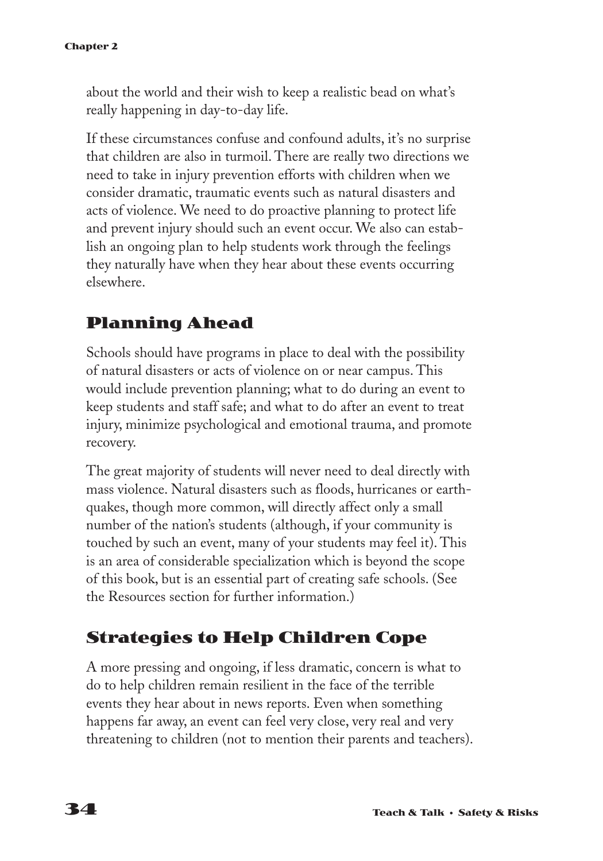about the world and their wish to keep a realistic bead on what's really happening in day-to-day life.

If these circumstances confuse and confound adults, it's no surprise that children are also in turmoil. There are really two directions we need to take in injury prevention efforts with children when we consider dramatic, traumatic events such as natural disasters and acts of violence. We need to do proactive planning to protect life and prevent injury should such an event occur. We also can establish an ongoing plan to help students work through the feelings they naturally have when they hear about these events occurring elsewhere.

### **Planning Ahead**

Schools should have programs in place to deal with the possibility of natural disasters or acts of violence on or near campus. This would include prevention planning; what to do during an event to keep students and staff safe; and what to do after an event to treat injury, minimize psychological and emotional trauma, and promote recovery.

The great majority of students will never need to deal directly with mass violence. Natural disasters such as floods, hurricanes or earthquakes, though more common, will directly affect only a small number of the nation's students (although, if your community is touched by such an event, many of your students may feel it). This is an area of considerable specialization which is beyond the scope of this book, but is an essential part of creating safe schools. (See the Resources section for further information.)

### **Strategies to Help Children Cope**

A more pressing and ongoing, if less dramatic, concern is what to do to help children remain resilient in the face of the terrible events they hear about in news reports. Even when something happens far away, an event can feel very close, very real and very threatening to children (not to mention their parents and teachers).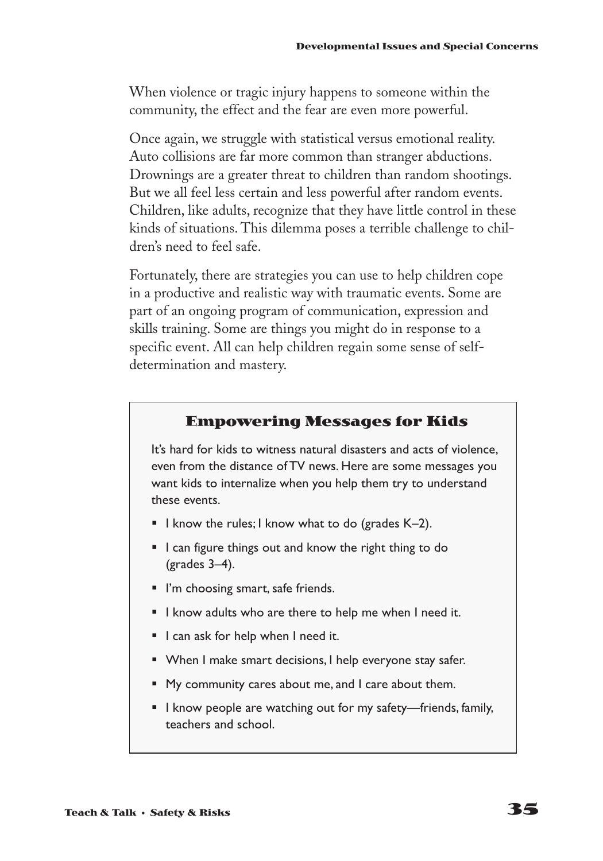When violence or tragic injury happens to someone within the community, the effect and the fear are even more powerful.

Once again, we struggle with statistical versus emotional reality. Auto collisions are far more common than stranger abductions. Drownings are a greater threat to children than random shootings. But we all feel less certain and less powerful after random events. Children, like adults, recognize that they have little control in these kinds of situations. This dilemma poses a terrible challenge to children's need to feel safe.

Fortunately, there are strategies you can use to help children cope in a productive and realistic way with traumatic events. Some are part of an ongoing program of communication, expression and skills training. Some are things you might do in response to a specific event. All can help children regain some sense of selfdetermination and mastery.

#### **Empowering Messages for Kids**

It's hard for kids to witness natural disasters and acts of violence, even from the distance of TV news. Here are some messages you want kids to internalize when you help them try to understand these events.

- **I** know the rules; I know what to do (grades  $K-2$ ).
- I can figure things out and know the right thing to do (grades 3–4).
- I'm choosing smart, safe friends.
- § I know adults who are there to help me when I need it.
- I can ask for help when I need it.
- When I make smart decisions, I help everyone stay safer.
- My community cares about me, and I care about them.
- I know people are watching out for my safety—friends, family, teachers and school.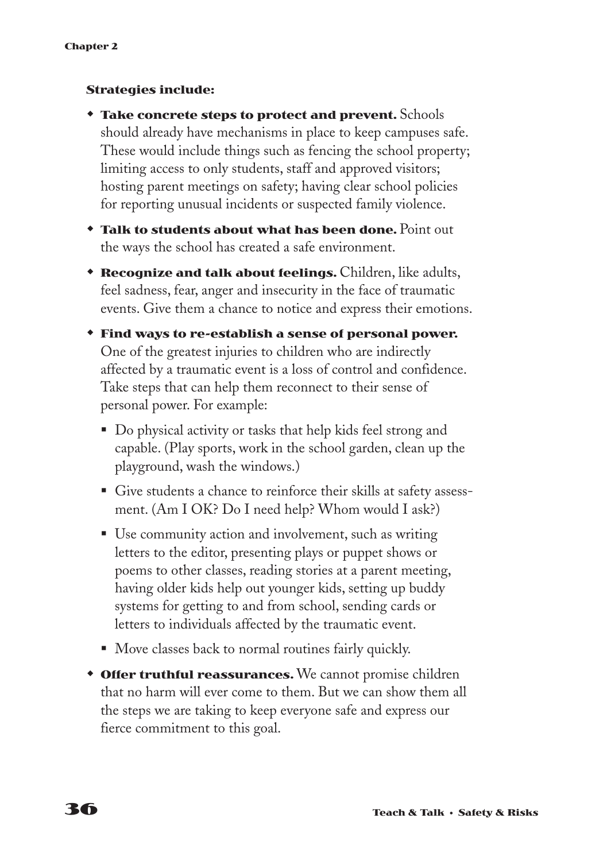#### **Strategies include:**

- w **Take concrete steps to protect and prevent.** Schools should already have mechanisms in place to keep campuses safe. These would include things such as fencing the school property; limiting access to only students, staff and approved visitors; hosting parent meetings on safety; having clear school policies for reporting unusual incidents or suspected family violence.
- w **Talk to students about what has been done.** Point out the ways the school has created a safe environment.
- **Recognize and talk about feelings.** Children, like adults, feel sadness, fear, anger and insecurity in the face of traumatic events. Give them a chance to notice and express their emotions.
- w **Find ways to re-establish a sense of personal power.** One of the greatest injuries to children who are indirectly affected by a traumatic event is a loss of control and confidence. Take steps that can help them reconnect to their sense of personal power. For example:
	- § Do physical activity or tasks that help kids feel strong and capable. (Play sports, work in the school garden, clean up the playground, wash the windows.)
	- § Give students a chance to reinforce their skills at safety assessment. (Am I OK? Do I need help? Whom would I ask?)
	- Use community action and involvement, such as writing letters to the editor, presenting plays or puppet shows or poems to other classes, reading stories at a parent meeting, having older kids help out younger kids, setting up buddy systems for getting to and from school, sending cards or letters to individuals affected by the traumatic event.
	- Move classes back to normal routines fairly quickly.
- **\* Offer truthful reassurances.** We cannot promise children that no harm will ever come to them. But we can show them all the steps we are taking to keep everyone safe and express our fierce commitment to this goal.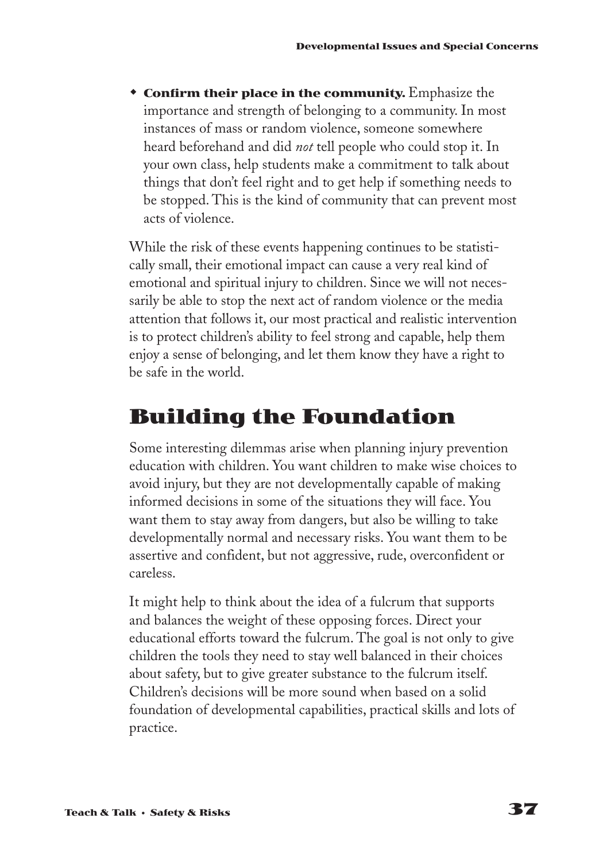**\* Confirm their place in the community.** Emphasize the importance and strength of belonging to a community. In most instances of mass or random violence, someone somewhere heard beforehand and did *not* tell people who could stop it. In your own class, help students make a commitment to talk about things that don't feel right and to get help if something needs to be stopped. This is the kind of community that can prevent most acts of violence.

While the risk of these events happening continues to be statistically small, their emotional impact can cause a very real kind of emotional and spiritual injury to children. Since we will not necessarily be able to stop the next act of random violence or the media attention that follows it, our most practical and realistic intervention is to protect children's ability to feel strong and capable, help them enjoy a sense of belonging, and let them know they have a right to be safe in the world.

## **Building the Foundation**

Some interesting dilemmas arise when planning injury prevention education with children. You want children to make wise choices to avoid injury, but they are not developmentally capable of making informed decisions in some of the situations they will face. You want them to stay away from dangers, but also be willing to take developmentally normal and necessary risks. You want them to be assertive and confident, but not aggressive, rude, overconfident or careless.

It might help to think about the idea of a fulcrum that supports and balances the weight of these opposing forces. Direct your educational efforts toward the fulcrum. The goal is not only to give children the tools they need to stay well balanced in their choices about safety, but to give greater substance to the fulcrum itself. Children's decisions will be more sound when based on a solid foundation of developmental capabilities, practical skills and lots of practice.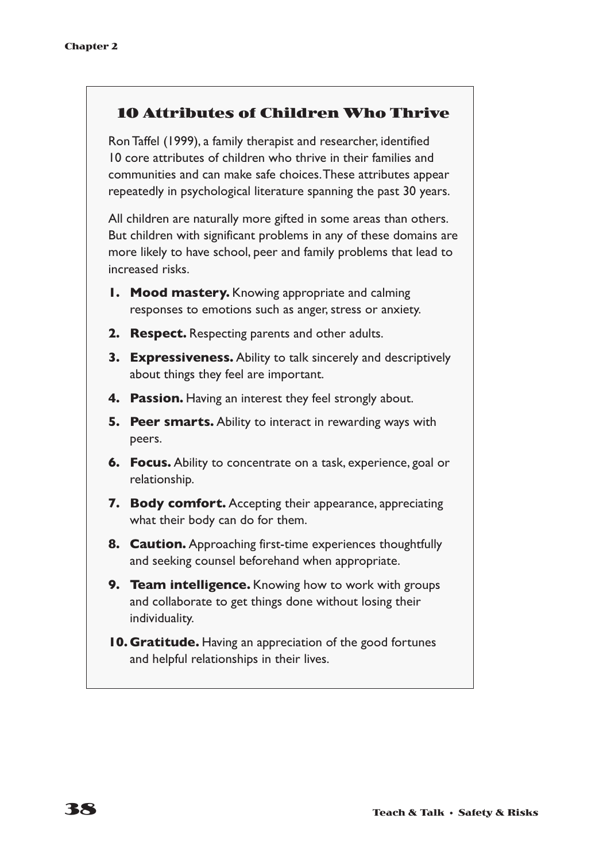#### **10 Attributes of Children Who Thrive**

Ron Taffel (1999), a family therapist and researcher, identified 10 core attributes of children who thrive in their families and communities and can make safe choices.These attributes appear repeatedly in psychological literature spanning the past 30 years.

All children are naturally more gifted in some areas than others. But children with significant problems in any of these domains are more likely to have school, peer and family problems that lead to increased risks.

- **1. Mood mastery.** Knowing appropriate and calming responses to emotions such as anger, stress or anxiety.
- **2. Respect.** Respecting parents and other adults.
- **3. Expressiveness.** Ability to talk sincerely and descriptively about things they feel are important.
- **4. Passion.** Having an interest they feel strongly about.
- **5. Peer smarts.** Ability to interact in rewarding ways with peers.
- **6. Focus.** Ability to concentrate on a task, experience, goal or relationship.
- **7. Body comfort.** Accepting their appearance, appreciating what their body can do for them.
- **8. Caution.** Approaching first-time experiences thoughtfully and seeking counsel beforehand when appropriate.
- **9. Team intelligence.** Knowing how to work with groups and collaborate to get things done without losing their individuality.
- **10. Gratitude.** Having an appreciation of the good fortunes and helpful relationships in their lives.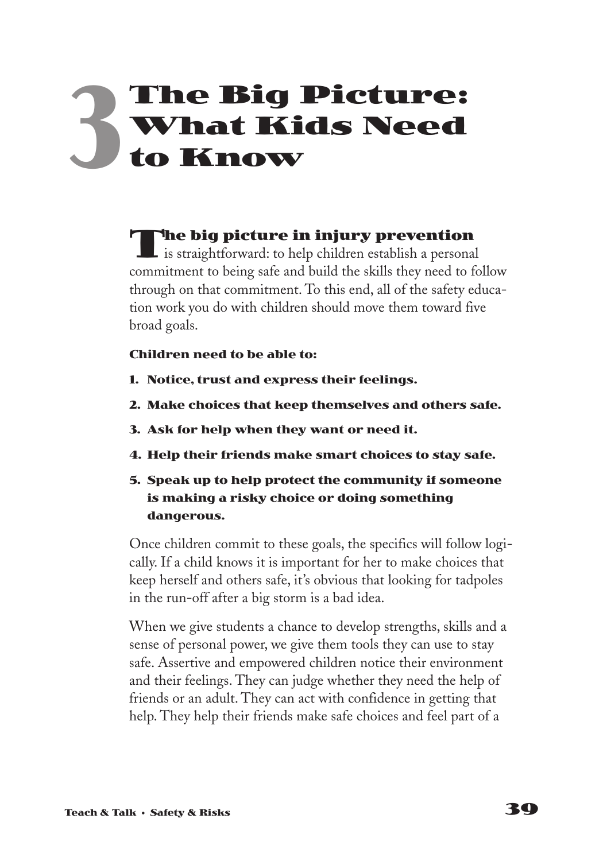# **The Big Picture: What Kids Need to Know 3**

**The big picture in injury prevention**  $\blacksquare$  is straightforward: to help children establish a personal commitment to being safe and build the skills they need to follow through on that commitment. To this end, all of the safety education work you do with children should move them toward five broad goals.

#### **Children need to be able to:**

- **1. Notice, trust and express their feelings.**
- **2. Make choices that keep themselves and others safe.**
- **3. Ask for help when they want or need it.**
- **4. Help their friends make smart choices to stay safe.**
- **5. Speak up to help protect the community if someone is making a risky choice or doing something dangerous.**

Once children commit to these goals, the specifics will follow logically. If a child knows it is important for her to make choices that keep herself and others safe, it's obvious that looking for tadpoles in the run-off after a big storm is a bad idea.

When we give students a chance to develop strengths, skills and a sense of personal power, we give them tools they can use to stay safe. Assertive and empowered children notice their environment and their feelings. They can judge whether they need the help of friends or an adult. They can act with confidence in getting that help. They help their friends make safe choices and feel part of a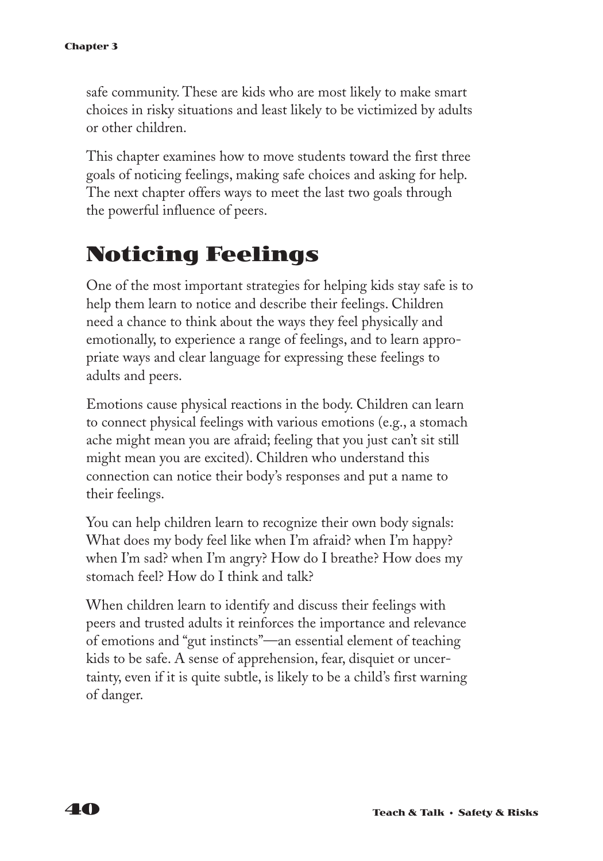safe community. These are kids who are most likely to make smart choices in risky situations and least likely to be victimized by adults or other children.

This chapter examines how to move students toward the first three goals of noticing feelings, making safe choices and asking for help. The next chapter offers ways to meet the last two goals through the powerful influence of peers.

## **Noticing Feelings**

One of the most important strategies for helping kids stay safe is to help them learn to notice and describe their feelings. Children need a chance to think about the ways they feel physically and emotionally, to experience a range of feelings, and to learn appropriate ways and clear language for expressing these feelings to adults and peers.

Emotions cause physical reactions in the body. Children can learn to connect physical feelings with various emotions (e.g., a stomach ache might mean you are afraid; feeling that you just can't sit still might mean you are excited). Children who understand this connection can notice their body's responses and put a name to their feelings.

You can help children learn to recognize their own body signals: What does my body feel like when I'm afraid? when I'm happy? when I'm sad? when I'm angry? How do I breathe? How does my stomach feel? How do I think and talk?

When children learn to identify and discuss their feelings with peers and trusted adults it reinforces the importance and relevance of emotions and "gut instincts"—an essential element of teaching kids to be safe. A sense of apprehension, fear, disquiet or uncertainty, even if it is quite subtle, is likely to be a child's first warning of danger.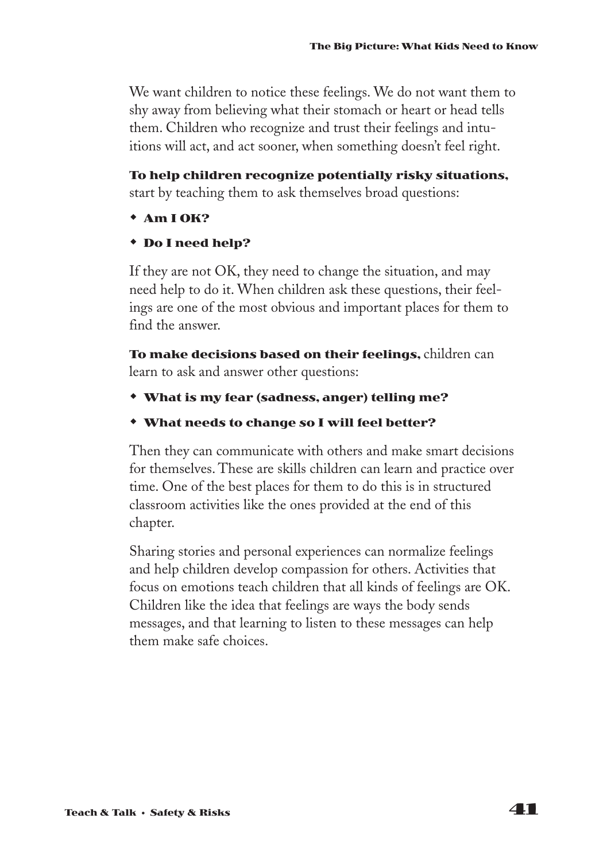We want children to notice these feelings. We do not want them to shy away from believing what their stomach or heart or head tells them. Children who recognize and trust their feelings and intuitions will act, and act sooner, when something doesn't feel right.

**To help children recognize potentially risky situations,** start by teaching them to ask themselves broad questions:

- $*$  Am I OK?
- w **Do I need help?**

If they are not OK, they need to change the situation, and may need help to do it. When children ask these questions, their feelings are one of the most obvious and important places for them to find the answer.

**To make decisions based on their feelings,** children can learn to ask and answer other questions:

- w **What is my fear (sadness, anger) telling me?**
- w **What needs to change so I will feel better?**

Then they can communicate with others and make smart decisions for themselves. These are skills children can learn and practice over time. One of the best places for them to do this is in structured classroom activities like the ones provided at the end of this chapter.

Sharing stories and personal experiences can normalize feelings and help children develop compassion for others. Activities that focus on emotions teach children that all kinds of feelings are OK. Children like the idea that feelings are ways the body sends messages, and that learning to listen to these messages can help them make safe choices.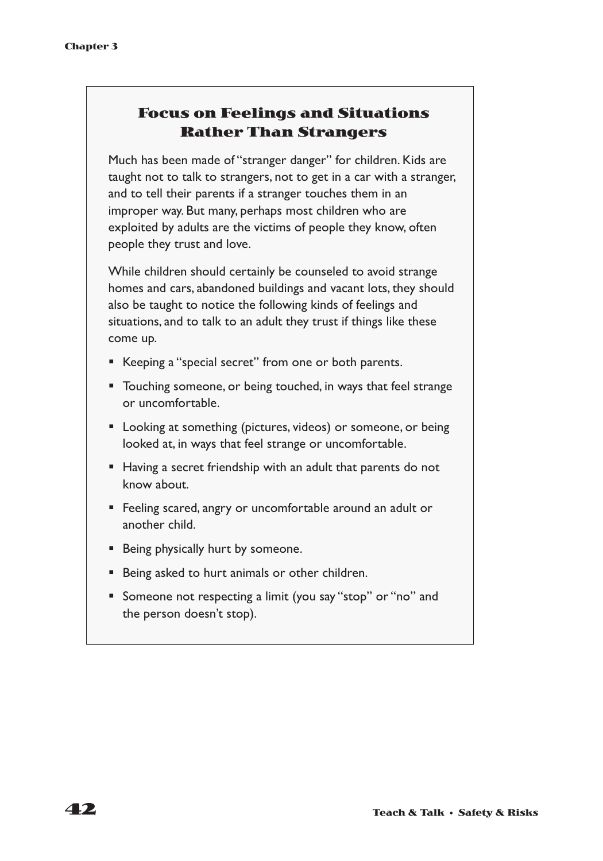#### **Focus on Feelings and Situations Rather Than Strangers**

Much has been made of "stranger danger" for children. Kids are taught not to talk to strangers, not to get in a car with a stranger, and to tell their parents if a stranger touches them in an improper way. But many, perhaps most children who are exploited by adults are the victims of people they know, often people they trust and love.

While children should certainly be counseled to avoid strange homes and cars, abandoned buildings and vacant lots, they should also be taught to notice the following kinds of feelings and situations, and to talk to an adult they trust if things like these come up.

- Keeping a "special secret" from one or both parents.
- Touching someone, or being touched, in ways that feel strange or uncomfortable.
- Looking at something (pictures, videos) or someone, or being looked at, in ways that feel strange or uncomfortable.
- Having a secret friendship with an adult that parents do not know about.
- Feeling scared, angry or uncomfortable around an adult or another child.
- Being physically hurt by someone.
- Being asked to hurt animals or other children.
- Someone not respecting a limit (you say "stop" or "no" and the person doesn't stop).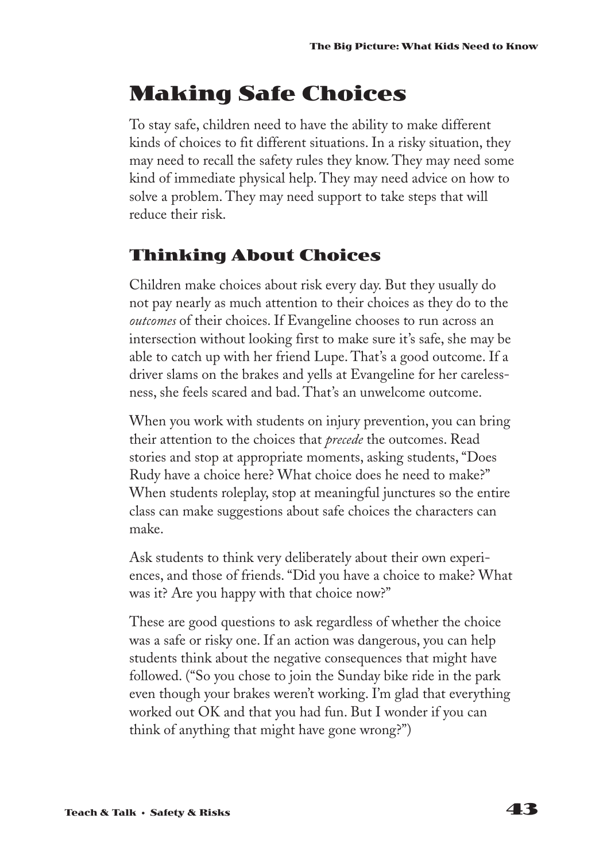# **Making Safe Choices**

To stay safe, children need to have the ability to make different kinds of choices to fit different situations. In a risky situation, they may need to recall the safety rules they know. They may need some kind of immediate physical help. They may need advice on how to solve a problem. They may need support to take steps that will reduce their risk.

### **Thinking About Choices**

Children make choices about risk every day. But they usually do not pay nearly as much attention to their choices as they do to the *outcomes* of their choices. If Evangeline chooses to run across an intersection without looking first to make sure it's safe, she may be able to catch up with her friend Lupe. That's a good outcome. If a driver slams on the brakes and yells at Evangeline for her carelessness, she feels scared and bad. That's an unwelcome outcome.

When you work with students on injury prevention, you can bring their attention to the choices that *precede* the outcomes. Read stories and stop at appropriate moments, asking students, "Does Rudy have a choice here? What choice does he need to make?" When students roleplay, stop at meaningful junctures so the entire class can make suggestions about safe choices the characters can make.

Ask students to think very deliberately about their own experiences, and those of friends. "Did you have a choice to make? What was it? Are you happy with that choice now?"

These are good questions to ask regardless of whether the choice was a safe or risky one. If an action was dangerous, you can help students think about the negative consequences that might have followed. ("So you chose to join the Sunday bike ride in the park even though your brakes weren't working. I'm glad that everything worked out OK and that you had fun. But I wonder if you can think of anything that might have gone wrong?")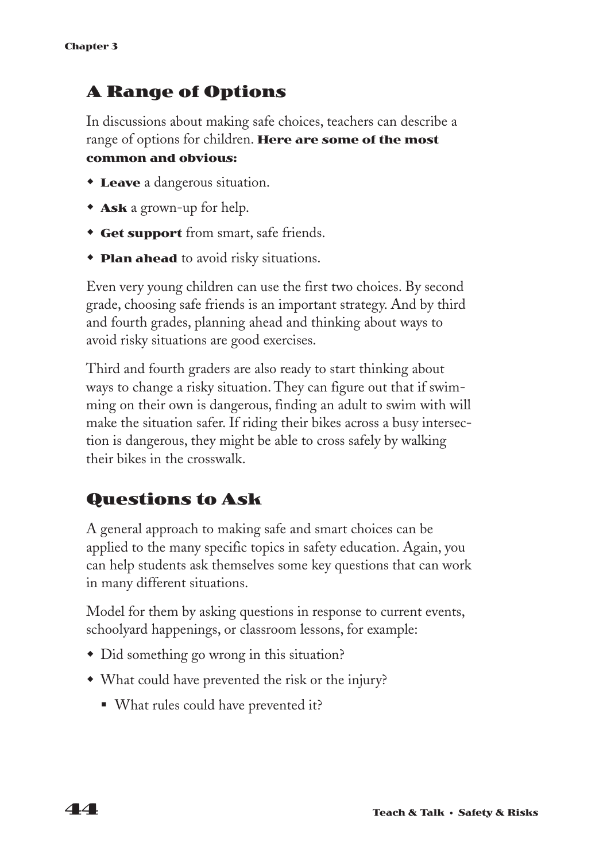### **A Range of Options**

In discussions about making safe choices, teachers can describe a range of options for children. **Here are some of the most common and obvious:**

- **Leave** a dangerous situation.
- **Ask** a grown-up for help.
- **Get support** from smart, safe friends.
- **Plan ahead** to avoid risky situations.

Even very young children can use the first two choices. By second grade, choosing safe friends is an important strategy. And by third and fourth grades, planning ahead and thinking about ways to avoid risky situations are good exercises.

Third and fourth graders are also ready to start thinking about ways to change a risky situation. They can figure out that if swimming on their own is dangerous, finding an adult to swim with will make the situation safer. If riding their bikes across a busy intersection is dangerous, they might be able to cross safely by walking their bikes in the crosswalk.

### **Questions to Ask**

A general approach to making safe and smart choices can be applied to the many specific topics in safety education. Again, you can help students ask themselves some key questions that can work in many different situations.

Model for them by asking questions in response to current events, schoolyard happenings, or classroom lessons, for example:

- Did something go wrong in this situation?
- What could have prevented the risk or the injury?
	- What rules could have prevented it?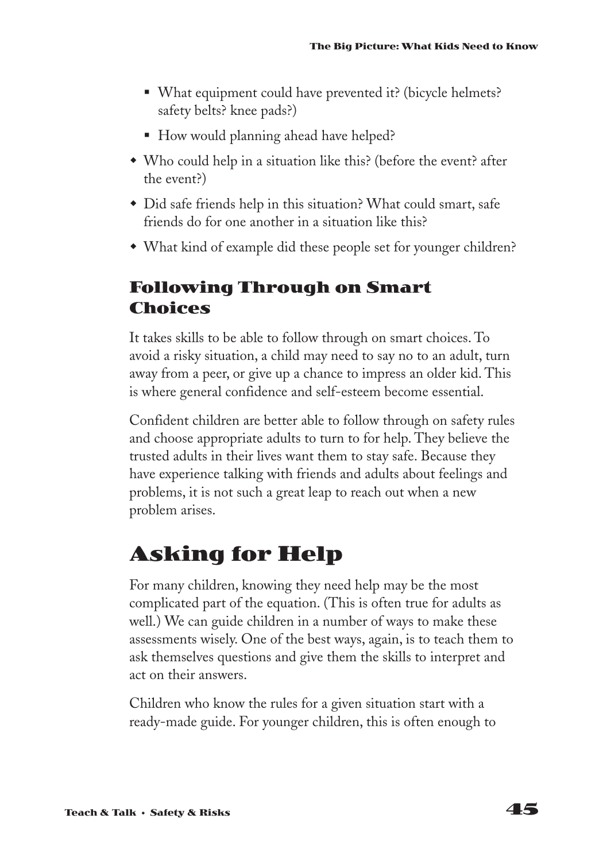- What equipment could have prevented it? (bicycle helmets? safety belts? knee pads?)
- How would planning ahead have helped?
- Who could help in a situation like this? (before the event? after the event?)
- Did safe friends help in this situation? What could smart, safe friends do for one another in a situation like this?
- What kind of example did these people set for younger children?

### **Following Through on Smart Choices**

It takes skills to be able to follow through on smart choices. To avoid a risky situation, a child may need to say no to an adult, turn away from a peer, or give up a chance to impress an older kid. This is where general confidence and self-esteem become essential.

Confident children are better able to follow through on safety rules and choose appropriate adults to turn to for help. They believe the trusted adults in their lives want them to stay safe. Because they have experience talking with friends and adults about feelings and problems, it is not such a great leap to reach out when a new problem arises.

## **Asking for Help**

For many children, knowing they need help may be the most complicated part of the equation. (This is often true for adults as well.) We can guide children in a number of ways to make these assessments wisely. One of the best ways, again, is to teach them to ask themselves questions and give them the skills to interpret and act on their answers.

Children who know the rules for a given situation start with a ready-made guide. For younger children, this is often enough to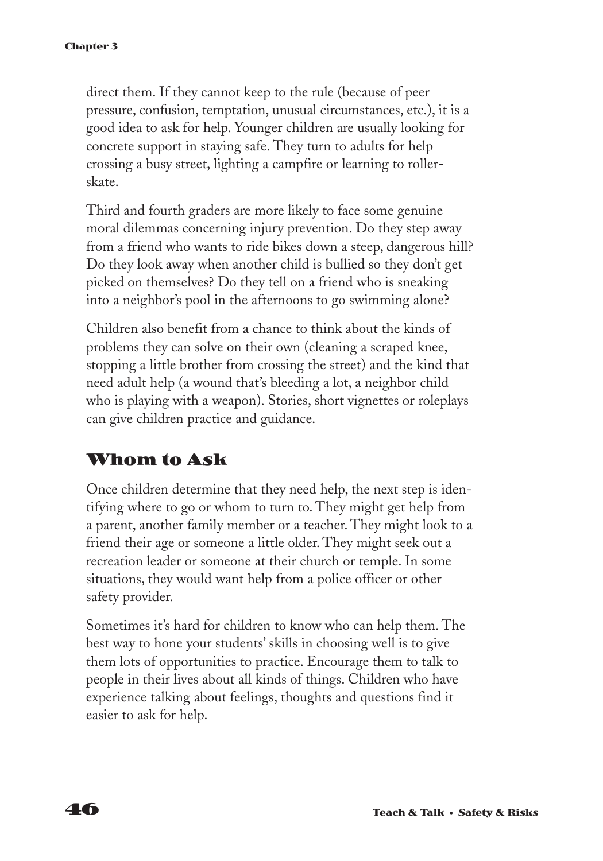direct them. If they cannot keep to the rule (because of peer pressure, confusion, temptation, unusual circumstances, etc.), it is a good idea to ask for help. Younger children are usually looking for concrete support in staying safe. They turn to adults for help crossing a busy street, lighting a campfire or learning to rollerskate.

Third and fourth graders are more likely to face some genuine moral dilemmas concerning injury prevention. Do they step away from a friend who wants to ride bikes down a steep, dangerous hill? Do they look away when another child is bullied so they don't get picked on themselves? Do they tell on a friend who is sneaking into a neighbor's pool in the afternoons to go swimming alone?

Children also benefit from a chance to think about the kinds of problems they can solve on their own (cleaning a scraped knee, stopping a little brother from crossing the street) and the kind that need adult help (a wound that's bleeding a lot, a neighbor child who is playing with a weapon). Stories, short vignettes or roleplays can give children practice and guidance.

### **Whom to Ask**

Once children determine that they need help, the next step is identifying where to go or whom to turn to. They might get help from a parent, another family member or a teacher. They might look to a friend their age or someone a little older. They might seek out a recreation leader or someone at their church or temple. In some situations, they would want help from a police officer or other safety provider.

Sometimes it's hard for children to know who can help them. The best way to hone your students' skills in choosing well is to give them lots of opportunities to practice. Encourage them to talk to people in their lives about all kinds of things. Children who have experience talking about feelings, thoughts and questions find it easier to ask for help.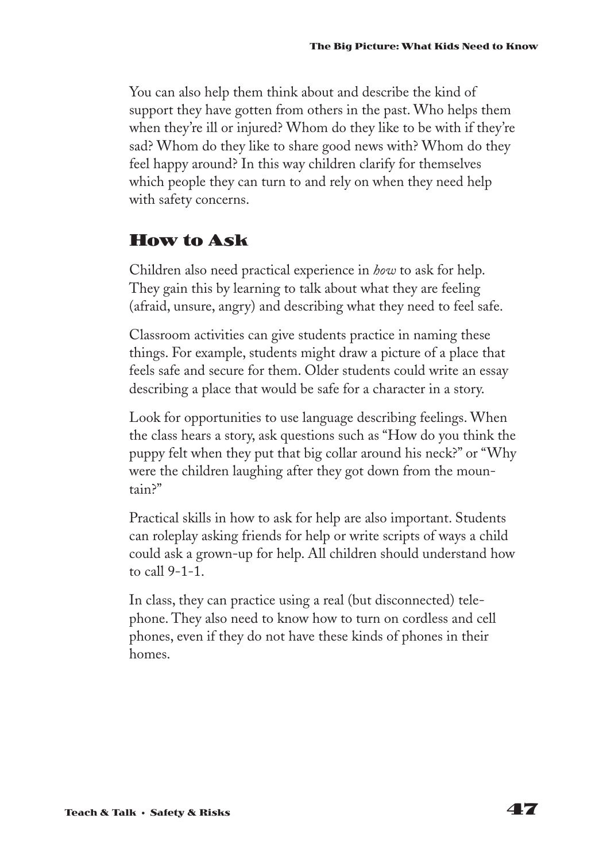You can also help them think about and describe the kind of support they have gotten from others in the past. Who helps them when they're ill or injured? Whom do they like to be with if they're sad? Whom do they like to share good news with? Whom do they feel happy around? In this way children clarify for themselves which people they can turn to and rely on when they need help with safety concerns.

### **How to Ask**

Children also need practical experience in *how* to ask for help. They gain this by learning to talk about what they are feeling (afraid, unsure, angry) and describing what they need to feel safe.

Classroom activities can give students practice in naming these things. For example, students might draw a picture of a place that feels safe and secure for them. Older students could write an essay describing a place that would be safe for a character in a story.

Look for opportunities to use language describing feelings. When the class hears a story, ask questions such as "How do you think the puppy felt when they put that big collar around his neck?" or "Why were the children laughing after they got down from the mountain?"

Practical skills in how to ask for help are also important. Students can roleplay asking friends for help or write scripts of ways a child could ask a grown-up for help. All children should understand how to call 9-1-1.

In class, they can practice using a real (but disconnected) telephone. They also need to know how to turn on cordless and cell phones, even if they do not have these kinds of phones in their homes.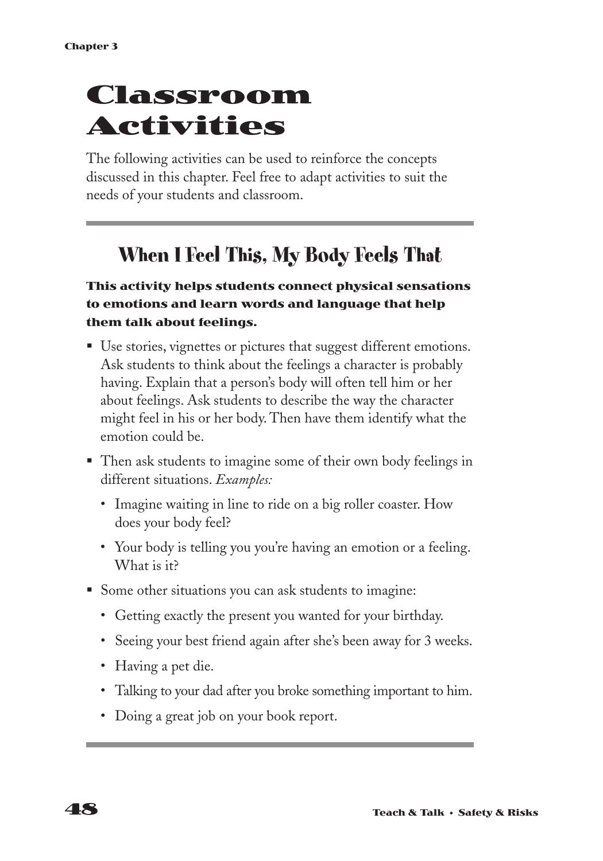# **Classroom Activities**

The following activities can be used to reinforce the concepts discussed in this chapter. Feel free to adapt activities to suit the needs of your students and classroom.

## **When I Feel This, My Body Feels That**

#### **This activity helps students connect physical sensations to emotions and learn words and language that help them talk about feelings.**

- Use stories, vignettes or pictures that suggest different emotions. Ask students to think about the feelings a character is probably having. Explain that a person's body will often tell him or her about feelings. Ask students to describe the way the character might feel in his or her body. Then have them identify what the emotion could be.
- Then ask students to imagine some of their own body feelings in different situations. *Examples:*
	- Imagine waiting in line to ride on a big roller coaster. How does your body feel?
	- Your body is telling you you're having an emotion or a feeling. What is it?
- Some other situations you can ask students to imagine:
	- Getting exactly the present you wanted for your birthday.
	- Seeing your best friend again after she's been away for 3 weeks.
	- Having a pet die.
	- Talking to your dad after you broke something important to him.
	- Doing a great job on your book report.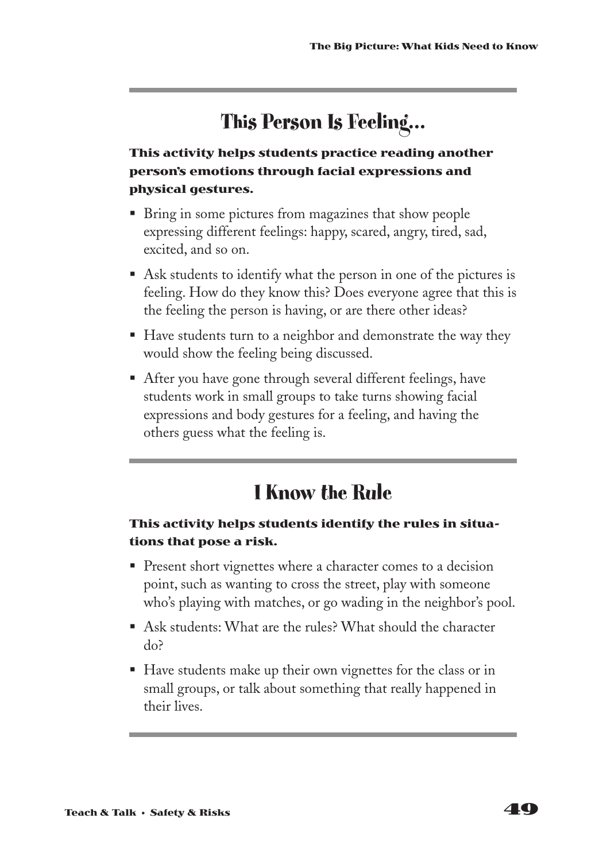## **This Person Is Feeling…**

#### **This activity helps students practice reading another person's emotions through facial expressions and physical gestures.**

- Bring in some pictures from magazines that show people expressing different feelings: happy, scared, angry, tired, sad, excited, and so on.
- Ask students to identify what the person in one of the pictures is feeling. How do they know this? Does everyone agree that this is the feeling the person is having, or are there other ideas?
- Have students turn to a neighbor and demonstrate the way they would show the feeling being discussed.
- After you have gone through several different feelings, have students work in small groups to take turns showing facial expressions and body gestures for a feeling, and having the others guess what the feeling is.

## **I Know the Rule**

#### **This activity helps students identify the rules in situations that pose a risk.**

- Present short vignettes where a character comes to a decision point, such as wanting to cross the street, play with someone who's playing with matches, or go wading in the neighbor's pool.
- Ask students: What are the rules? What should the character do?
- Have students make up their own vignettes for the class or in small groups, or talk about something that really happened in their lives.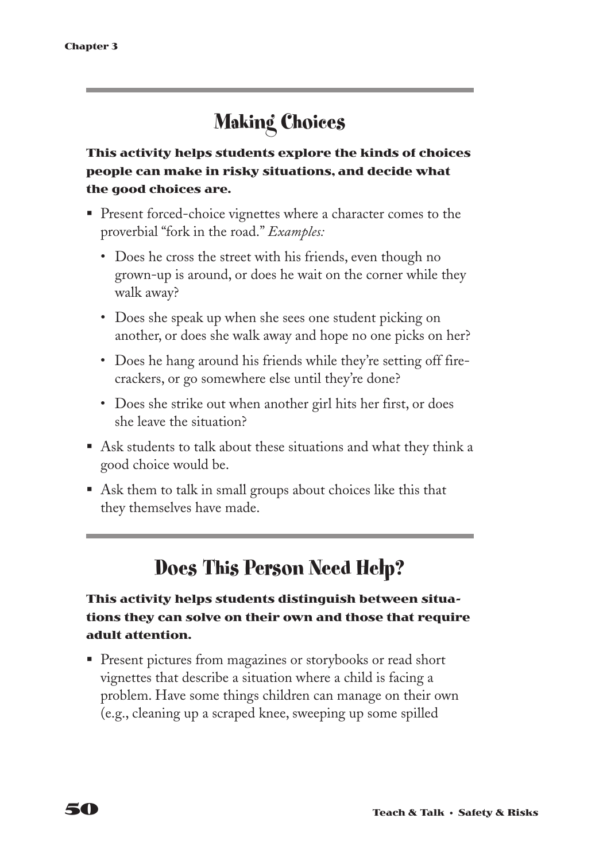## **Making Choices**

**This activity helps students explore the kinds of choices people can make in risky situations, and decide what the good choices are.**

- § Present forced-choice vignettes where a character comes to the proverbial "fork in the road." *Examples:*
	- Does he cross the street with his friends, even though no grown-up is around, or does he wait on the corner while they walk away?
	- Does she speak up when she sees one student picking on another, or does she walk away and hope no one picks on her?
	- Does he hang around his friends while they're setting off firecrackers, or go somewhere else until they're done?
	- Does she strike out when another girl hits her first, or does she leave the situation?
- Ask students to talk about these situations and what they think a good choice would be.
- Ask them to talk in small groups about choices like this that they themselves have made.

## **Does This Person Need Help?**

#### **This activity helps students distinguish between situations they can solve on their own and those that require adult attention.**

■ Present pictures from magazines or storybooks or read short vignettes that describe a situation where a child is facing a problem. Have some things children can manage on their own (e.g., cleaning up a scraped knee, sweeping up some spilled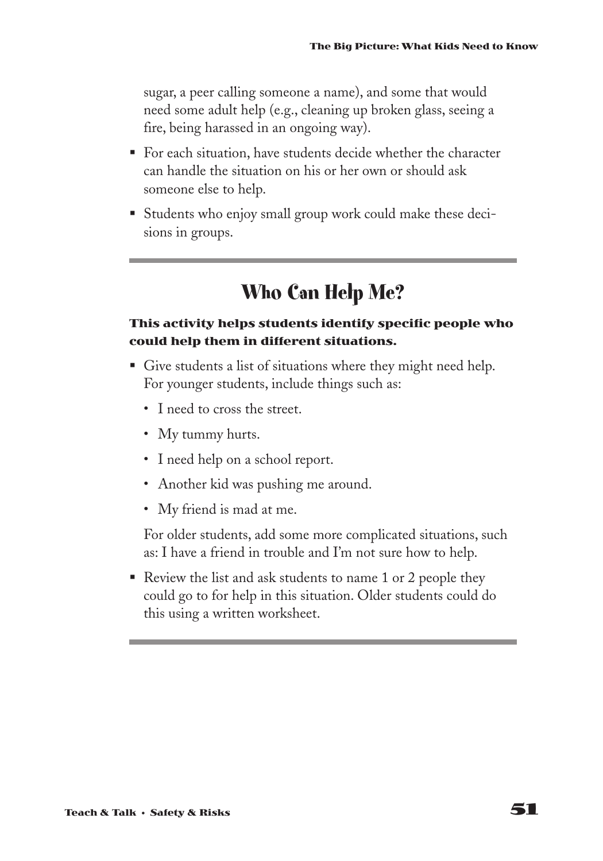sugar, a peer calling someone a name), and some that would need some adult help (e.g., cleaning up broken glass, seeing a fire, being harassed in an ongoing way).

- For each situation, have students decide whether the character can handle the situation on his or her own or should ask someone else to help.
- Students who enjoy small group work could make these decisions in groups.

### **Who Can Help Me?**

#### **This activity helps students identify specific people who could help them in different situations.**

- Give students a list of situations where they might need help. For younger students, include things such as:
	- I need to cross the street.
	- My tummy hurts.
	- I need help on a school report.
	- Another kid was pushing me around.
	- My friend is mad at me.

For older students, add some more complicated situations, such as: I have a friend in trouble and I'm not sure how to help.

■ Review the list and ask students to name 1 or 2 people they could go to for help in this situation. Older students could do this using a written worksheet.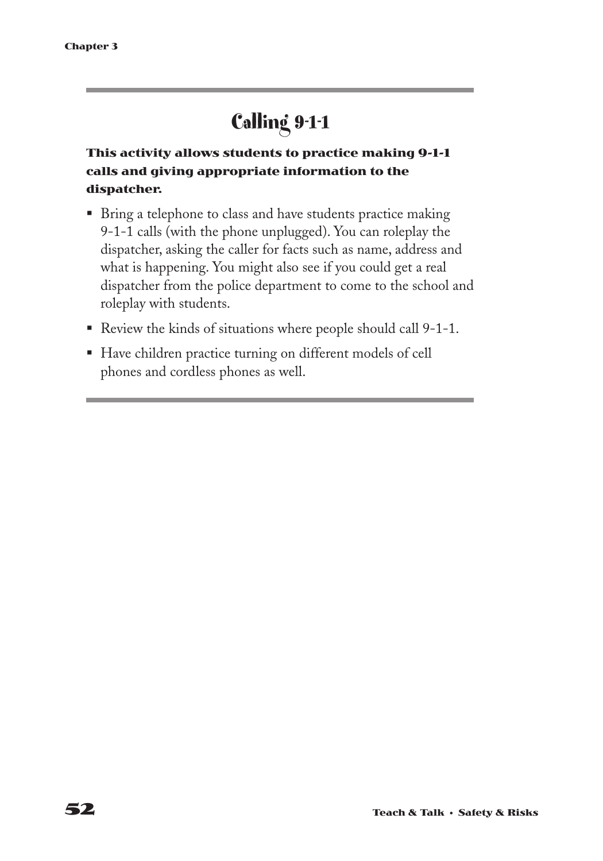# **Calling 9-1-1**

#### **This activity allows students to practice making 9-1-1 calls and giving appropriate information to the dispatcher.**

- Bring a telephone to class and have students practice making 9-1-1 calls (with the phone unplugged). You can roleplay the dispatcher, asking the caller for facts such as name, address and what is happening. You might also see if you could get a real dispatcher from the police department to come to the school and roleplay with students.
- Review the kinds of situations where people should call 9-1-1.
- Have children practice turning on different models of cell phones and cordless phones as well.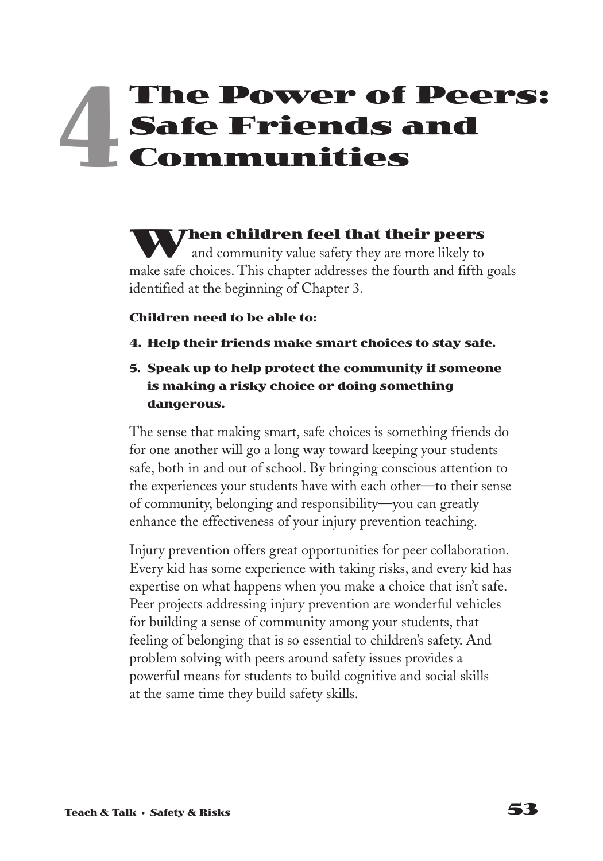# **The Power of Peers: Safe Friends and Communities 4**

**When children feel that their peers** and community value safety they are more likely to make safe choices. This chapter addresses the fourth and fifth goals identified at the beginning of Chapter 3.

#### **Children need to be able to:**

- **4. Help their friends make smart choices to stay safe.**
- **5. Speak up to help protect the community if someone is making a risky choice or doing something dangerous.**

The sense that making smart, safe choices is something friends do for one another will go a long way toward keeping your students safe, both in and out of school. By bringing conscious attention to the experiences your students have with each other—to their sense of community, belonging and responsibility—you can greatly enhance the effectiveness of your injury prevention teaching.

Injury prevention offers great opportunities for peer collaboration. Every kid has some experience with taking risks, and every kid has expertise on what happens when you make a choice that isn't safe. Peer projects addressing injury prevention are wonderful vehicles for building a sense of community among your students, that feeling of belonging that is so essential to children's safety. And problem solving with peers around safety issues provides a powerful means for students to build cognitive and social skills at the same time they build safety skills.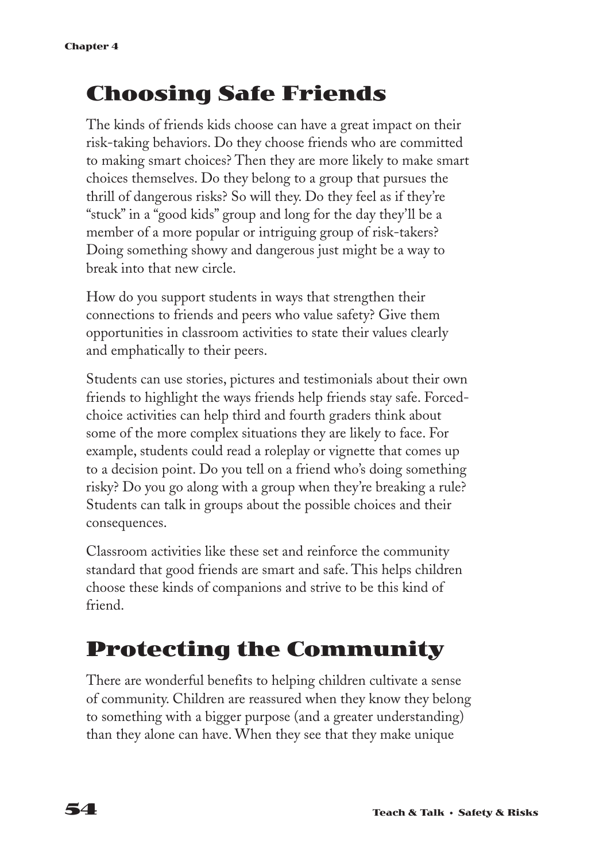## **Choosing Safe Friends**

The kinds of friends kids choose can have a great impact on their risk-taking behaviors. Do they choose friends who are committed to making smart choices? Then they are more likely to make smart choices themselves. Do they belong to a group that pursues the thrill of dangerous risks? So will they. Do they feel as if they're "stuck" in a "good kids" group and long for the day they'll be a member of a more popular or intriguing group of risk-takers? Doing something showy and dangerous just might be a way to break into that new circle.

How do you support students in ways that strengthen their connections to friends and peers who value safety? Give them opportunities in classroom activities to state their values clearly and emphatically to their peers.

Students can use stories, pictures and testimonials about their own friends to highlight the ways friends help friends stay safe. Forcedchoice activities can help third and fourth graders think about some of the more complex situations they are likely to face. For example, students could read a roleplay or vignette that comes up to a decision point. Do you tell on a friend who's doing something risky? Do you go along with a group when they're breaking a rule? Students can talk in groups about the possible choices and their consequences.

Classroom activities like these set and reinforce the community standard that good friends are smart and safe. This helps children choose these kinds of companions and strive to be this kind of friend.

## **Protecting the Community**

There are wonderful benefits to helping children cultivate a sense of community. Children are reassured when they know they belong to something with a bigger purpose (and a greater understanding) than they alone can have. When they see that they make unique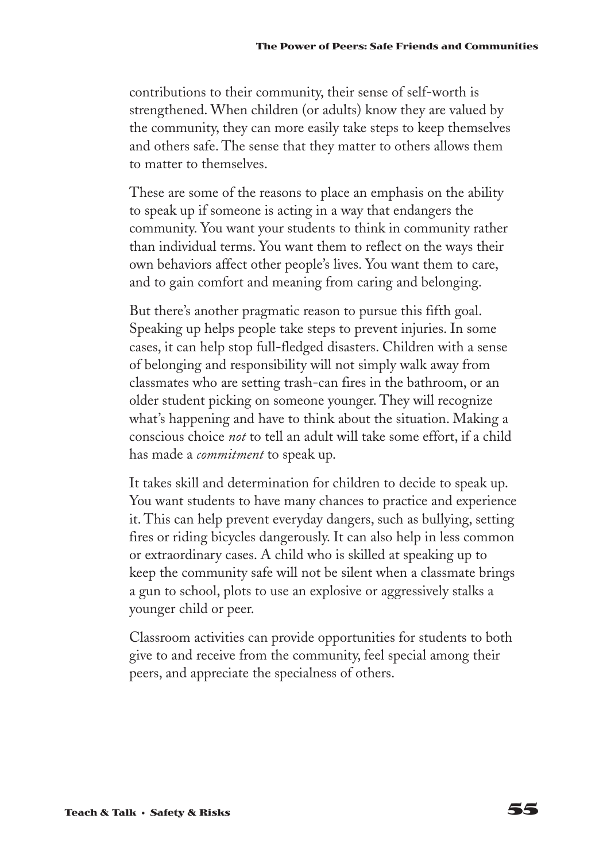contributions to their community, their sense of self-worth is strengthened. When children (or adults) know they are valued by the community, they can more easily take steps to keep themselves and others safe. The sense that they matter to others allows them to matter to themselves.

These are some of the reasons to place an emphasis on the ability to speak up if someone is acting in a way that endangers the community. You want your students to think in community rather than individual terms. You want them to reflect on the ways their own behaviors affect other people's lives. You want them to care, and to gain comfort and meaning from caring and belonging.

But there's another pragmatic reason to pursue this fifth goal. Speaking up helps people take steps to prevent injuries. In some cases, it can help stop full-fledged disasters. Children with a sense of belonging and responsibility will not simply walk away from classmates who are setting trash-can fires in the bathroom, or an older student picking on someone younger. They will recognize what's happening and have to think about the situation. Making a conscious choice *not* to tell an adult will take some effort, if a child has made a *commitment* to speak up.

It takes skill and determination for children to decide to speak up. You want students to have many chances to practice and experience it. This can help prevent everyday dangers, such as bullying, setting fires or riding bicycles dangerously. It can also help in less common or extraordinary cases. A child who is skilled at speaking up to keep the community safe will not be silent when a classmate brings a gun to school, plots to use an explosive or aggressively stalks a younger child or peer.

Classroom activities can provide opportunities for students to both give to and receive from the community, feel special among their peers, and appreciate the specialness of others.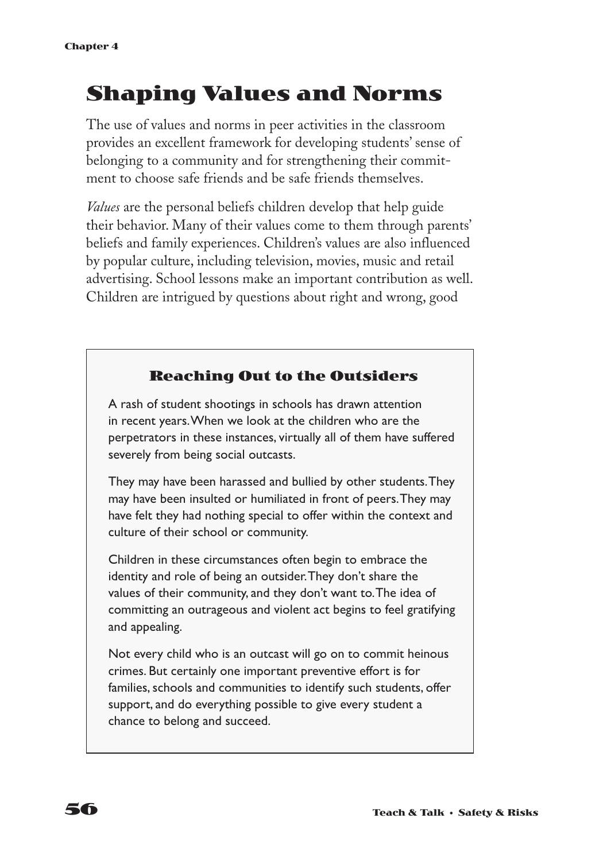## **Shaping Values and Norms**

The use of values and norms in peer activities in the classroom provides an excellent framework for developing students' sense of belonging to a community and for strengthening their commitment to choose safe friends and be safe friends themselves.

*Values* are the personal beliefs children develop that help guide their behavior. Many of their values come to them through parents' beliefs and family experiences. Children's values are also influenced by popular culture, including television, movies, music and retail advertising. School lessons make an important contribution as well. Children are intrigued by questions about right and wrong, good

#### **Reaching Out to the Outsiders**

A rash of student shootings in schools has drawn attention in recent years.When we look at the children who are the perpetrators in these instances, virtually all of them have suffered severely from being social outcasts.

They may have been harassed and bullied by other students.They may have been insulted or humiliated in front of peers.They may have felt they had nothing special to offer within the context and culture of their school or community.

Children in these circumstances often begin to embrace the identity and role of being an outsider.They don't share the values of their community, and they don't want to.The idea of committing an outrageous and violent act begins to feel gratifying and appealing.

Not every child who is an outcast will go on to commit heinous crimes. But certainly one important preventive effort is for families, schools and communities to identify such students, offer support, and do everything possible to give every student a chance to belong and succeed.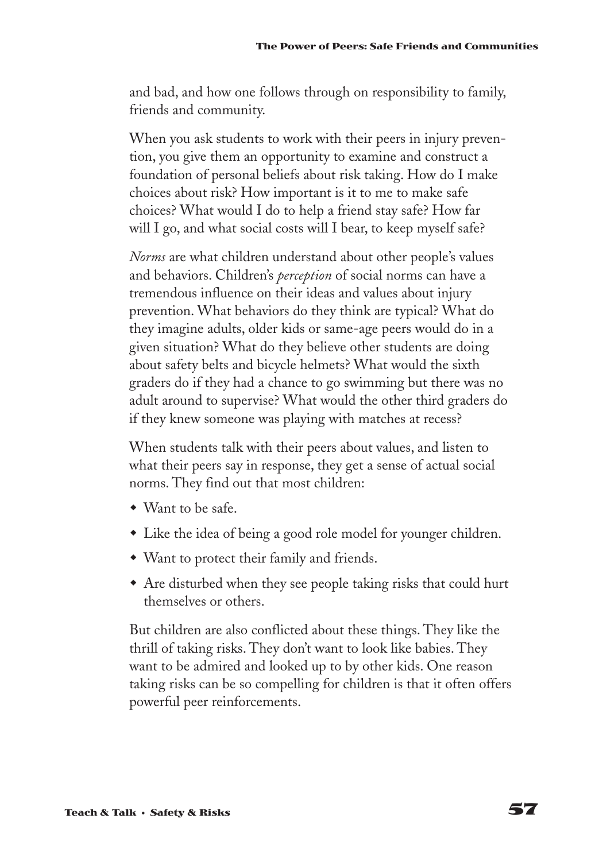and bad, and how one follows through on responsibility to family, friends and community.

When you ask students to work with their peers in injury prevention, you give them an opportunity to examine and construct a foundation of personal beliefs about risk taking. How do I make choices about risk? How important is it to me to make safe choices? What would I do to help a friend stay safe? How far will I go, and what social costs will I bear, to keep myself safe?

*Norms* are what children understand about other people's values and behaviors. Children's *perception* of social norms can have a tremendous influence on their ideas and values about injury prevention. What behaviors do they think are typical? What do they imagine adults, older kids or same-age peers would do in a given situation? What do they believe other students are doing about safety belts and bicycle helmets? What would the sixth graders do if they had a chance to go swimming but there was no adult around to supervise? What would the other third graders do if they knew someone was playing with matches at recess?

When students talk with their peers about values, and listen to what their peers say in response, they get a sense of actual social norms. They find out that most children:

- Want to be safe.
- Like the idea of being a good role model for younger children.
- Want to protect their family and friends.
- Are disturbed when they see people taking risks that could hurt themselves or others.

But children are also conflicted about these things. They like the thrill of taking risks. They don't want to look like babies. They want to be admired and looked up to by other kids. One reason taking risks can be so compelling for children is that it often offers powerful peer reinforcements.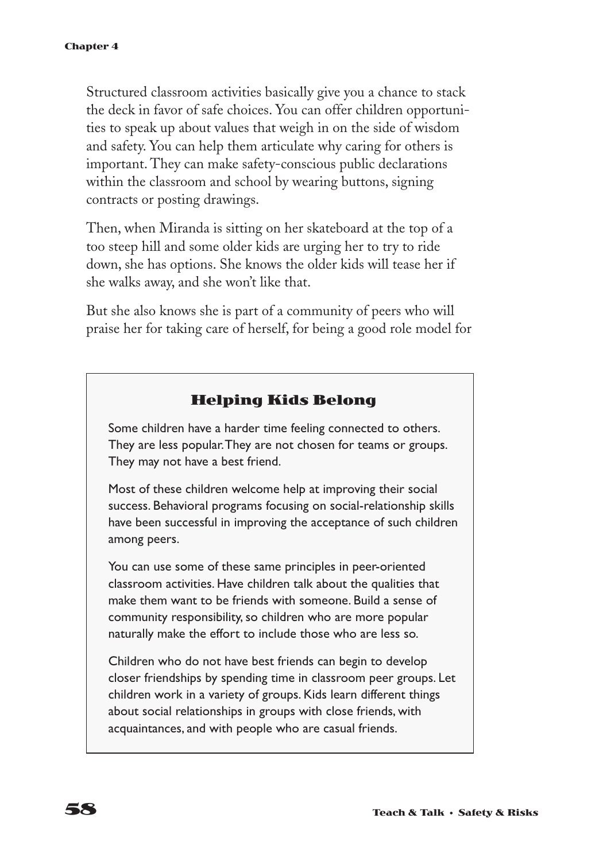Structured classroom activities basically give you a chance to stack the deck in favor of safe choices. You can offer children opportunities to speak up about values that weigh in on the side of wisdom and safety. You can help them articulate why caring for others is important. They can make safety-conscious public declarations within the classroom and school by wearing buttons, signing contracts or posting drawings.

Then, when Miranda is sitting on her skateboard at the top of a too steep hill and some older kids are urging her to try to ride down, she has options. She knows the older kids will tease her if she walks away, and she won't like that.

But she also knows she is part of a community of peers who will praise her for taking care of herself, for being a good role model for

#### **Helping Kids Belong**

Some children have a harder time feeling connected to others. They are less popular.They are not chosen for teams or groups. They may not have a best friend.

Most of these children welcome help at improving their social success. Behavioral programs focusing on social-relationship skills have been successful in improving the acceptance of such children among peers.

You can use some of these same principles in peer-oriented classroom activities. Have children talk about the qualities that make them want to be friends with someone. Build a sense of community responsibility, so children who are more popular naturally make the effort to include those who are less so.

Children who do not have best friends can begin to develop closer friendships by spending time in classroom peer groups. Let children work in a variety of groups. Kids learn different things about social relationships in groups with close friends, with acquaintances, and with people who are casual friends.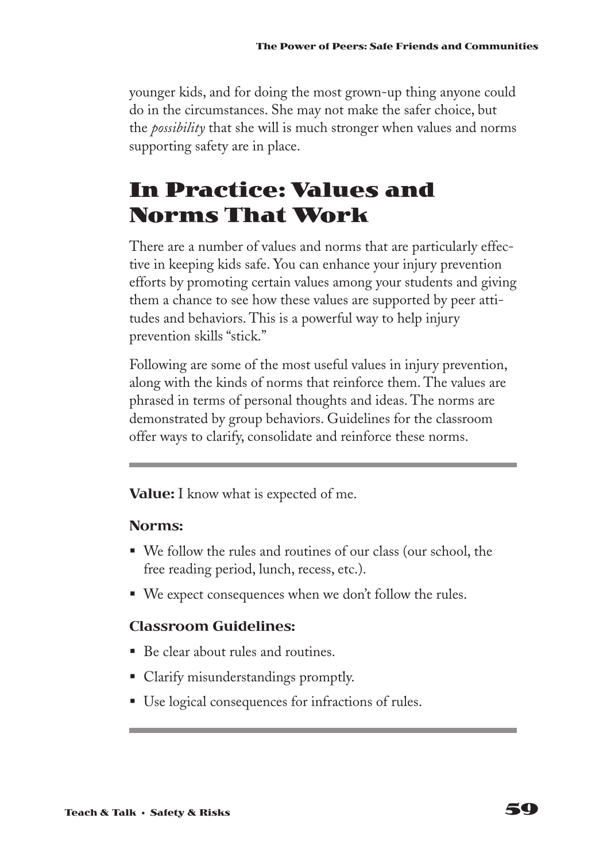younger kids, and for doing the most grown-up thing anyone could do in the circumstances. She may not make the safer choice, but the *possibility* that she will is much stronger when values and norms supporting safety are in place.

## **In Practice: Values and Norms That Work**

There are a number of values and norms that are particularly effective in keeping kids safe. You can enhance your injury prevention efforts by promoting certain values among your students and giving them a chance to see how these values are supported by peer attitudes and behaviors. This is a powerful way to help injury prevention skills "stick."

Following are some of the most useful values in injury prevention, along with the kinds of norms that reinforce them. The values are phrased in terms of personal thoughts and ideas. The norms are demonstrated by group behaviors. Guidelines for the classroom offer ways to clarify, consolidate and reinforce these norms.

**Value:** I know what is expected of me.

#### **Norms:**

- We follow the rules and routines of our class (our school, the free reading period, lunch, recess, etc.).
- We expect consequences when we don't follow the rules.

### **Classroom Guidelines:**

- Be clear about rules and routines.
- Clarify misunderstandings promptly.
- Use logical consequences for infractions of rules.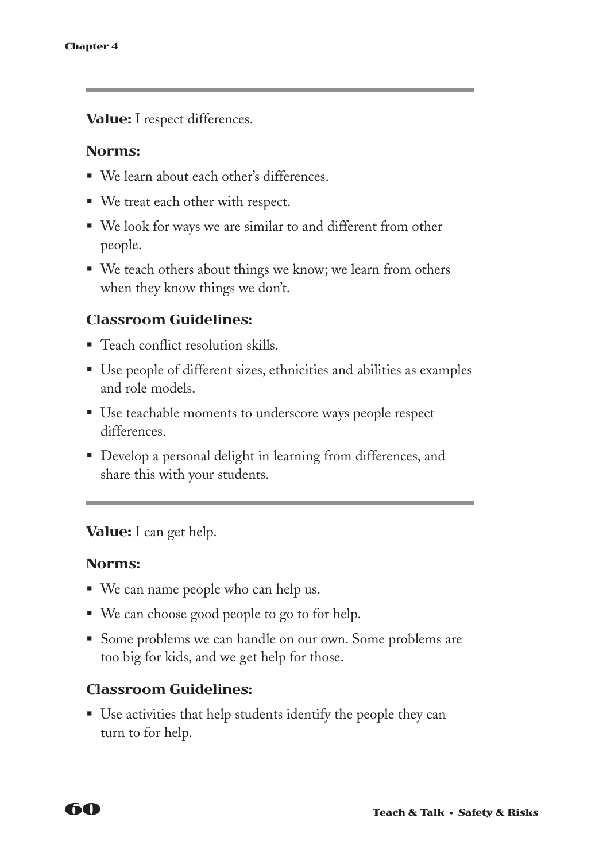**Value:** I respect differences.

#### **Norms:**

- We learn about each other's differences.
- We treat each other with respect.
- We look for ways we are similar to and different from other people.
- We teach others about things we know; we learn from others when they know things we don't.

#### **Classroom Guidelines:**

- Teach conflict resolution skills.
- Use people of different sizes, ethnicities and abilities as examples and role models.
- Use teachable moments to underscore ways people respect differences.
- Develop a personal delight in learning from differences, and share this with your students.

#### **Value:** I can get help.

#### **Norms:**

- We can name people who can help us.
- We can choose good people to go to for help.
- Some problems we can handle on our own. Some problems are too big for kids, and we get help for those.

#### **Classroom Guidelines:**

■ Use activities that help students identify the people they can turn to for help.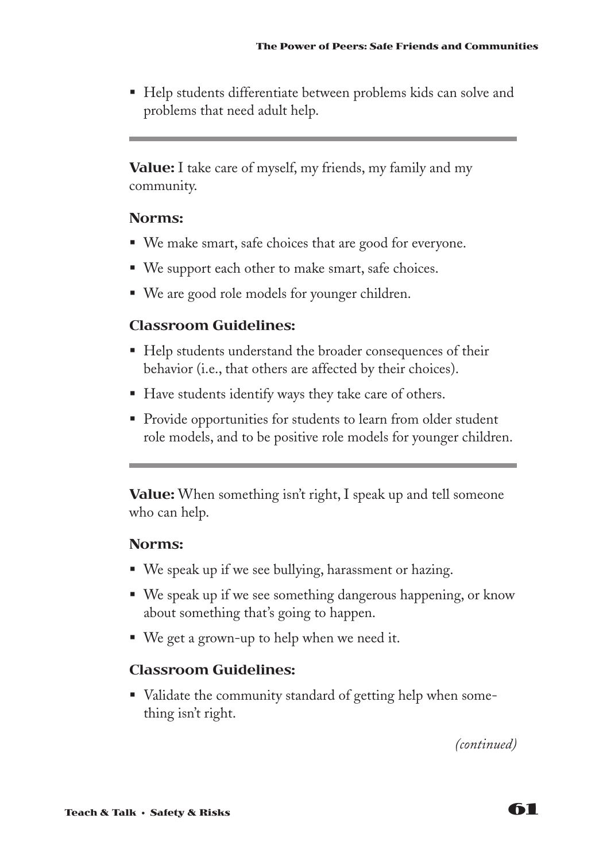■ Help students differentiate between problems kids can solve and problems that need adult help.

**Value:** I take care of myself, my friends, my family and my community.

#### **Norms:**

- We make smart, safe choices that are good for everyone.
- We support each other to make smart, safe choices.
- We are good role models for younger children.

#### **Classroom Guidelines:**

- Help students understand the broader consequences of their behavior (i.e., that others are affected by their choices).
- Have students identify ways they take care of others.
- Provide opportunities for students to learn from older student role models, and to be positive role models for younger children.

**Value:** When something isn't right, I speak up and tell someone who can help.

#### **Norms:**

- We speak up if we see bullying, harassment or hazing.
- We speak up if we see something dangerous happening, or know about something that's going to happen.
- We get a grown-up to help when we need it.

#### **Classroom Guidelines:**

■ Validate the community standard of getting help when something isn't right.

*(continued)*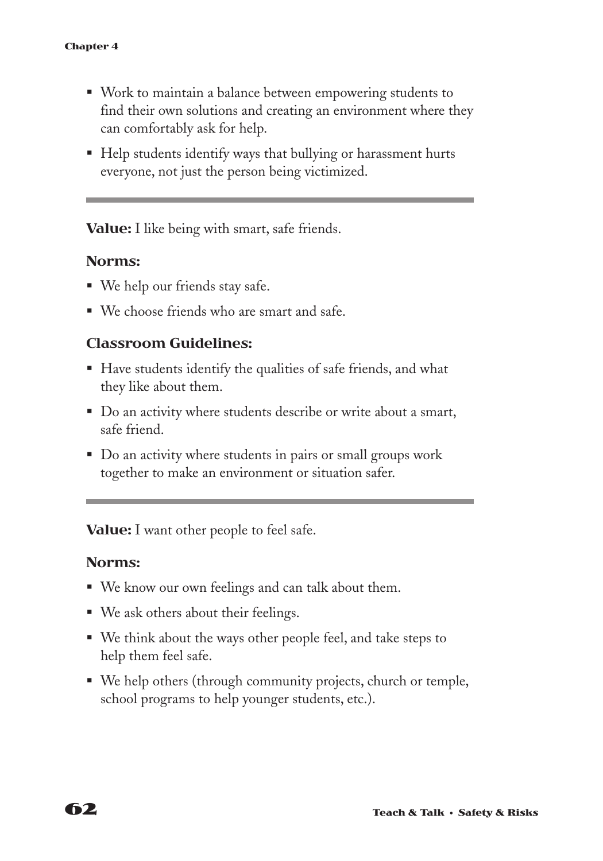- Work to maintain a balance between empowering students to find their own solutions and creating an environment where they can comfortably ask for help.
- Help students identify ways that bullying or harassment hurts everyone, not just the person being victimized.

**Value:** I like being with smart, safe friends.

#### **Norms:**

- We help our friends stay safe.
- We choose friends who are smart and safe.

#### **Classroom Guidelines:**

- Have students identify the qualities of safe friends, and what they like about them.
- § Do an activity where students describe or write about a smart, safe friend.
- § Do an activity where students in pairs or small groups work together to make an environment or situation safer.

**Value:** I want other people to feel safe.

#### **Norms:**

- We know our own feelings and can talk about them.
- We ask others about their feelings.
- We think about the ways other people feel, and take steps to help them feel safe.
- We help others (through community projects, church or temple, school programs to help younger students, etc.).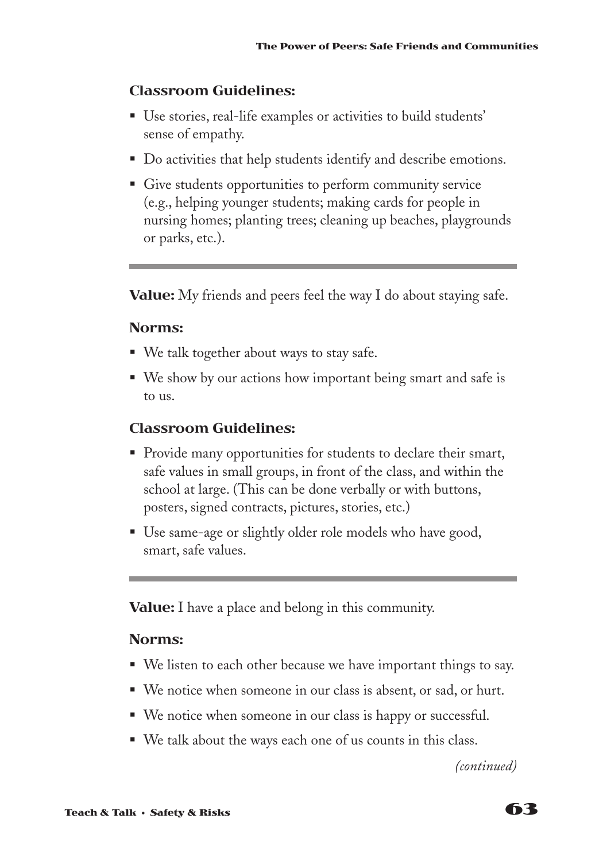#### **Classroom Guidelines:**

- Use stories, real-life examples or activities to build students' sense of empathy.
- Do activities that help students identify and describe emotions.
- Give students opportunities to perform community service (e.g., helping younger students; making cards for people in nursing homes; planting trees; cleaning up beaches, playgrounds or parks, etc.).

**Value:** My friends and peers feel the way I do about staying safe.

#### **Norms:**

- We talk together about ways to stay safe.
- We show by our actions how important being smart and safe is to us.

#### **Classroom Guidelines:**

- § Provide many opportunities for students to declare their smart, safe values in small groups, in front of the class, and within the school at large. (This can be done verbally or with buttons, posters, signed contracts, pictures, stories, etc.)
- Use same-age or slightly older role models who have good, smart, safe values.

**Value:** I have a place and belong in this community.

#### **Norms:**

- We listen to each other because we have important things to say.
- We notice when someone in our class is absent, or sad, or hurt.
- We notice when someone in our class is happy or successful.
- We talk about the ways each one of us counts in this class.

*(continued)*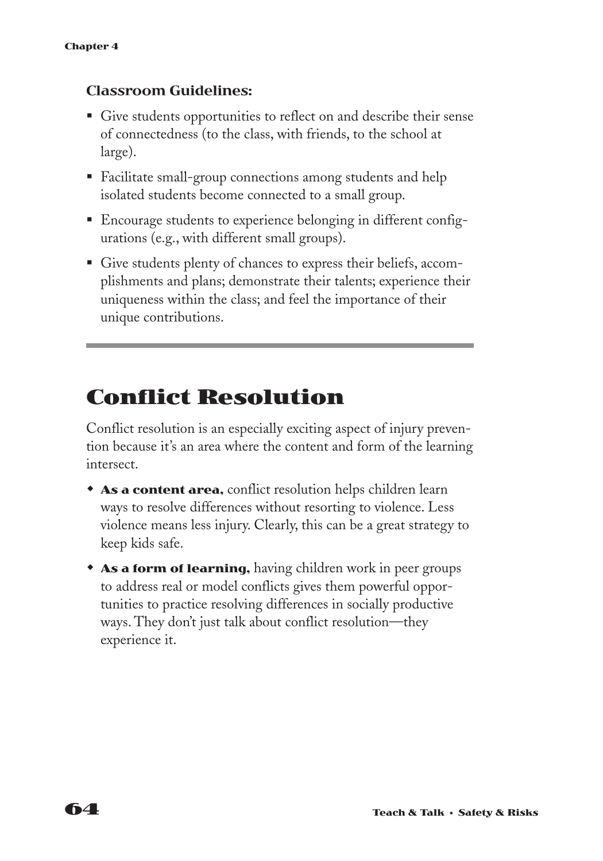#### **Classroom Guidelines:**

- Give students opportunities to reflect on and describe their sense of connectedness (to the class, with friends, to the school at large).
- Facilitate small-group connections among students and help isolated students become connected to a small group.
- Encourage students to experience belonging in different configurations (e.g., with different small groups).
- § Give students plenty of chances to express their beliefs, accomplishments and plans; demonstrate their talents; experience their uniqueness within the class; and feel the importance of their unique contributions.

## **Conflict Resolution**

Conflict resolution is an especially exciting aspect of injury prevention because it's an area where the content and form of the learning intersect.

- **As a content area,** conflict resolution helps children learn ways to resolve differences without resorting to violence. Less violence means less injury. Clearly, this can be a great strategy to keep kids safe.
- **As a form of learning,** having children work in peer groups to address real or model conflicts gives them powerful opportunities to practice resolving differences in socially productive ways. They don't just talk about conflict resolution—they experience it.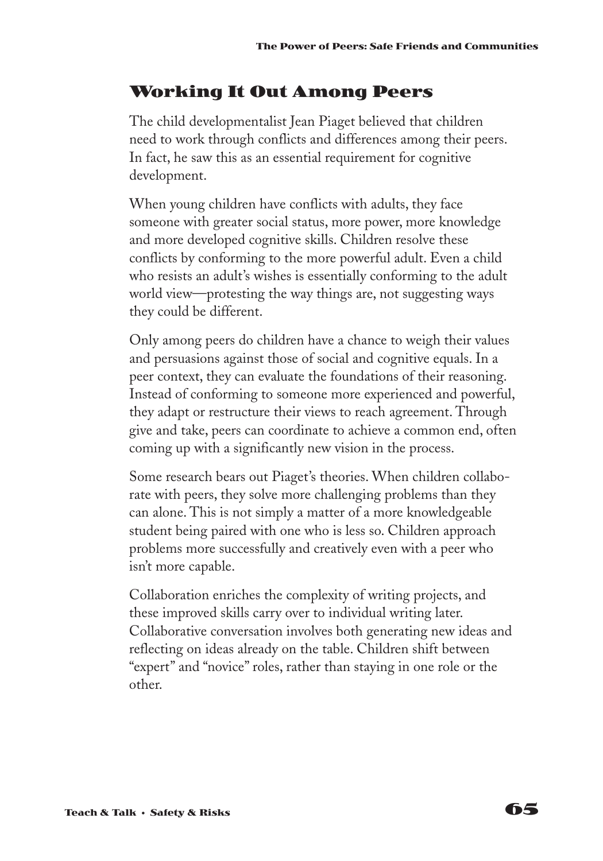### **Working It Out Among Peers**

The child developmentalist Jean Piaget believed that children need to work through conflicts and differences among their peers. In fact, he saw this as an essential requirement for cognitive development.

When young children have conflicts with adults, they face someone with greater social status, more power, more knowledge and more developed cognitive skills. Children resolve these conflicts by conforming to the more powerful adult. Even a child who resists an adult's wishes is essentially conforming to the adult world view—protesting the way things are, not suggesting ways they could be different.

Only among peers do children have a chance to weigh their values and persuasions against those of social and cognitive equals. In a peer context, they can evaluate the foundations of their reasoning. Instead of conforming to someone more experienced and powerful, they adapt or restructure their views to reach agreement. Through give and take, peers can coordinate to achieve a common end, often coming up with a significantly new vision in the process.

Some research bears out Piaget's theories. When children collaborate with peers, they solve more challenging problems than they can alone. This is not simply a matter of a more knowledgeable student being paired with one who is less so. Children approach problems more successfully and creatively even with a peer who isn't more capable.

Collaboration enriches the complexity of writing projects, and these improved skills carry over to individual writing later. Collaborative conversation involves both generating new ideas and reflecting on ideas already on the table. Children shift between "expert" and "novice" roles, rather than staying in one role or the other.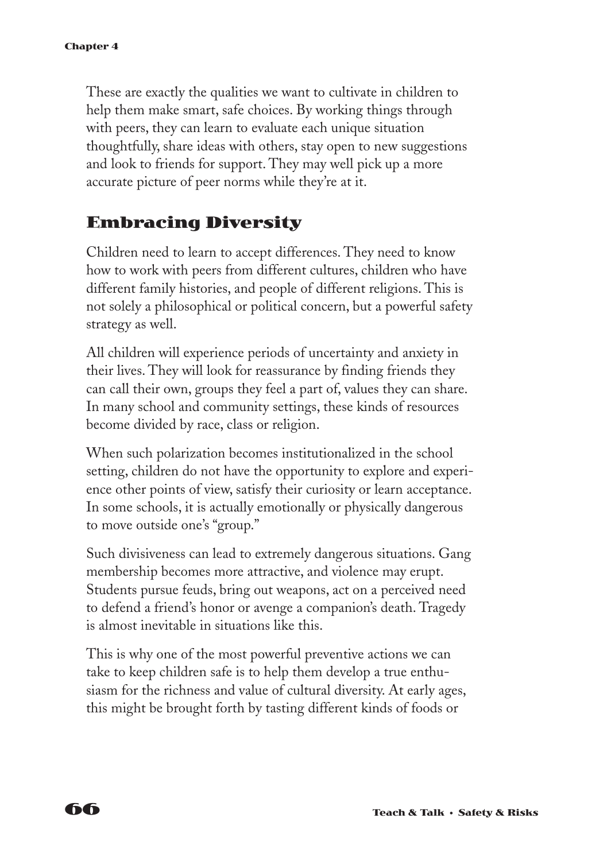These are exactly the qualities we want to cultivate in children to help them make smart, safe choices. By working things through with peers, they can learn to evaluate each unique situation thoughtfully, share ideas with others, stay open to new suggestions and look to friends for support. They may well pick up a more accurate picture of peer norms while they're at it.

### **Embracing Diversity**

Children need to learn to accept differences. They need to know how to work with peers from different cultures, children who have different family histories, and people of different religions. This is not solely a philosophical or political concern, but a powerful safety strategy as well.

All children will experience periods of uncertainty and anxiety in their lives. They will look for reassurance by finding friends they can call their own, groups they feel a part of, values they can share. In many school and community settings, these kinds of resources become divided by race, class or religion.

When such polarization becomes institutionalized in the school setting, children do not have the opportunity to explore and experience other points of view, satisfy their curiosity or learn acceptance. In some schools, it is actually emotionally or physically dangerous to move outside one's "group."

Such divisiveness can lead to extremely dangerous situations. Gang membership becomes more attractive, and violence may erupt. Students pursue feuds, bring out weapons, act on a perceived need to defend a friend's honor or avenge a companion's death. Tragedy is almost inevitable in situations like this.

This is why one of the most powerful preventive actions we can take to keep children safe is to help them develop a true enthusiasm for the richness and value of cultural diversity. At early ages, this might be brought forth by tasting different kinds of foods or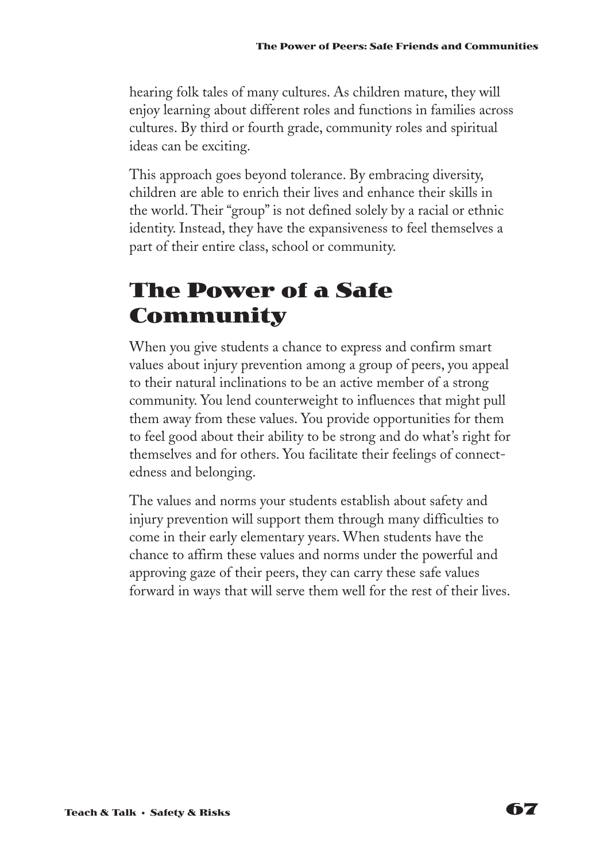hearing folk tales of many cultures. As children mature, they will enjoy learning about different roles and functions in families across cultures. By third or fourth grade, community roles and spiritual ideas can be exciting.

This approach goes beyond tolerance. By embracing diversity, children are able to enrich their lives and enhance their skills in the world. Their "group" is not defined solely by a racial or ethnic identity. Instead, they have the expansiveness to feel themselves a part of their entire class, school or community.

# **The Power of a Safe Community**

When you give students a chance to express and confirm smart values about injury prevention among a group of peers, you appeal to their natural inclinations to be an active member of a strong community. You lend counterweight to influences that might pull them away from these values. You provide opportunities for them to feel good about their ability to be strong and do what's right for themselves and for others. You facilitate their feelings of connectedness and belonging.

The values and norms your students establish about safety and injury prevention will support them through many difficulties to come in their early elementary years. When students have the chance to affirm these values and norms under the powerful and approving gaze of their peers, they can carry these safe values forward in ways that will serve them well for the rest of their lives.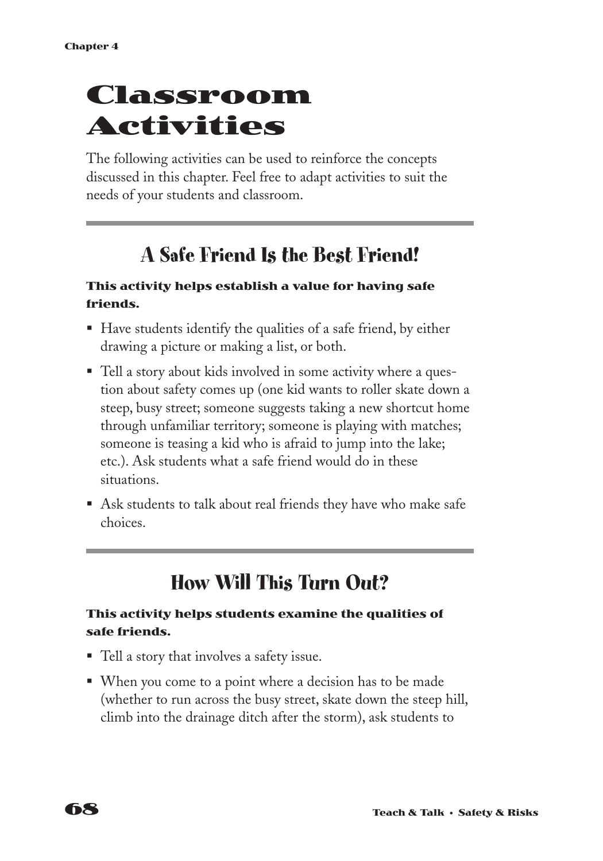# **Classroom Activities**

The following activities can be used to reinforce the concepts discussed in this chapter. Feel free to adapt activities to suit the needs of your students and classroom.

# **A Safe Friend Is the Best Friend!**

#### **This activity helps establish a value for having safe friends.**

- Have students identify the qualities of a safe friend, by either drawing a picture or making a list, or both.
- Tell a story about kids involved in some activity where a question about safety comes up (one kid wants to roller skate down a steep, busy street; someone suggests taking a new shortcut home through unfamiliar territory; someone is playing with matches; someone is teasing a kid who is afraid to jump into the lake; etc.). Ask students what a safe friend would do in these situations.
- Ask students to talk about real friends they have who make safe choices.

# **How Will This Turn Out?**

#### **This activity helps students examine the qualities of safe friends.**

- Tell a story that involves a safety issue.
- When you come to a point where a decision has to be made (whether to run across the busy street, skate down the steep hill, climb into the drainage ditch after the storm), ask students to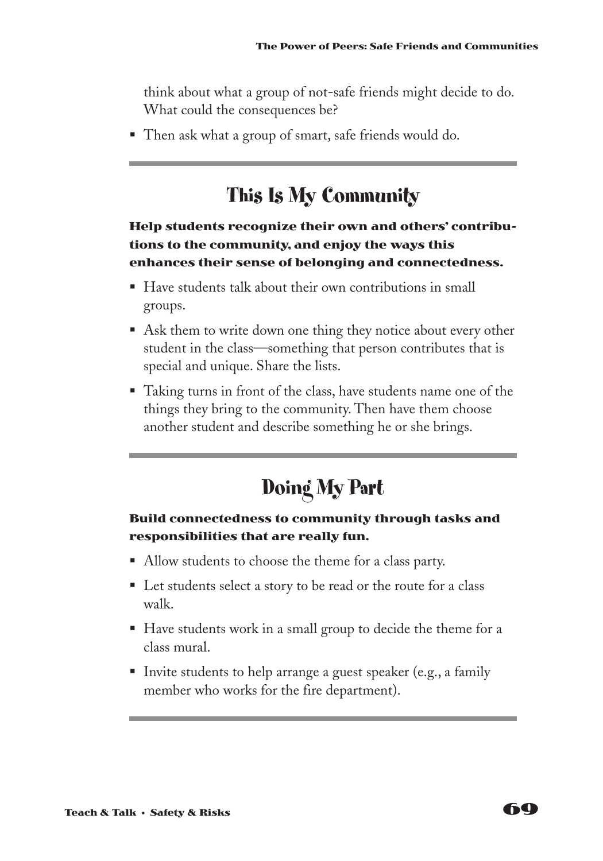think about what a group of not-safe friends might decide to do. What could the consequences be?

■ Then ask what a group of smart, safe friends would do.

# **This Is My Community**

#### **Help students recognize their own and others' contributions to the community, and enjoy the ways this enhances their sense of belonging and connectedness.**

- Have students talk about their own contributions in small groups.
- Ask them to write down one thing they notice about every other student in the class—something that person contributes that is special and unique. Share the lists.
- Taking turns in front of the class, have students name one of the things they bring to the community. Then have them choose another student and describe something he or she brings.

# **Doing My Part**

#### **Build connectedness to community through tasks and responsibilities that are really fun.**

- Allow students to choose the theme for a class party.
- Let students select a story to be read or the route for a class walk.
- Have students work in a small group to decide the theme for a class mural.
- Invite students to help arrange a guest speaker (e.g., a family member who works for the fire department).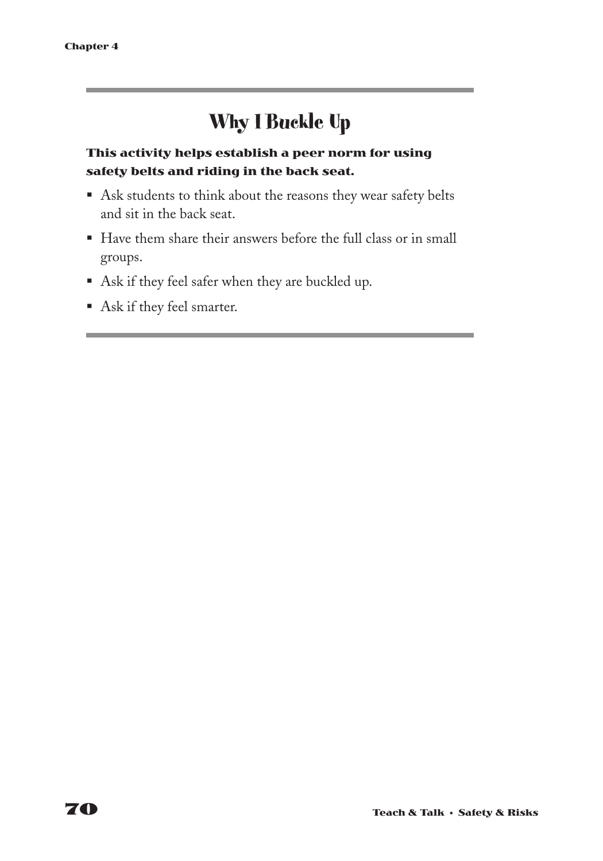# **Why I Buckle Up**

#### **This activity helps establish a peer norm for using safety belts and riding in the back seat.**

- Ask students to think about the reasons they wear safety belts and sit in the back seat.
- Have them share their answers before the full class or in small groups.
- § Ask if they feel safer when they are buckled up.
- § Ask if they feel smarter.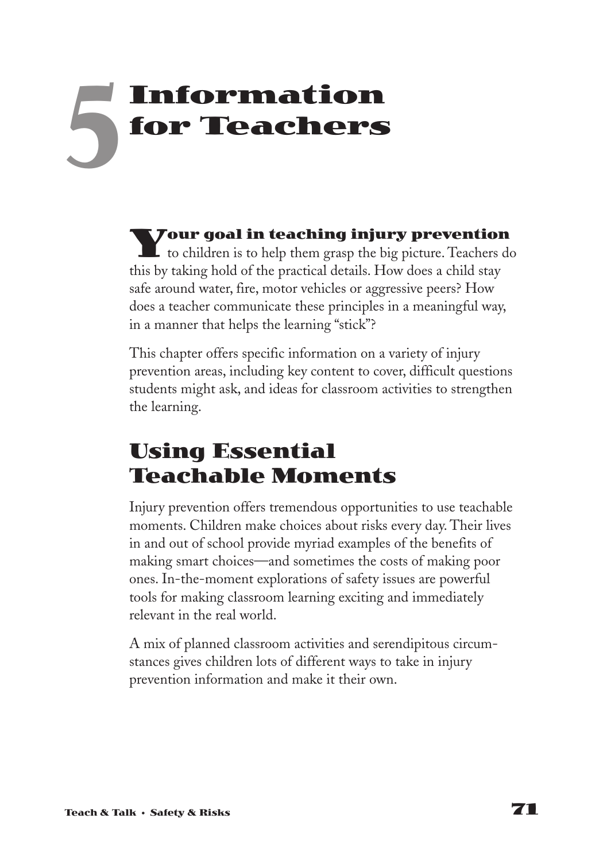# **Information for Teachers 5**

**Your goal in teaching injury prevention** to children is to help them grasp the big picture. Teachers do this by taking hold of the practical details. How does a child stay safe around water, fire, motor vehicles or aggressive peers? How does a teacher communicate these principles in a meaningful way, in a manner that helps the learning "stick"?

This chapter offers specific information on a variety of injury prevention areas, including key content to cover, difficult questions students might ask, and ideas for classroom activities to strengthen the learning.

# **Using Essential Teachable Moments**

Injury prevention offers tremendous opportunities to use teachable moments. Children make choices about risks every day. Their lives in and out of school provide myriad examples of the benefits of making smart choices—and sometimes the costs of making poor ones. In-the-moment explorations of safety issues are powerful tools for making classroom learning exciting and immediately relevant in the real world.

A mix of planned classroom activities and serendipitous circumstances gives children lots of different ways to take in injury prevention information and make it their own.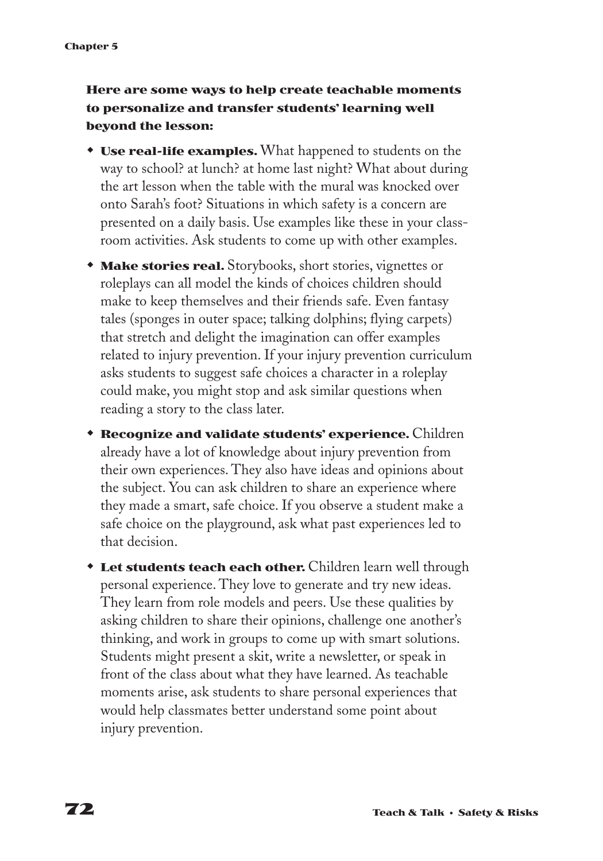#### **Here are some ways to help create teachable moments to personalize and transfer students' learning well beyond the lesson:**

- **Use real-life examples.** What happened to students on the way to school? at lunch? at home last night? What about during the art lesson when the table with the mural was knocked over onto Sarah's foot? Situations in which safety is a concern are presented on a daily basis. Use examples like these in your classroom activities. Ask students to come up with other examples.
- **Make stories real.** Storybooks, short stories, vignettes or roleplays can all model the kinds of choices children should make to keep themselves and their friends safe. Even fantasy tales (sponges in outer space; talking dolphins; flying carpets) that stretch and delight the imagination can offer examples related to injury prevention. If your injury prevention curriculum asks students to suggest safe choices a character in a roleplay could make, you might stop and ask similar questions when reading a story to the class later.
- **\* Recognize and validate students' experience.** Children already have a lot of knowledge about injury prevention from their own experiences. They also have ideas and opinions about the subject. You can ask children to share an experience where they made a smart, safe choice. If you observe a student make a safe choice on the playground, ask what past experiences led to that decision.
- **Let students teach each other.** Children learn well through personal experience. They love to generate and try new ideas. They learn from role models and peers. Use these qualities by asking children to share their opinions, challenge one another's thinking, and work in groups to come up with smart solutions. Students might present a skit, write a newsletter, or speak in front of the class about what they have learned. As teachable moments arise, ask students to share personal experiences that would help classmates better understand some point about injury prevention.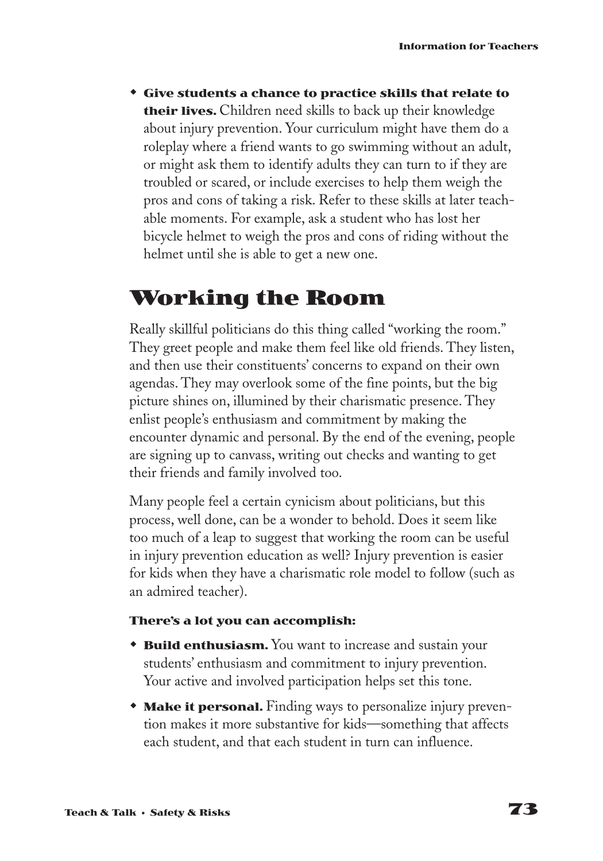w **Give students a chance to practice skills that relate to their lives.** Children need skills to back up their knowledge about injury prevention. Your curriculum might have them do a roleplay where a friend wants to go swimming without an adult, or might ask them to identify adults they can turn to if they are troubled or scared, or include exercises to help them weigh the pros and cons of taking a risk. Refer to these skills at later teachable moments. For example, ask a student who has lost her bicycle helmet to weigh the pros and cons of riding without the helmet until she is able to get a new one.

# **Working the Room**

Really skillful politicians do this thing called "working the room." They greet people and make them feel like old friends. They listen, and then use their constituents' concerns to expand on their own agendas. They may overlook some of the fine points, but the big picture shines on, illumined by their charismatic presence. They enlist people's enthusiasm and commitment by making the encounter dynamic and personal. By the end of the evening, people are signing up to canvass, writing out checks and wanting to get their friends and family involved too.

Many people feel a certain cynicism about politicians, but this process, well done, can be a wonder to behold. Does it seem like too much of a leap to suggest that working the room can be useful in injury prevention education as well? Injury prevention is easier for kids when they have a charismatic role model to follow (such as an admired teacher).

#### **There's a lot you can accomplish:**

- **\* Build enthusiasm.** You want to increase and sustain your students' enthusiasm and commitment to injury prevention. Your active and involved participation helps set this tone.
- **Make it personal.** Finding ways to personalize injury prevention makes it more substantive for kids—something that affects each student, and that each student in turn can influence.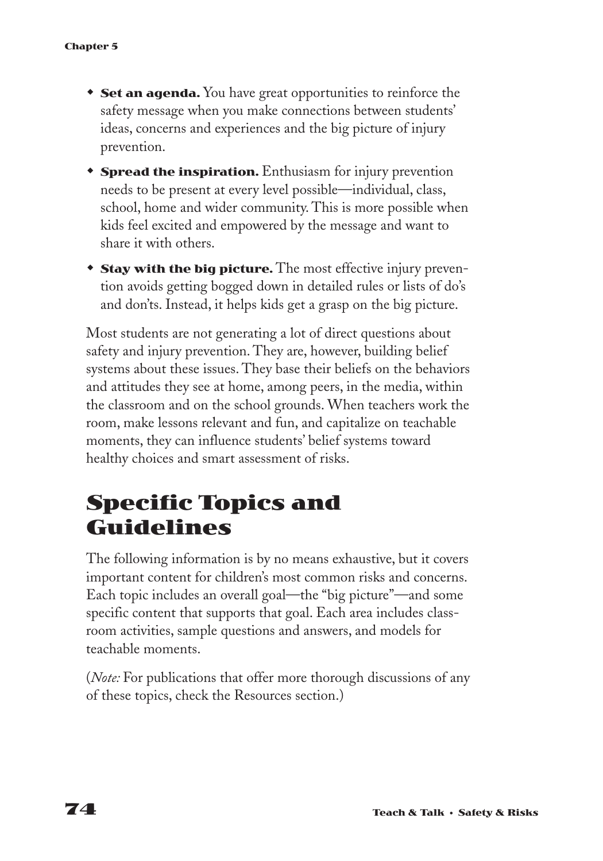- **Set an agenda.** You have great opportunities to reinforce the safety message when you make connections between students' ideas, concerns and experiences and the big picture of injury prevention.
- **\*** Spread the inspiration. Enthusiasm for injury prevention needs to be present at every level possible—individual, class, school, home and wider community. This is more possible when kids feel excited and empowered by the message and want to share it with others.
- **Stay with the big picture.** The most effective injury prevention avoids getting bogged down in detailed rules or lists of do's and don'ts. Instead, it helps kids get a grasp on the big picture.

Most students are not generating a lot of direct questions about safety and injury prevention. They are, however, building belief systems about these issues. They base their beliefs on the behaviors and attitudes they see at home, among peers, in the media, within the classroom and on the school grounds. When teachers work the room, make lessons relevant and fun, and capitalize on teachable moments, they can influence students' belief systems toward healthy choices and smart assessment of risks.

# **Specific Topics and Guidelines**

The following information is by no means exhaustive, but it covers important content for children's most common risks and concerns. Each topic includes an overall goal—the "big picture"—and some specific content that supports that goal. Each area includes classroom activities, sample questions and answers, and models for teachable moments.

(*Note:* For publications that offer more thorough discussions of any of these topics, check the Resources section.)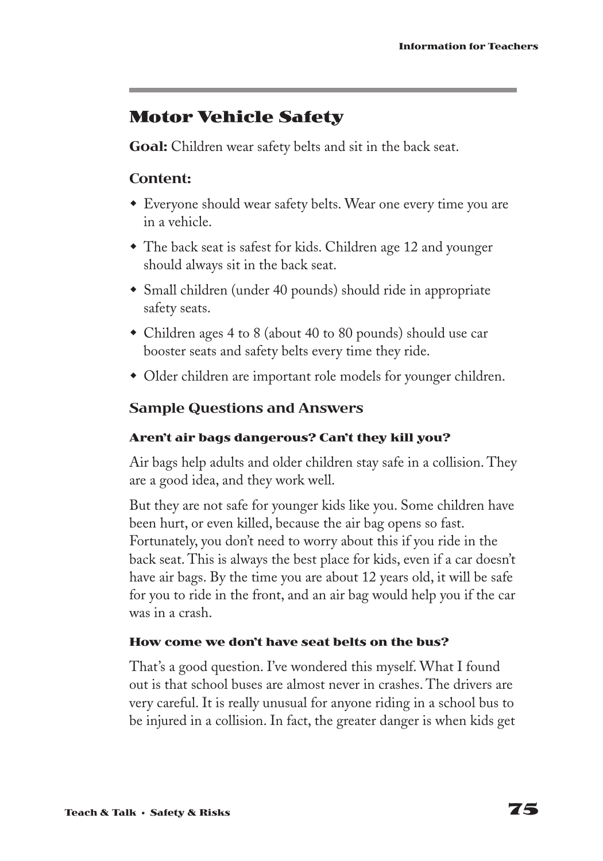### **Motor Vehicle Safety**

**Goal:** Children wear safety belts and sit in the back seat.

#### **Content:**

- Everyone should wear safety belts. Wear one every time you are in a vehicle.
- The back seat is safest for kids. Children age 12 and younger should always sit in the back seat.
- Small children (under 40 pounds) should ride in appropriate safety seats.
- Children ages 4 to 8 (about 40 to 80 pounds) should use car booster seats and safety belts every time they ride.
- Older children are important role models for younger children.

#### **Sample Questions and Answers**

#### **Aren't air bags dangerous? Can't they kill you?**

Air bags help adults and older children stay safe in a collision. They are a good idea, and they work well.

But they are not safe for younger kids like you. Some children have been hurt, or even killed, because the air bag opens so fast. Fortunately, you don't need to worry about this if you ride in the back seat. This is always the best place for kids, even if a car doesn't have air bags. By the time you are about 12 years old, it will be safe for you to ride in the front, and an air bag would help you if the car was in a crash.

#### **How come we don't have seat belts on the bus?**

That's a good question. I've wondered this myself. What I found out is that school buses are almost never in crashes. The drivers are very careful. It is really unusual for anyone riding in a school bus to be injured in a collision. In fact, the greater danger is when kids get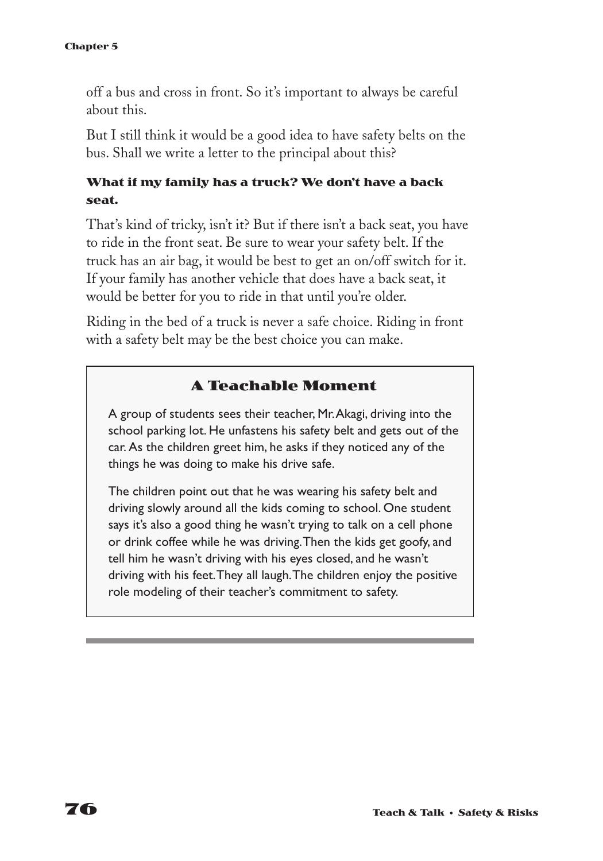off a bus and cross in front. So it's important to always be careful about this.

But I still think it would be a good idea to have safety belts on the bus. Shall we write a letter to the principal about this?

#### **What if my family has a truck? We don't have a back seat.**

That's kind of tricky, isn't it? But if there isn't a back seat, you have to ride in the front seat. Be sure to wear your safety belt. If the truck has an air bag, it would be best to get an on/off switch for it. If your family has another vehicle that does have a back seat, it would be better for you to ride in that until you're older.

Riding in the bed of a truck is never a safe choice. Riding in front with a safety belt may be the best choice you can make.

#### **A Teachable Moment**

A group of students sees their teacher, Mr.Akagi, driving into the school parking lot. He unfastens his safety belt and gets out of the car. As the children greet him, he asks if they noticed any of the things he was doing to make his drive safe.

The children point out that he was wearing his safety belt and driving slowly around all the kids coming to school. One student says it's also a good thing he wasn't trying to talk on a cell phone or drink coffee while he was driving.Then the kids get goofy, and tell him he wasn't driving with his eyes closed, and he wasn't driving with his feet.They all laugh.The children enjoy the positive role modeling of their teacher's commitment to safety.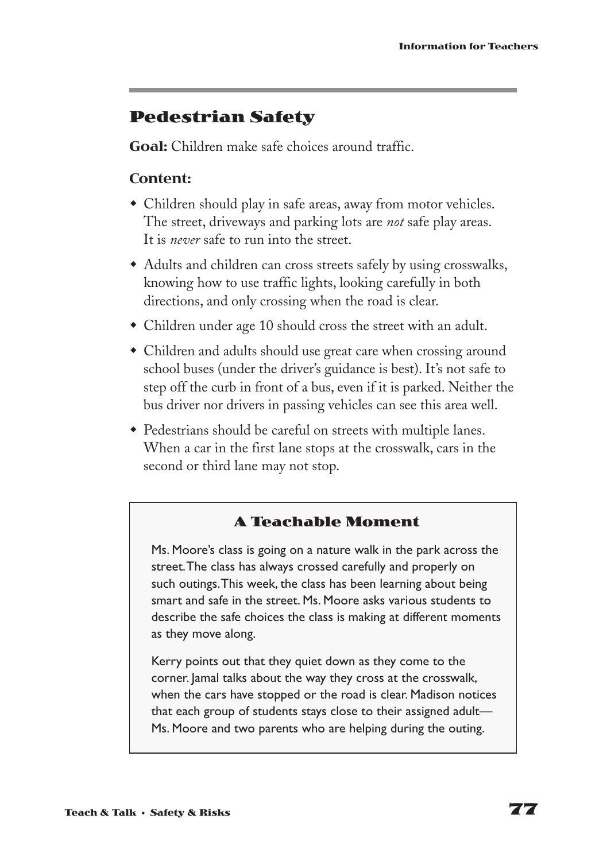### **Pedestrian Safety**

**Goal:** Children make safe choices around traffic.

#### **Content:**

- Children should play in safe areas, away from motor vehicles. The street, driveways and parking lots are *not* safe play areas. It is *never* safe to run into the street.
- Adults and children can cross streets safely by using crosswalks, knowing how to use traffic lights, looking carefully in both directions, and only crossing when the road is clear.
- $\bullet$  Children under age 10 should cross the street with an adult.
- Children and adults should use great care when crossing around school buses (under the driver's guidance is best). It's not safe to step off the curb in front of a bus, even if it is parked. Neither the bus driver nor drivers in passing vehicles can see this area well.
- Pedestrians should be careful on streets with multiple lanes. When a car in the first lane stops at the crosswalk, cars in the second or third lane may not stop.

#### **A Teachable Moment**

Ms. Moore's class is going on a nature walk in the park across the street.The class has always crossed carefully and properly on such outings.This week, the class has been learning about being smart and safe in the street. Ms. Moore asks various students to describe the safe choices the class is making at different moments as they move along.

Kerry points out that they quiet down as they come to the corner. Jamal talks about the way they cross at the crosswalk, when the cars have stopped or the road is clear. Madison notices that each group of students stays close to their assigned adult— Ms. Moore and two parents who are helping during the outing.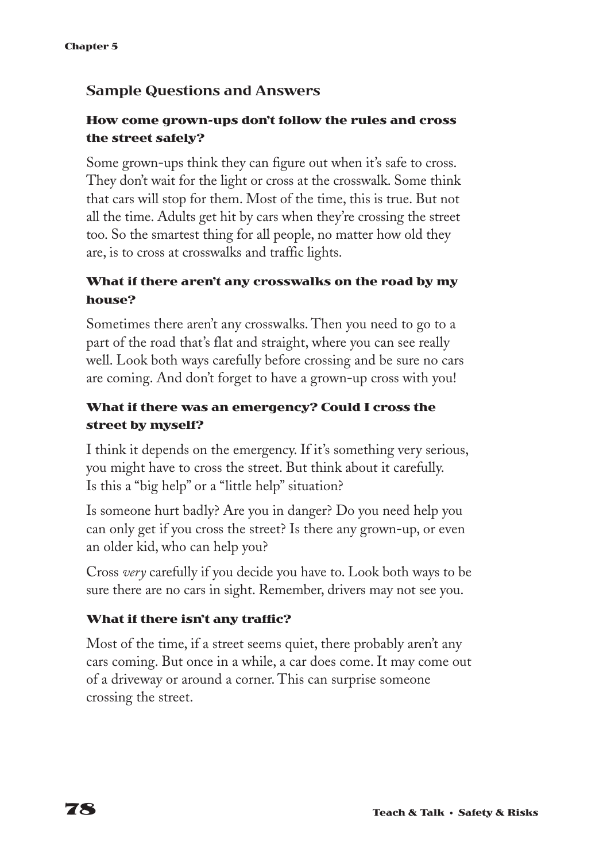#### **Sample Questions and Answers**

#### **How come grown-ups don't follow the rules and cross the street safely?**

Some grown-ups think they can figure out when it's safe to cross. They don't wait for the light or cross at the crosswalk. Some think that cars will stop for them. Most of the time, this is true. But not all the time. Adults get hit by cars when they're crossing the street too. So the smartest thing for all people, no matter how old they are, is to cross at crosswalks and traffic lights.

#### **What if there aren't any crosswalks on the road by my house?**

Sometimes there aren't any crosswalks. Then you need to go to a part of the road that's flat and straight, where you can see really well. Look both ways carefully before crossing and be sure no cars are coming. And don't forget to have a grown-up cross with you!

#### **What if there was an emergency? Could I cross the street by myself?**

I think it depends on the emergency. If it's something very serious, you might have to cross the street. But think about it carefully. Is this a "big help" or a "little help" situation?

Is someone hurt badly? Are you in danger? Do you need help you can only get if you cross the street? Is there any grown-up, or even an older kid, who can help you?

Cross *very* carefully if you decide you have to. Look both ways to be sure there are no cars in sight. Remember, drivers may not see you.

#### **What if there isn't any traffic?**

Most of the time, if a street seems quiet, there probably aren't any cars coming. But once in a while, a car does come. It may come out of a driveway or around a corner. This can surprise someone crossing the street.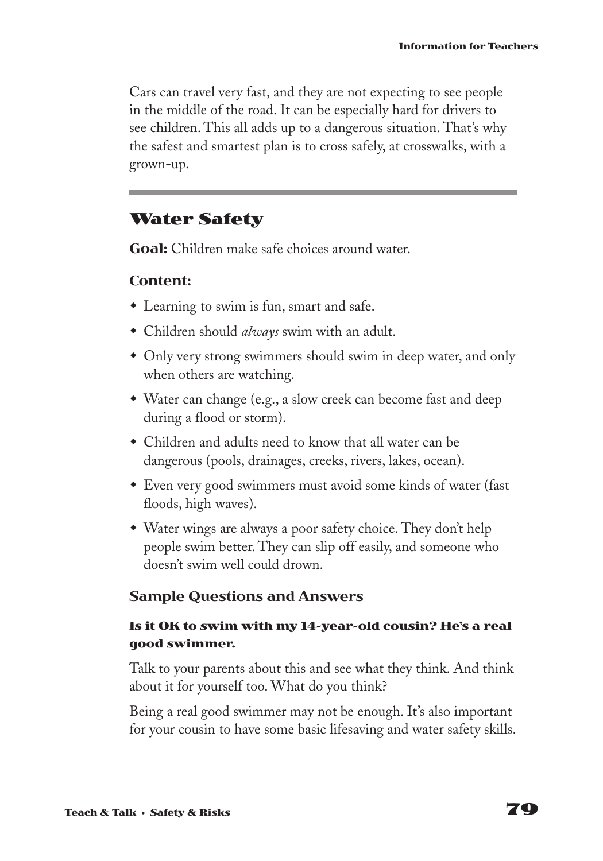Cars can travel very fast, and they are not expecting to see people in the middle of the road. It can be especially hard for drivers to see children. This all adds up to a dangerous situation. That's why the safest and smartest plan is to cross safely, at crosswalks, with a grown-up.

### **Water Safety**

**Goal:** Children make safe choices around water.

#### **Content:**

- $\bullet$  Learning to swim is fun, smart and safe.
- w Children should *always* swim with an adult.
- Only very strong swimmers should swim in deep water, and only when others are watching.
- Water can change (e.g., a slow creek can become fast and deep during a flood or storm).
- $\bullet$  Children and adults need to know that all water can be dangerous (pools, drainages, creeks, rivers, lakes, ocean).
- Even very good swimmers must avoid some kinds of water (fast) floods, high waves).
- $\bullet$  Water wings are always a poor safety choice. They don't help people swim better. They can slip off easily, and someone who doesn't swim well could drown.

#### **Sample Questions and Answers**

#### **Is it OK to swim with my 14-year-old cousin? He's a real good swimmer.**

Talk to your parents about this and see what they think. And think about it for yourself too. What do you think?

Being a real good swimmer may not be enough. It's also important for your cousin to have some basic lifesaving and water safety skills.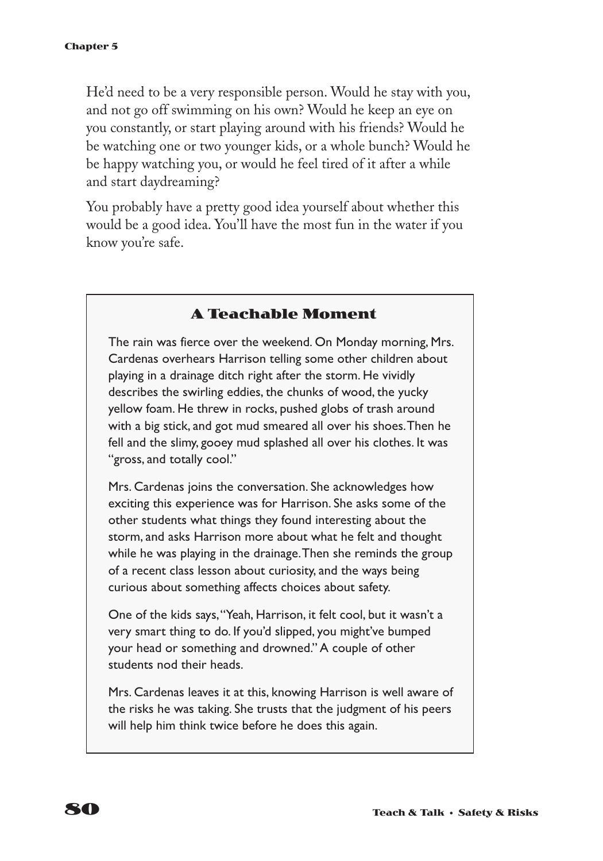He'd need to be a very responsible person. Would he stay with you, and not go off swimming on his own? Would he keep an eye on you constantly, or start playing around with his friends? Would he be watching one or two younger kids, or a whole bunch? Would he be happy watching you, or would he feel tired of it after a while and start daydreaming?

You probably have a pretty good idea yourself about whether this would be a good idea. You'll have the most fun in the water if you know you're safe.

#### **A Teachable Moment**

The rain was fierce over the weekend. On Monday morning, Mrs. Cardenas overhears Harrison telling some other children about playing in a drainage ditch right after the storm. He vividly describes the swirling eddies, the chunks of wood, the yucky yellow foam. He threw in rocks, pushed globs of trash around with a big stick, and got mud smeared all over his shoes.Then he fell and the slimy, gooey mud splashed all over his clothes. It was "gross, and totally cool."

Mrs. Cardenas joins the conversation. She acknowledges how exciting this experience was for Harrison. She asks some of the other students what things they found interesting about the storm, and asks Harrison more about what he felt and thought while he was playing in the drainage.Then she reminds the group of a recent class lesson about curiosity, and the ways being curious about something affects choices about safety.

One of the kids says,"Yeah, Harrison, it felt cool, but it wasn't a very smart thing to do. If you'd slipped, you might've bumped your head or something and drowned." A couple of other students nod their heads.

Mrs. Cardenas leaves it at this, knowing Harrison is well aware of the risks he was taking. She trusts that the judgment of his peers will help him think twice before he does this again.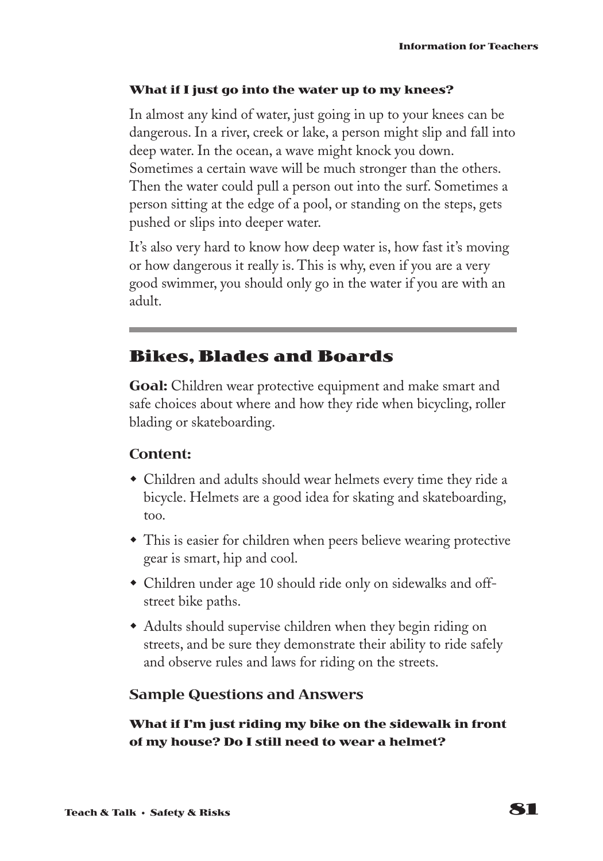#### **What if I just go into the water up to my knees?**

In almost any kind of water, just going in up to your knees can be dangerous. In a river, creek or lake, a person might slip and fall into deep water. In the ocean, a wave might knock you down. Sometimes a certain wave will be much stronger than the others. Then the water could pull a person out into the surf. Sometimes a person sitting at the edge of a pool, or standing on the steps, gets pushed or slips into deeper water.

It's also very hard to know how deep water is, how fast it's moving or how dangerous it really is. This is why, even if you are a very good swimmer, you should only go in the water if you are with an adult.

### **Bikes, Blades and Boards**

**Goal:** Children wear protective equipment and make smart and safe choices about where and how they ride when bicycling, roller blading or skateboarding.

#### **Content:**

- Children and adults should wear helmets every time they ride a bicycle. Helmets are a good idea for skating and skateboarding, too.
- This is easier for children when peers believe wearing protective gear is smart, hip and cool.
- Children under age 10 should ride only on sidewalks and offstreet bike paths.
- Adults should supervise children when they begin riding on streets, and be sure they demonstrate their ability to ride safely and observe rules and laws for riding on the streets.

#### **Sample Questions and Answers**

**What if I'm just riding my bike on the sidewalk in front of my house? Do I still need to wear a helmet?**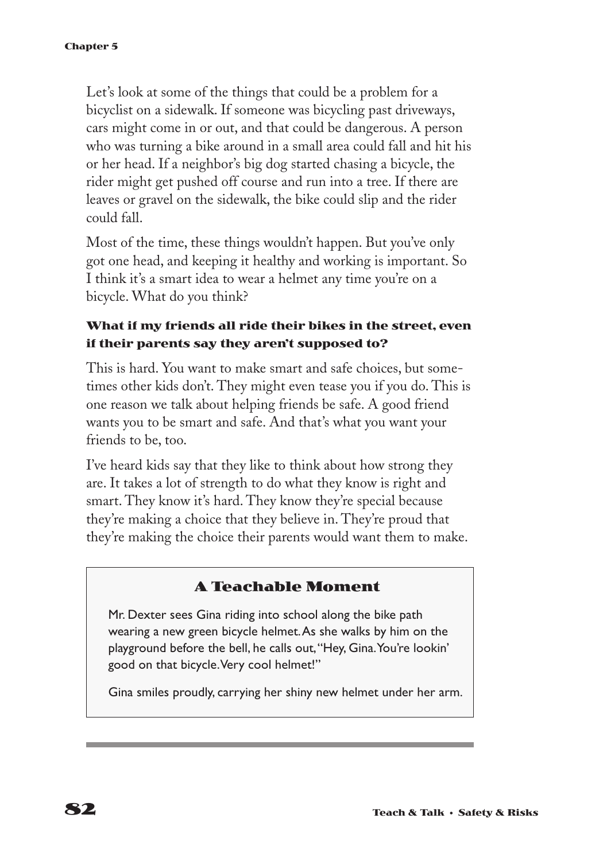Let's look at some of the things that could be a problem for a bicyclist on a sidewalk. If someone was bicycling past driveways, cars might come in or out, and that could be dangerous. A person who was turning a bike around in a small area could fall and hit his or her head. If a neighbor's big dog started chasing a bicycle, the rider might get pushed off course and run into a tree. If there are leaves or gravel on the sidewalk, the bike could slip and the rider could fall.

Most of the time, these things wouldn't happen. But you've only got one head, and keeping it healthy and working is important. So I think it's a smart idea to wear a helmet any time you're on a bicycle. What do you think?

#### **What if my friends all ride their bikes in the street, even if their parents say they aren't supposed to?**

This is hard. You want to make smart and safe choices, but sometimes other kids don't. They might even tease you if you do. This is one reason we talk about helping friends be safe. A good friend wants you to be smart and safe. And that's what you want your friends to be, too.

I've heard kids say that they like to think about how strong they are. It takes a lot of strength to do what they know is right and smart. They know it's hard. They know they're special because they're making a choice that they believe in. They're proud that they're making the choice their parents would want them to make.

#### **A Teachable Moment**

Mr. Dexter sees Gina riding into school along the bike path wearing a new green bicycle helmet.As she walks by him on the playground before the bell, he calls out,"Hey, Gina.You're lookin' good on that bicycle.Very cool helmet!"

Gina smiles proudly, carrying her shiny new helmet under her arm.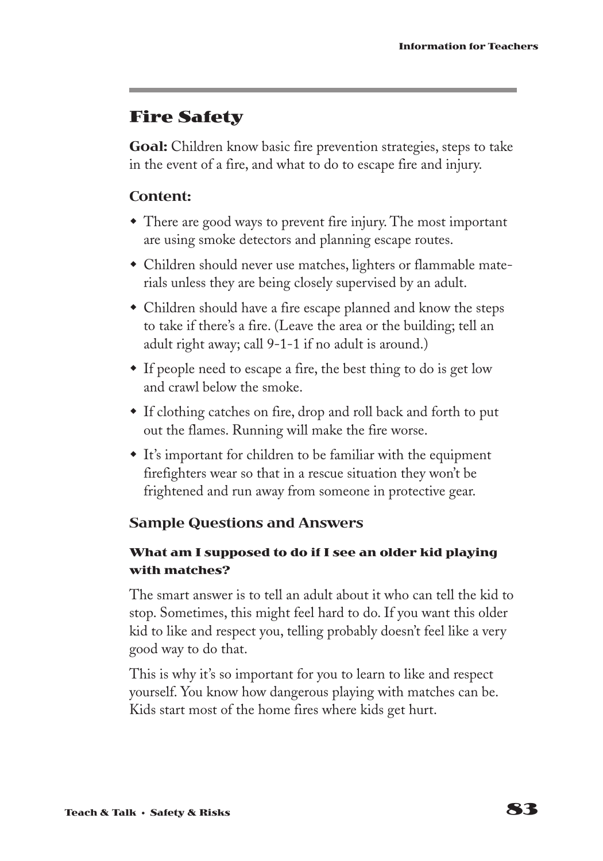### **Fire Safety**

**Goal:** Children know basic fire prevention strategies, steps to take in the event of a fire, and what to do to escape fire and injury.

#### **Content:**

- $\bullet$  There are good ways to prevent fire injury. The most important are using smoke detectors and planning escape routes.
- Children should never use matches, lighters or flammable materials unless they are being closely supervised by an adult.
- Children should have a fire escape planned and know the steps to take if there's a fire. (Leave the area or the building; tell an adult right away; call 9-1-1 if no adult is around.)
- If people need to escape a fire, the best thing to do is get low and crawl below the smoke.
- If clothing catches on fire, drop and roll back and forth to put out the flames. Running will make the fire worse.
- It's important for children to be familiar with the equipment firefighters wear so that in a rescue situation they won't be frightened and run away from someone in protective gear.

#### **Sample Questions and Answers**

#### **What am I supposed to do if I see an older kid playing with matches?**

The smart answer is to tell an adult about it who can tell the kid to stop. Sometimes, this might feel hard to do. If you want this older kid to like and respect you, telling probably doesn't feel like a very good way to do that.

This is why it's so important for you to learn to like and respect yourself. You know how dangerous playing with matches can be. Kids start most of the home fires where kids get hurt.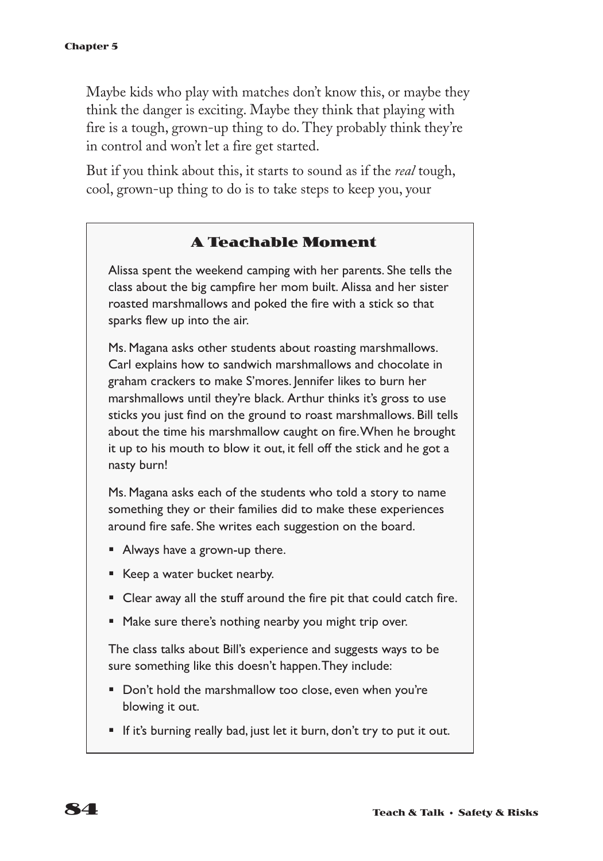Maybe kids who play with matches don't know this, or maybe they think the danger is exciting. Maybe they think that playing with fire is a tough, grown-up thing to do. They probably think they're in control and won't let a fire get started.

But if you think about this, it starts to sound as if the *real* tough, cool, grown-up thing to do is to take steps to keep you, your

#### **A Teachable Moment**

Alissa spent the weekend camping with her parents. She tells the class about the big campfire her mom built. Alissa and her sister roasted marshmallows and poked the fire with a stick so that sparks flew up into the air.

Ms. Magana asks other students about roasting marshmallows. Carl explains how to sandwich marshmallows and chocolate in graham crackers to make S'mores. Jennifer likes to burn her marshmallows until they're black. Arthur thinks it's gross to use sticks you just find on the ground to roast marshmallows. Bill tells about the time his marshmallow caught on fire.When he brought it up to his mouth to blow it out, it fell off the stick and he got a nasty burn!

Ms. Magana asks each of the students who told a story to name something they or their families did to make these experiences around fire safe. She writes each suggestion on the board.

- Always have a grown-up there.
- Keep a water bucket nearby.
- Clear away all the stuff around the fire pit that could catch fire.
- Make sure there's nothing nearby you might trip over.

The class talks about Bill's experience and suggests ways to be sure something like this doesn't happen.They include:

- Don't hold the marshmallow too close, even when you're blowing it out.
- § If it's burning really bad, just let it burn, don't try to put it out.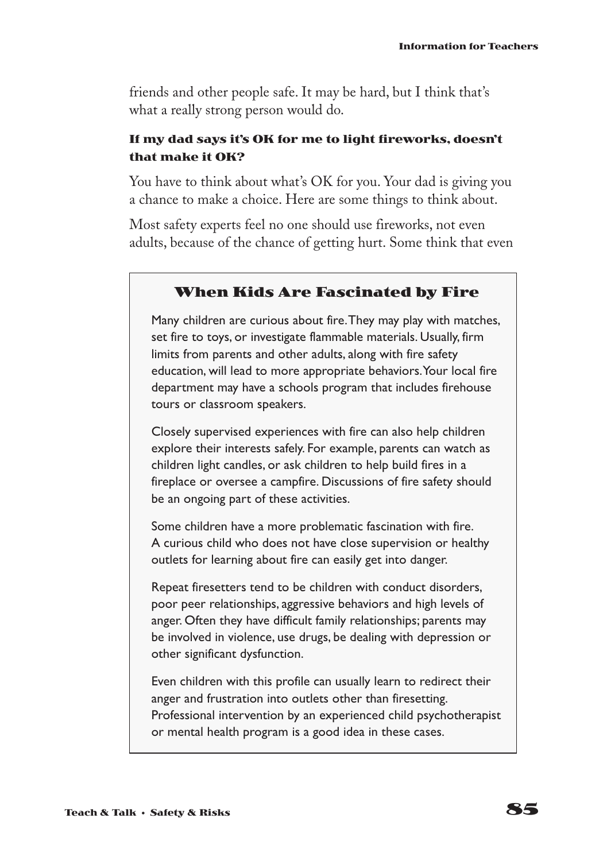friends and other people safe. It may be hard, but I think that's what a really strong person would do.

#### **If my dad says it's OK for me to light fireworks, doesn't that make it OK?**

You have to think about what's OK for you. Your dad is giving you a chance to make a choice. Here are some things to think about.

Most safety experts feel no one should use fireworks, not even adults, because of the chance of getting hurt. Some think that even

#### **When Kids Are Fascinated by Fire**

Many children are curious about fire.They may play with matches, set fire to toys, or investigate flammable materials. Usually, firm limits from parents and other adults, along with fire safety education, will lead to more appropriate behaviors.Your local fire department may have a schools program that includes firehouse tours or classroom speakers.

Closely supervised experiences with fire can also help children explore their interests safely. For example, parents can watch as children light candles, or ask children to help build fires in a fireplace or oversee a campfire. Discussions of fire safety should be an ongoing part of these activities.

Some children have a more problematic fascination with fire. A curious child who does not have close supervision or healthy outlets for learning about fire can easily get into danger.

Repeat firesetters tend to be children with conduct disorders, poor peer relationships, aggressive behaviors and high levels of anger. Often they have difficult family relationships; parents may be involved in violence, use drugs, be dealing with depression or other significant dysfunction.

Even children with this profile can usually learn to redirect their anger and frustration into outlets other than firesetting. Professional intervention by an experienced child psychotherapist or mental health program is a good idea in these cases.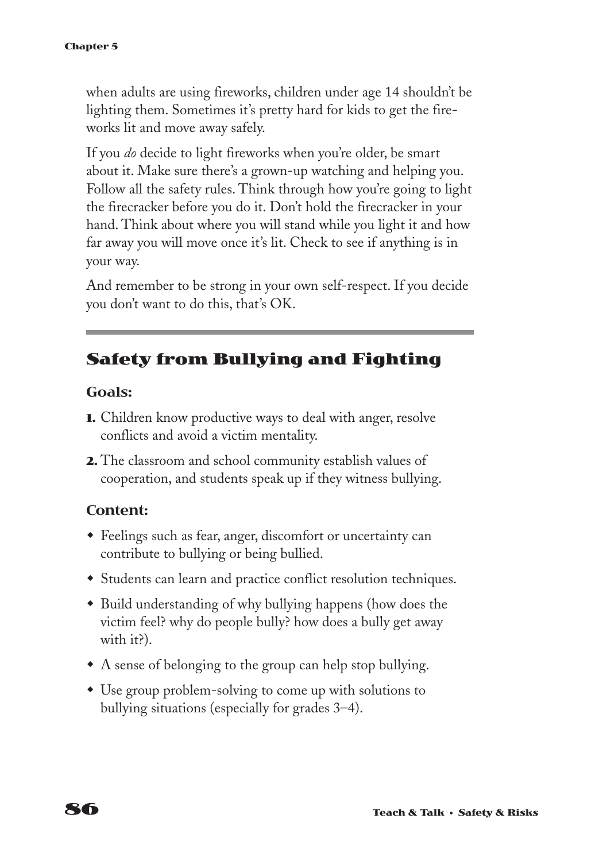when adults are using fireworks, children under age 14 shouldn't be lighting them. Sometimes it's pretty hard for kids to get the fireworks lit and move away safely.

If you *do* decide to light fireworks when you're older, be smart about it. Make sure there's a grown-up watching and helping you. Follow all the safety rules. Think through how you're going to light the firecracker before you do it. Don't hold the firecracker in your hand. Think about where you will stand while you light it and how far away you will move once it's lit. Check to see if anything is in your way.

And remember to be strong in your own self-respect. If you decide you don't want to do this, that's OK.

### **Safety from Bullying and Fighting**

#### **Goals:**

- **1.** Children know productive ways to deal with anger, resolve conflicts and avoid a victim mentality.
- **2.** The classroom and school community establish values of cooperation, and students speak up if they witness bullying.

#### **Content:**

- w Feelings such as fear, anger, discomfort or uncertainty can contribute to bullying or being bullied.
- Students can learn and practice conflict resolution techniques.
- Build understanding of why bullying happens (how does the victim feel? why do people bully? how does a bully get away with it?).
- $\bullet$  A sense of belonging to the group can help stop bullying.
- Use group problem-solving to come up with solutions to bullying situations (especially for grades 3–4).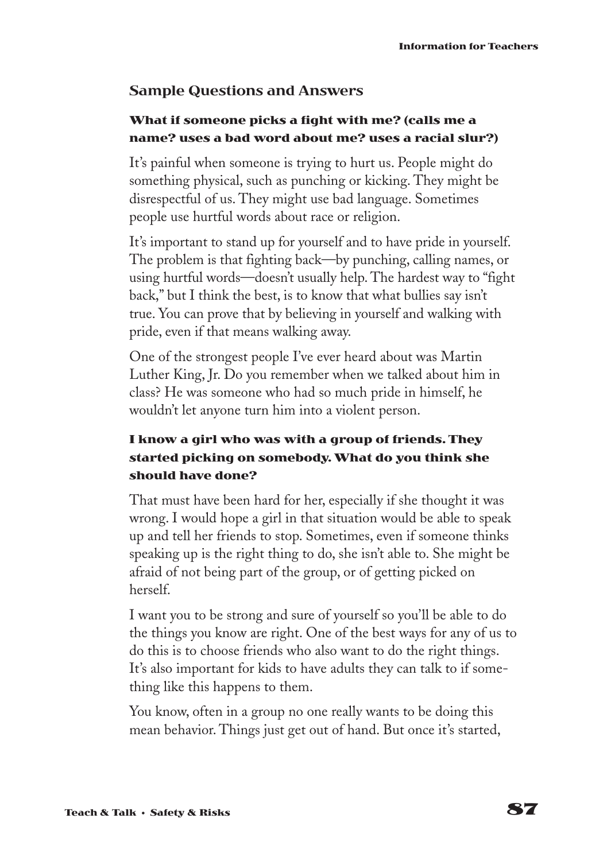#### **Sample Questions and Answers**

#### **What if someone picks a fight with me? (calls me a name? uses a bad word about me? uses a racial slur?)**

It's painful when someone is trying to hurt us. People might do something physical, such as punching or kicking. They might be disrespectful of us. They might use bad language. Sometimes people use hurtful words about race or religion.

It's important to stand up for yourself and to have pride in yourself. The problem is that fighting back—by punching, calling names, or using hurtful words—doesn't usually help. The hardest way to "fight back," but I think the best, is to know that what bullies say isn't true. You can prove that by believing in yourself and walking with pride, even if that means walking away.

One of the strongest people I've ever heard about was Martin Luther King, Jr. Do you remember when we talked about him in class? He was someone who had so much pride in himself, he wouldn't let anyone turn him into a violent person.

#### **I know a girl who was with a group of friends. They started picking on somebody. What do you think she should have done?**

That must have been hard for her, especially if she thought it was wrong. I would hope a girl in that situation would be able to speak up and tell her friends to stop. Sometimes, even if someone thinks speaking up is the right thing to do, she isn't able to. She might be afraid of not being part of the group, or of getting picked on herself.

I want you to be strong and sure of yourself so you'll be able to do the things you know are right. One of the best ways for any of us to do this is to choose friends who also want to do the right things. It's also important for kids to have adults they can talk to if something like this happens to them.

You know, often in a group no one really wants to be doing this mean behavior. Things just get out of hand. But once it's started,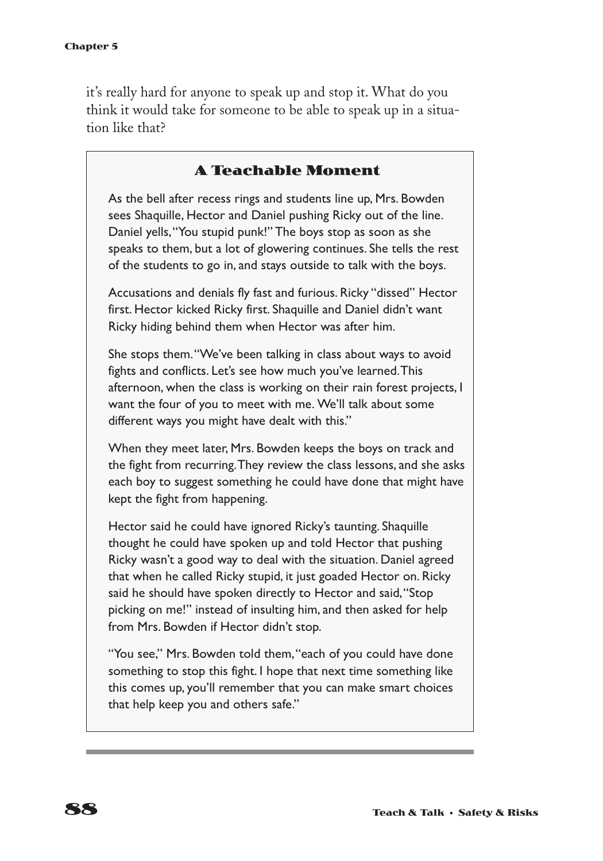it's really hard for anyone to speak up and stop it. What do you think it would take for someone to be able to speak up in a situation like that?

#### **A Teachable Moment**

As the bell after recess rings and students line up, Mrs. Bowden sees Shaquille, Hector and Daniel pushing Ricky out of the line. Daniel yells,"You stupid punk!" The boys stop as soon as she speaks to them, but a lot of glowering continues. She tells the rest of the students to go in, and stays outside to talk with the boys.

Accusations and denials fly fast and furious. Ricky "dissed" Hector first. Hector kicked Ricky first. Shaquille and Daniel didn't want Ricky hiding behind them when Hector was after him.

She stops them."We've been talking in class about ways to avoid fights and conflicts. Let's see how much you've learned.This afternoon, when the class is working on their rain forest projects, I want the four of you to meet with me. We'll talk about some different ways you might have dealt with this."

When they meet later, Mrs. Bowden keeps the boys on track and the fight from recurring.They review the class lessons, and she asks each boy to suggest something he could have done that might have kept the fight from happening.

Hector said he could have ignored Ricky's taunting. Shaquille thought he could have spoken up and told Hector that pushing Ricky wasn't a good way to deal with the situation. Daniel agreed that when he called Ricky stupid, it just goaded Hector on. Ricky said he should have spoken directly to Hector and said,"Stop picking on me!" instead of insulting him, and then asked for help from Mrs. Bowden if Hector didn't stop.

"You see," Mrs. Bowden told them,"each of you could have done something to stop this fight. I hope that next time something like this comes up, you'll remember that you can make smart choices that help keep you and others safe."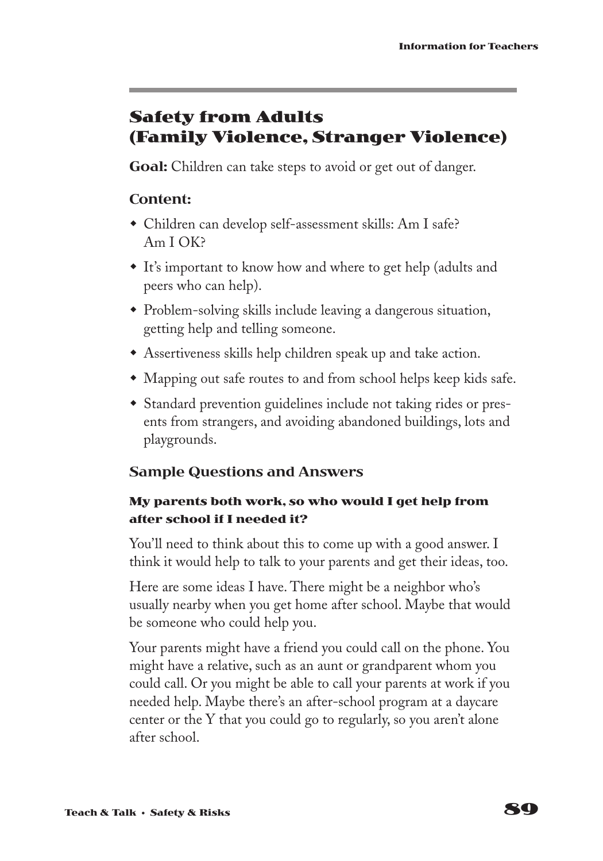### **Safety from Adults (Family Violence, Stranger Violence)**

**Goal:** Children can take steps to avoid or get out of danger.

#### **Content:**

- Children can develop self-assessment skills: Am I safe? Am I OK?
- It's important to know how and where to get help (adults and peers who can help).
- Problem-solving skills include leaving a dangerous situation, getting help and telling someone.
- $\triangle$  Assertiveness skills help children speak up and take action.
- Mapping out safe routes to and from school helps keep kids safe.
- Standard prevention guidelines include not taking rides or presents from strangers, and avoiding abandoned buildings, lots and playgrounds.

#### **Sample Questions and Answers**

#### **My parents both work, so who would I get help from after school if I needed it?**

You'll need to think about this to come up with a good answer. I think it would help to talk to your parents and get their ideas, too.

Here are some ideas I have. There might be a neighbor who's usually nearby when you get home after school. Maybe that would be someone who could help you.

Your parents might have a friend you could call on the phone. You might have a relative, such as an aunt or grandparent whom you could call. Or you might be able to call your parents at work if you needed help. Maybe there's an after-school program at a daycare center or the Y that you could go to regularly, so you aren't alone after school.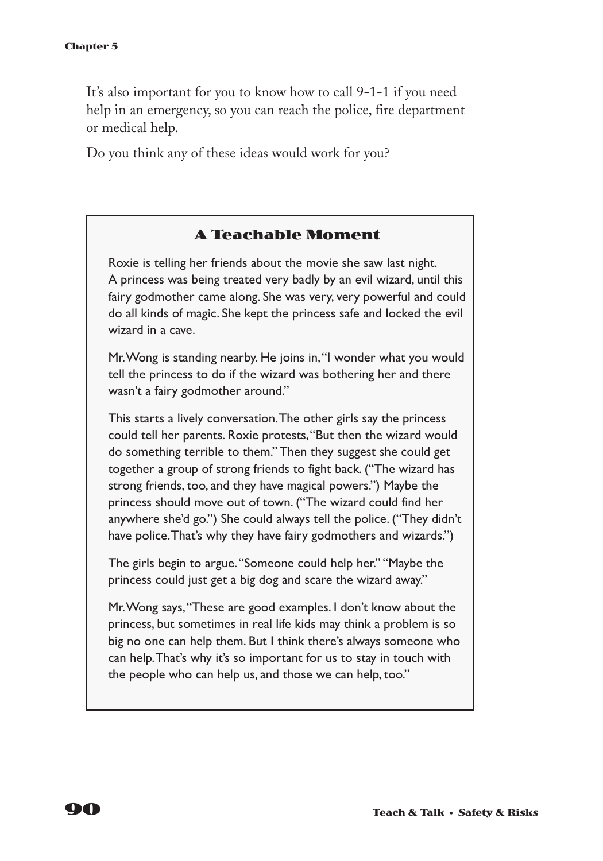It's also important for you to know how to call 9-1-1 if you need help in an emergency, so you can reach the police, fire department or medical help.

Do you think any of these ideas would work for you?

#### **A Teachable Moment**

Roxie is telling her friends about the movie she saw last night. A princess was being treated very badly by an evil wizard, until this fairy godmother came along. She was very, very powerful and could do all kinds of magic. She kept the princess safe and locked the evil wizard in a cave.

Mr.Wong is standing nearby. He joins in,"I wonder what you would tell the princess to do if the wizard was bothering her and there wasn't a fairy godmother around."

This starts a lively conversation.The other girls say the princess could tell her parents. Roxie protests,"But then the wizard would do something terrible to them." Then they suggest she could get together a group of strong friends to fight back. ("The wizard has strong friends, too, and they have magical powers.") Maybe the princess should move out of town. ("The wizard could find her anywhere she'd go.") She could always tell the police. ("They didn't have police. That's why they have fairy godmothers and wizards.")

The girls begin to argue."Someone could help her." "Maybe the princess could just get a big dog and scare the wizard away."

Mr.Wong says,"These are good examples. I don't know about the princess, but sometimes in real life kids may think a problem is so big no one can help them. But I think there's always someone who can help.That's why it's so important for us to stay in touch with the people who can help us, and those we can help, too."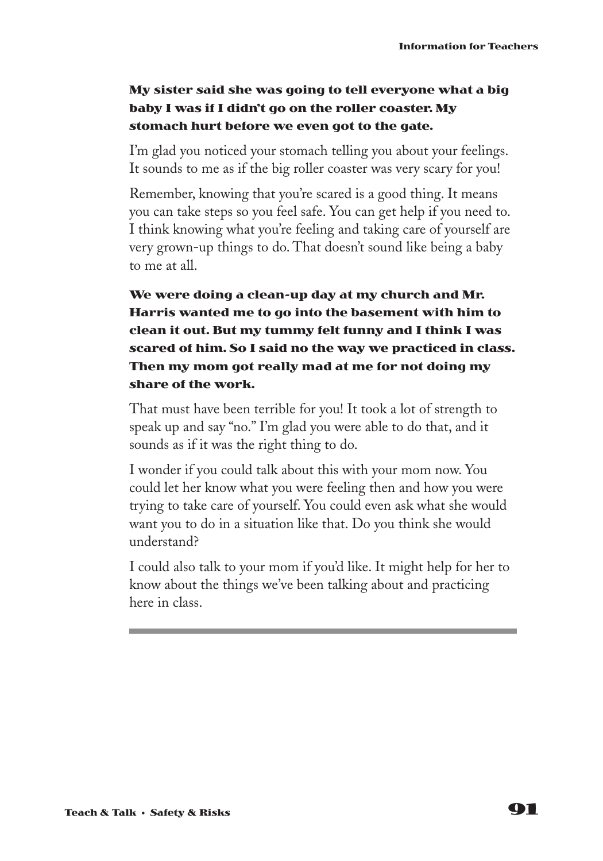#### **My sister said she was going to tell everyone what a big baby I was if I didn't go on the roller coaster. My stomach hurt before we even got to the gate.**

I'm glad you noticed your stomach telling you about your feelings. It sounds to me as if the big roller coaster was very scary for you!

Remember, knowing that you're scared is a good thing. It means you can take steps so you feel safe. You can get help if you need to. I think knowing what you're feeling and taking care of yourself are very grown-up things to do. That doesn't sound like being a baby to me at all.

**We were doing a clean-up day at my church and Mr. Harris wanted me to go into the basement with him to clean it out. But my tummy felt funny and I think I was scared of him. So I said no the way we practiced in class. Then my mom got really mad at me for not doing my share of the work.**

That must have been terrible for you! It took a lot of strength to speak up and say "no." I'm glad you were able to do that, and it sounds as if it was the right thing to do.

I wonder if you could talk about this with your mom now. You could let her know what you were feeling then and how you were trying to take care of yourself. You could even ask what she would want you to do in a situation like that. Do you think she would understand?

I could also talk to your mom if you'd like. It might help for her to know about the things we've been talking about and practicing here in class.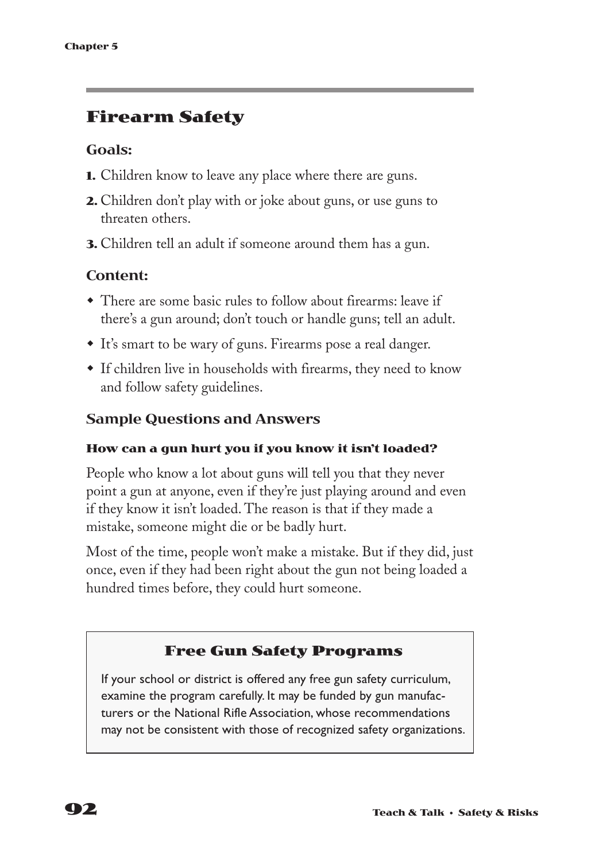### **Firearm Safety**

#### **Goals:**

- **1.** Children know to leave any place where there are guns.
- **2.** Children don't play with or joke about guns, or use guns to threaten others.
- **3.** Children tell an adult if someone around them has a gun.

#### **Content:**

- There are some basic rules to follow about firearms: leave if there's a gun around; don't touch or handle guns; tell an adult.
- It's smart to be wary of guns. Firearms pose a real danger.
- If children live in households with firearms, they need to know and follow safety guidelines.

#### **Sample Questions and Answers**

#### **How can a gun hurt you if you know it isn't loaded?**

People who know a lot about guns will tell you that they never point a gun at anyone, even if they're just playing around and even if they know it isn't loaded. The reason is that if they made a mistake, someone might die or be badly hurt.

Most of the time, people won't make a mistake. But if they did, just once, even if they had been right about the gun not being loaded a hundred times before, they could hurt someone.

#### **Free Gun Safety Programs**

If your school or district is offered any free gun safety curriculum, examine the program carefully. It may be funded by gun manufacturers or the National Rifle Association, whose recommendations may not be consistent with those of recognized safety organizations.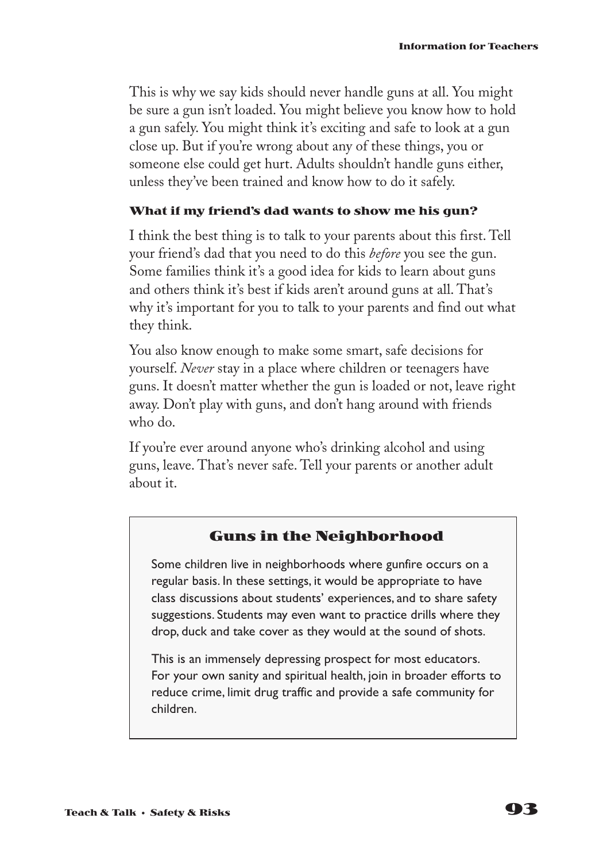This is why we say kids should never handle guns at all. You might be sure a gun isn't loaded. You might believe you know how to hold a gun safely. You might think it's exciting and safe to look at a gun close up. But if you're wrong about any of these things, you or someone else could get hurt. Adults shouldn't handle guns either, unless they've been trained and know how to do it safely.

#### **What if my friend's dad wants to show me his gun?**

I think the best thing is to talk to your parents about this first. Tell your friend's dad that you need to do this *before* you see the gun. Some families think it's a good idea for kids to learn about guns and others think it's best if kids aren't around guns at all. That's why it's important for you to talk to your parents and find out what they think.

You also know enough to make some smart, safe decisions for yourself. *Never* stay in a place where children or teenagers have guns. It doesn't matter whether the gun is loaded or not, leave right away. Don't play with guns, and don't hang around with friends who do.

If you're ever around anyone who's drinking alcohol and using guns, leave. That's never safe. Tell your parents or another adult about it.

#### **Guns in the Neighborhood**

Some children live in neighborhoods where gunfire occurs on a regular basis. In these settings, it would be appropriate to have class discussions about students' experiences, and to share safety suggestions. Students may even want to practice drills where they drop, duck and take cover as they would at the sound of shots.

This is an immensely depressing prospect for most educators. For your own sanity and spiritual health, join in broader efforts to reduce crime, limit drug traffic and provide a safe community for children.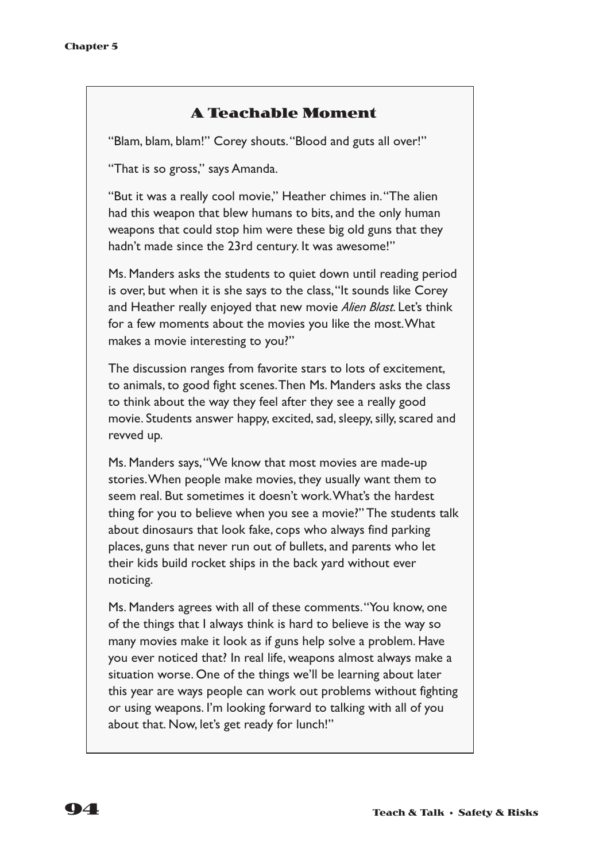#### **A Teachable Moment**

"Blam, blam, blam!" Corey shouts."Blood and guts all over!"

"That is so gross," says Amanda.

"But it was a really cool movie," Heather chimes in."The alien had this weapon that blew humans to bits, and the only human weapons that could stop him were these big old guns that they hadn't made since the 23rd century. It was awesome!"

Ms. Manders asks the students to quiet down until reading period is over, but when it is she says to the class,"It sounds like Corey and Heather really enjoyed that new movie *Alien Blast*. Let's think for a few moments about the movies you like the most.What makes a movie interesting to you?"

The discussion ranges from favorite stars to lots of excitement, to animals, to good fight scenes.Then Ms. Manders asks the class to think about the way they feel after they see a really good movie. Students answer happy, excited, sad, sleepy, silly, scared and revved up.

Ms. Manders says,"We know that most movies are made-up stories.When people make movies, they usually want them to seem real. But sometimes it doesn't work.What's the hardest thing for you to believe when you see a movie?" The students talk about dinosaurs that look fake, cops who always find parking places, guns that never run out of bullets, and parents who let their kids build rocket ships in the back yard without ever noticing.

Ms. Manders agrees with all of these comments."You know, one of the things that I always think is hard to believe is the way so many movies make it look as if guns help solve a problem. Have you ever noticed that? In real life, weapons almost always make a situation worse. One of the things we'll be learning about later this year are ways people can work out problems without fighting or using weapons. I'm looking forward to talking with all of you about that. Now, let's get ready for lunch!"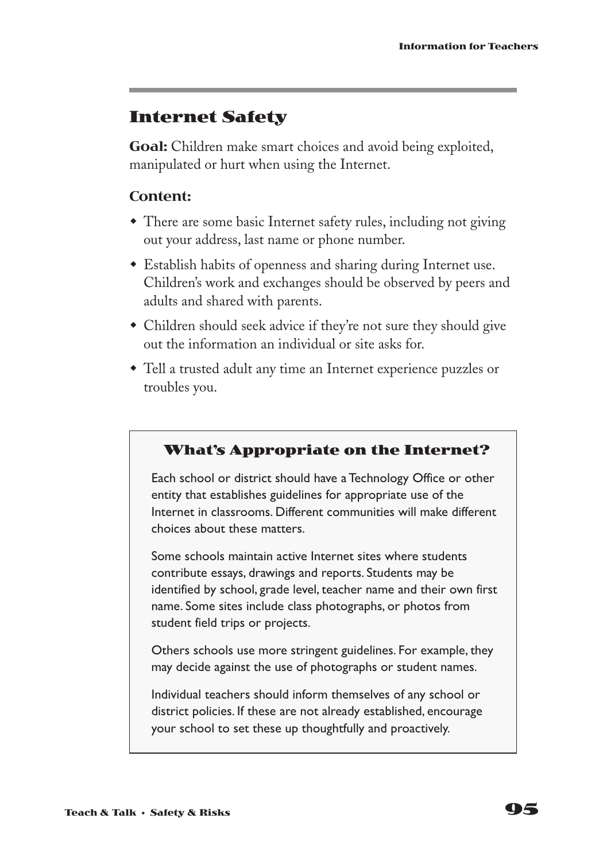### **Internet Safety**

**Goal:** Children make smart choices and avoid being exploited, manipulated or hurt when using the Internet.

#### **Content:**

- There are some basic Internet safety rules, including not giving out your address, last name or phone number.
- **Establish habits of openness and sharing during Internet use.** Children's work and exchanges should be observed by peers and adults and shared with parents.
- Children should seek advice if they're not sure they should give out the information an individual or site asks for.
- Tell a trusted adult any time an Internet experience puzzles or troubles you.

#### **What's Appropriate on the Internet?**

Each school or district should have a Technology Office or other entity that establishes guidelines for appropriate use of the Internet in classrooms. Different communities will make different choices about these matters.

Some schools maintain active Internet sites where students contribute essays, drawings and reports. Students may be identified by school, grade level, teacher name and their own first name. Some sites include class photographs, or photos from student field trips or projects.

Others schools use more stringent guidelines. For example, they may decide against the use of photographs or student names.

Individual teachers should inform themselves of any school or district policies. If these are not already established, encourage your school to set these up thoughtfully and proactively.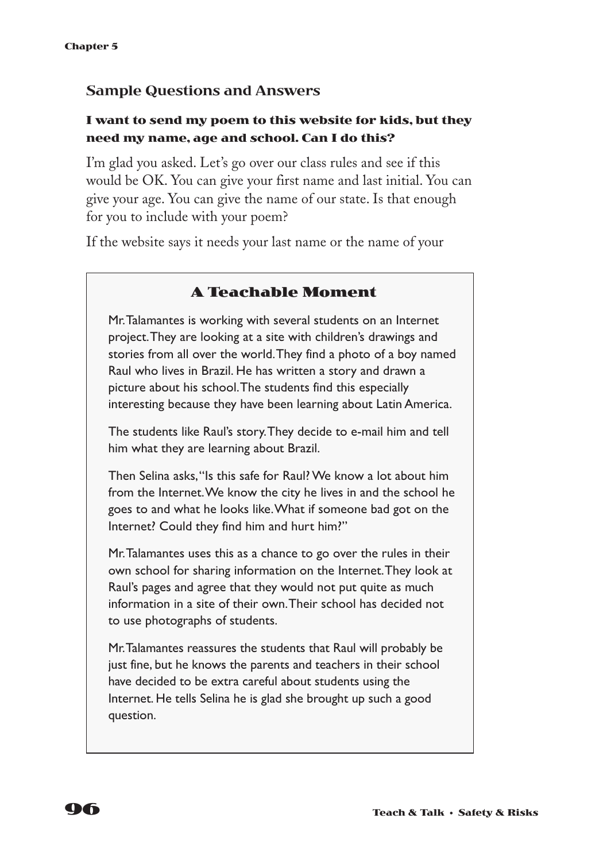#### **Sample Questions and Answers**

#### **I want to send my poem to this website for kids, but they need my name, age and school. Can I do this?**

I'm glad you asked. Let's go over our class rules and see if this would be OK. You can give your first name and last initial. You can give your age. You can give the name of our state. Is that enough for you to include with your poem?

If the website says it needs your last name or the name of your

#### **A Teachable Moment**

Mr.Talamantes is working with several students on an Internet project.They are looking at a site with children's drawings and stories from all over the world.They find a photo of a boy named Raul who lives in Brazil. He has written a story and drawn a picture about his school.The students find this especially interesting because they have been learning about Latin America.

The students like Raul's story.They decide to e-mail him and tell him what they are learning about Brazil.

Then Selina asks,"Is this safe for Raul? We know a lot about him from the Internet.We know the city he lives in and the school he goes to and what he looks like.What if someone bad got on the Internet? Could they find him and hurt him?"

Mr.Talamantes uses this as a chance to go over the rules in their own school for sharing information on the Internet.They look at Raul's pages and agree that they would not put quite as much information in a site of their own.Their school has decided not to use photographs of students.

Mr.Talamantes reassures the students that Raul will probably be just fine, but he knows the parents and teachers in their school have decided to be extra careful about students using the Internet. He tells Selina he is glad she brought up such a good question.

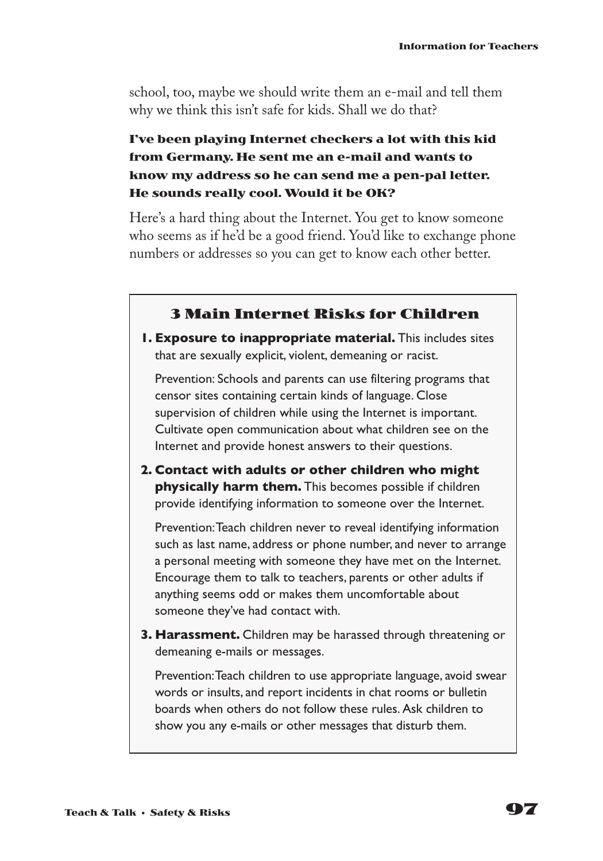school, too, maybe we should write them an e-mail and tell them why we think this isn't safe for kids. Shall we do that?

#### **I've been playing Internet checkers a lot with this kid from Germany. He sent me an e-mail and wants to know my address so he can send me a pen-pal letter. He sounds really cool. Would it be OK?**

Here's a hard thing about the Internet. You get to know someone who seems as if he'd be a good friend. You'd like to exchange phone numbers or addresses so you can get to know each other better.

#### **3 Main Internet Risks for Children**

**1. Exposure to inappropriate material.** This includes sites that are sexually explicit, violent, demeaning or racist.

Prevention: Schools and parents can use filtering programs that censor sites containing certain kinds of language. Close supervision of children while using the Internet is important. Cultivate open communication about what children see on the Internet and provide honest answers to their questions.

**2. Contact with adults or other children who might physically harm them.** This becomes possible if children provide identifying information to someone over the Internet.

Prevention:Teach children never to reveal identifying information such as last name, address or phone number, and never to arrange a personal meeting with someone they have met on the Internet. Encourage them to talk to teachers, parents or other adults if anything seems odd or makes them uncomfortable about someone they've had contact with.

**3. Harassment.** Children may be harassed through threatening or demeaning e-mails or messages.

Prevention:Teach children to use appropriate language, avoid swear words or insults, and report incidents in chat rooms or bulletin boards when others do not follow these rules. Ask children to show you any e-mails or other messages that disturb them.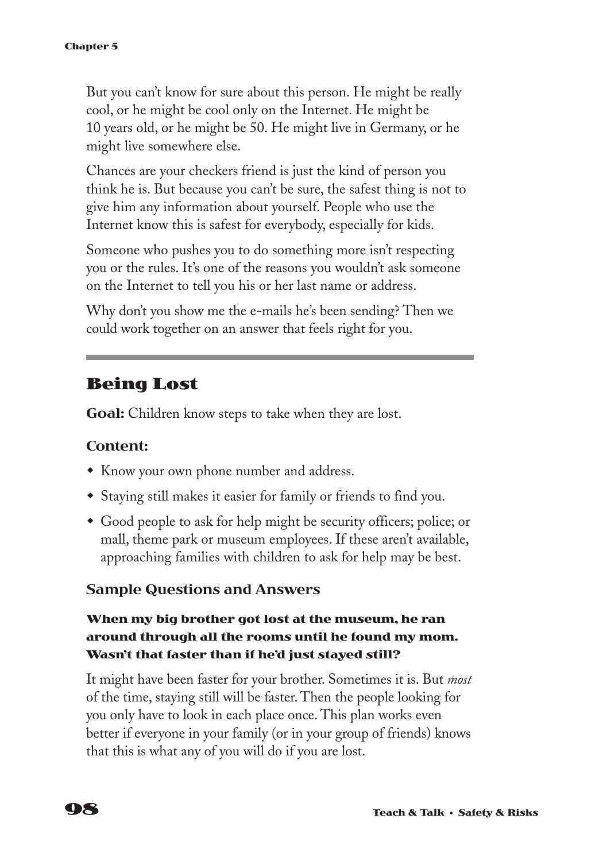But you can't know for sure about this person. He might be really cool, or he might be cool only on the Internet. He might be 10 years old, or he might be 50. He might live in Germany, or he might live somewhere else.

Chances are your checkers friend is just the kind of person you think he is. But because you can't be sure, the safest thing is not to give him any information about yourself. People who use the Internet know this is safest for everybody, especially for kids.

Someone who pushes you to do something more isn't respecting you or the rules. It's one of the reasons you wouldn't ask someone on the Internet to tell you his or her last name or address.

Why don't you show me the e-mails he's been sending? Then we could work together on an answer that feels right for you.

### **Being Lost**

**Goal:** Children know steps to take when they are lost.

#### **Content:**

- Know your own phone number and address.
- Staying still makes it easier for family or friends to find you.
- Good people to ask for help might be security officers; police; or mall, theme park or museum employees. If these aren't available, approaching families with children to ask for help may be best.

#### **Sample Questions and Answers**

#### **When my big brother got lost at the museum, he ran around through all the rooms until he found my mom. Wasn't that faster than if he'd just stayed still?**

It might have been faster for your brother. Sometimes it is. But *most* of the time, staying still will be faster. Then the people looking for you only have to look in each place once. This plan works even better if everyone in your family (or in your group of friends) knows that this is what any of you will do if you are lost.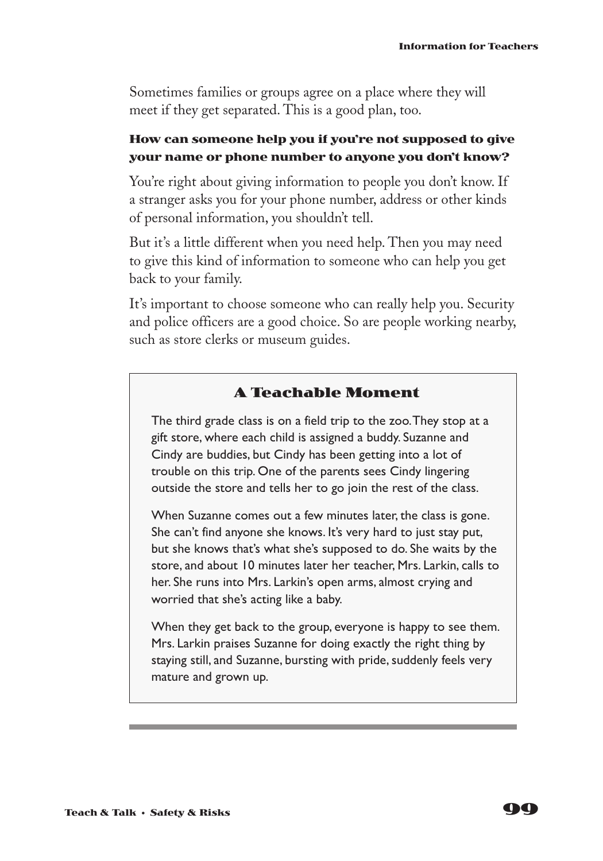Sometimes families or groups agree on a place where they will meet if they get separated. This is a good plan, too.

#### **How can someone help you if you're not supposed to give your name or phone number to anyone you don't know?**

You're right about giving information to people you don't know. If a stranger asks you for your phone number, address or other kinds of personal information, you shouldn't tell.

But it's a little different when you need help. Then you may need to give this kind of information to someone who can help you get back to your family.

It's important to choose someone who can really help you. Security and police officers are a good choice. So are people working nearby, such as store clerks or museum guides.

#### **A Teachable Moment**

The third grade class is on a field trip to the zoo.They stop at a gift store, where each child is assigned a buddy. Suzanne and Cindy are buddies, but Cindy has been getting into a lot of trouble on this trip. One of the parents sees Cindy lingering outside the store and tells her to go join the rest of the class.

When Suzanne comes out a few minutes later, the class is gone. She can't find anyone she knows. It's very hard to just stay put, but she knows that's what she's supposed to do. She waits by the store, and about 10 minutes later her teacher, Mrs. Larkin, calls to her. She runs into Mrs. Larkin's open arms, almost crying and worried that she's acting like a baby.

When they get back to the group, everyone is happy to see them. Mrs. Larkin praises Suzanne for doing exactly the right thing by staying still, and Suzanne, bursting with pride, suddenly feels very mature and grown up.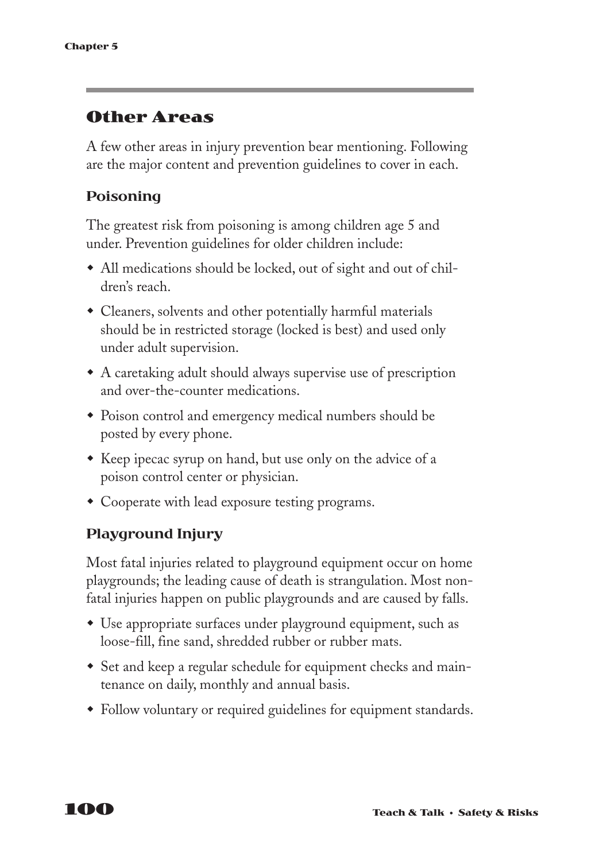### **Other Areas**

A few other areas in injury prevention bear mentioning. Following are the major content and prevention guidelines to cover in each.

#### **Poisoning**

The greatest risk from poisoning is among children age 5 and under. Prevention guidelines for older children include:

- All medications should be locked, out of sight and out of children's reach.
- Cleaners, solvents and other potentially harmful materials should be in restricted storage (locked is best) and used only under adult supervision.
- A caretaking adult should always supervise use of prescription and over-the-counter medications.
- Poison control and emergency medical numbers should be posted by every phone.
- Keep ipecac syrup on hand, but use only on the advice of a poison control center or physician.
- Cooperate with lead exposure testing programs.

#### **Playground Injury**

Most fatal injuries related to playground equipment occur on home playgrounds; the leading cause of death is strangulation. Most nonfatal injuries happen on public playgrounds and are caused by falls.

- Use appropriate surfaces under playground equipment, such as loose-fill, fine sand, shredded rubber or rubber mats.
- Set and keep a regular schedule for equipment checks and maintenance on daily, monthly and annual basis.
- Follow voluntary or required guidelines for equipment standards.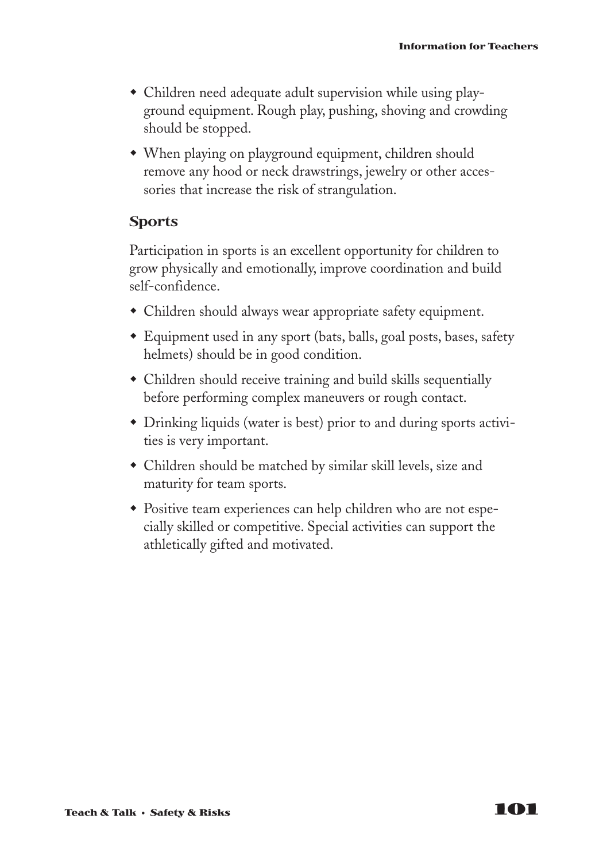- $\bullet$  Children need adequate adult supervision while using playground equipment. Rough play, pushing, shoving and crowding should be stopped.
- When playing on playground equipment, children should remove any hood or neck drawstrings, jewelry or other accessories that increase the risk of strangulation.

#### **Sports**

Participation in sports is an excellent opportunity for children to grow physically and emotionally, improve coordination and build self-confidence.

- Children should always wear appropriate safety equipment.
- Equipment used in any sport (bats, balls, goal posts, bases, safety helmets) should be in good condition.
- Children should receive training and build skills sequentially before performing complex maneuvers or rough contact.
- Drinking liquids (water is best) prior to and during sports activities is very important.
- Children should be matched by similar skill levels, size and maturity for team sports.
- Positive team experiences can help children who are not especially skilled or competitive. Special activities can support the athletically gifted and motivated.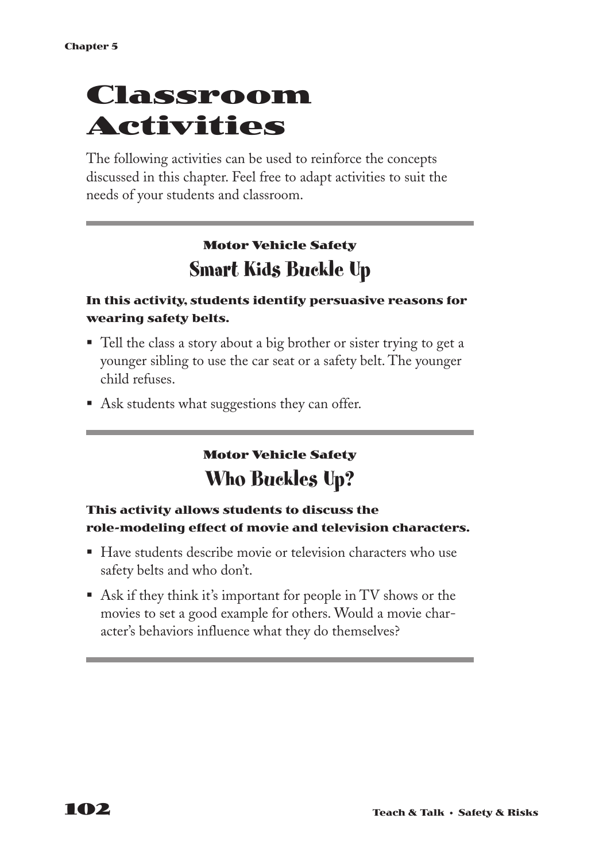# **Classroom Activities**

The following activities can be used to reinforce the concepts discussed in this chapter. Feel free to adapt activities to suit the needs of your students and classroom.

# **Motor Vehicle Safety Smart Kids Buckle Up**

#### **In this activity, students identify persuasive reasons for wearing safety belts.**

- Tell the class a story about a big brother or sister trying to get a younger sibling to use the car seat or a safety belt. The younger child refuses.
- § Ask students what suggestions they can offer.

## **Motor Vehicle Safety Who Buckles Up?**

#### **This activity allows students to discuss the role-modeling effect of movie and television characters.**

- Have students describe movie or television characters who use safety belts and who don't.
- Ask if they think it's important for people in TV shows or the movies to set a good example for others. Would a movie character's behaviors influence what they do themselves?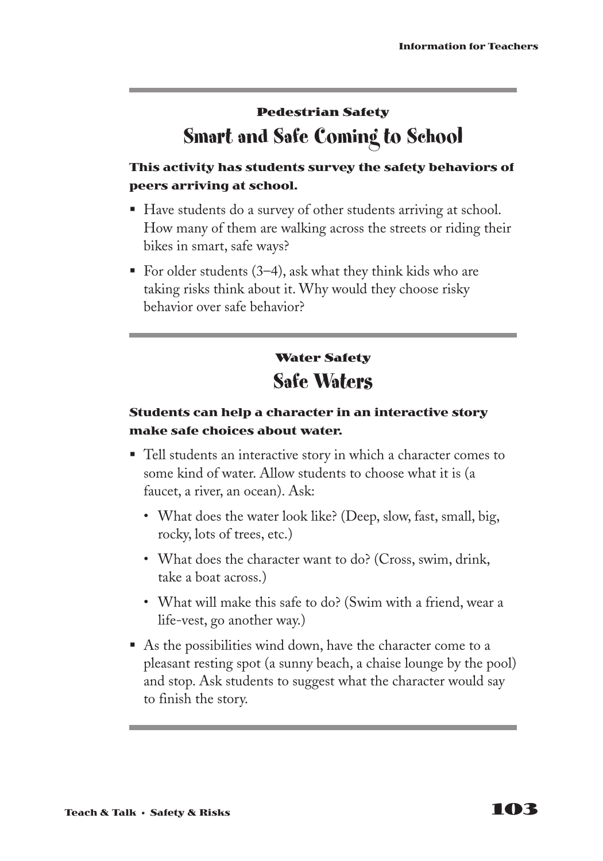## **Pedestrian Safety Smart and Safe Coming to School**

### **This activity has students survey the safety behaviors of peers arriving at school.**

- Have students do a survey of other students arriving at school. How many of them are walking across the streets or riding their bikes in smart, safe ways?
- For older students  $(3-4)$ , ask what they think kids who are taking risks think about it. Why would they choose risky behavior over safe behavior?

## **Water Safety Safe Waters**

### **Students can help a character in an interactive story make safe choices about water.**

- Tell students an interactive story in which a character comes to some kind of water. Allow students to choose what it is (a faucet, a river, an ocean). Ask:
	- What does the water look like? (Deep, slow, fast, small, big, rocky, lots of trees, etc.)
	- What does the character want to do? (Cross, swim, drink, take a boat across.)
	- What will make this safe to do? (Swim with a friend, wear a life-vest, go another way.)
- § As the possibilities wind down, have the character come to a pleasant resting spot (a sunny beach, a chaise lounge by the pool) and stop. Ask students to suggest what the character would say to finish the story.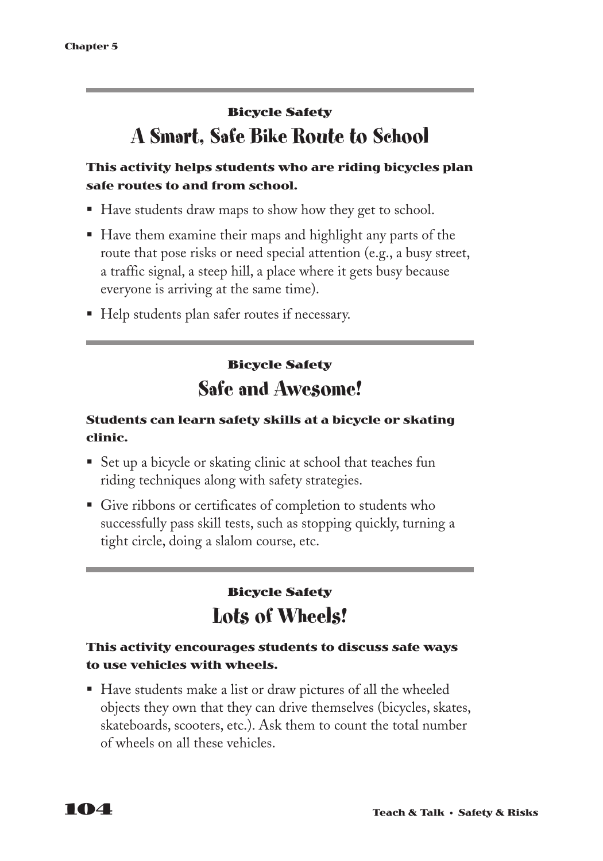## **Bicycle Safety A Smart, Safe Bike Route to School**

### **This activity helps students who are riding bicycles plan safe routes to and from school.**

- Have students draw maps to show how they get to school.
- Have them examine their maps and highlight any parts of the route that pose risks or need special attention (e.g., a busy street, a traffic signal, a steep hill, a place where it gets busy because everyone is arriving at the same time).
- Help students plan safer routes if necessary.

## **Bicycle Safety Safe and Awesome!**

### **Students can learn safety skills at a bicycle or skating clinic.**

- Set up a bicycle or skating clinic at school that teaches fun riding techniques along with safety strategies.
- Give ribbons or certificates of completion to students who successfully pass skill tests, such as stopping quickly, turning a tight circle, doing a slalom course, etc.

## **Bicycle Safety Lots of Wheels!**

### **This activity encourages students to discuss safe ways to use vehicles with wheels.**

§ Have students make a list or draw pictures of all the wheeled objects they own that they can drive themselves (bicycles, skates, skateboards, scooters, etc.). Ask them to count the total number of wheels on all these vehicles.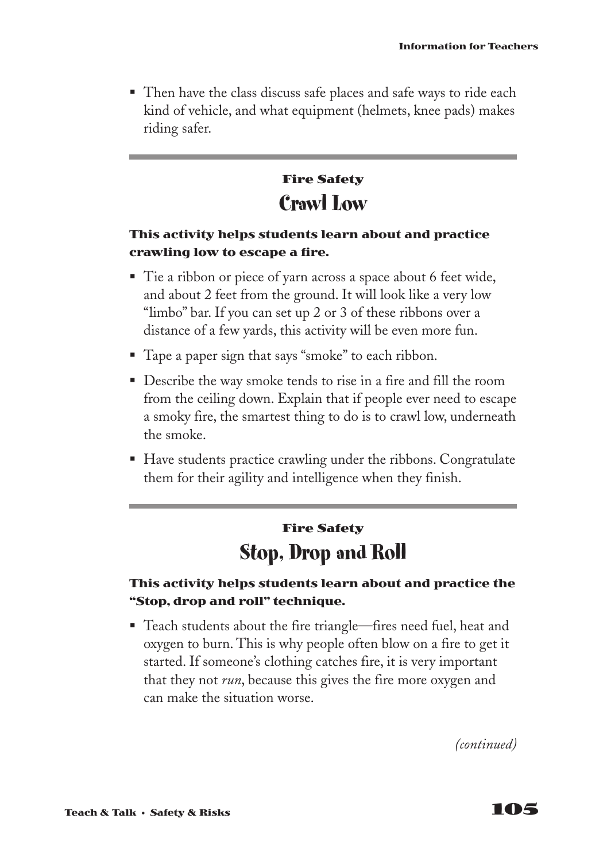■ Then have the class discuss safe places and safe ways to ride each kind of vehicle, and what equipment (helmets, knee pads) makes riding safer.

## **Fire Safety Crawl Low**

#### **This activity helps students learn about and practice crawling low to escape a fire.**

- Tie a ribbon or piece of yarn across a space about 6 feet wide, and about 2 feet from the ground. It will look like a very low "limbo" bar. If you can set up 2 or 3 of these ribbons over a distance of a few yards, this activity will be even more fun.
- Tape a paper sign that says "smoke" to each ribbon.
- Describe the way smoke tends to rise in a fire and fill the room from the ceiling down. Explain that if people ever need to escape a smoky fire, the smartest thing to do is to crawl low, underneath the smoke.
- Have students practice crawling under the ribbons. Congratulate them for their agility and intelligence when they finish.

## **Fire Safety Stop, Drop and Roll**

### **This activity helps students learn about and practice the "Stop, drop and roll" technique.**

■ Teach students about the fire triangle—fires need fuel, heat and oxygen to burn. This is why people often blow on a fire to get it started. If someone's clothing catches fire, it is very important that they not *run*, because this gives the fire more oxygen and can make the situation worse.

*(continued)*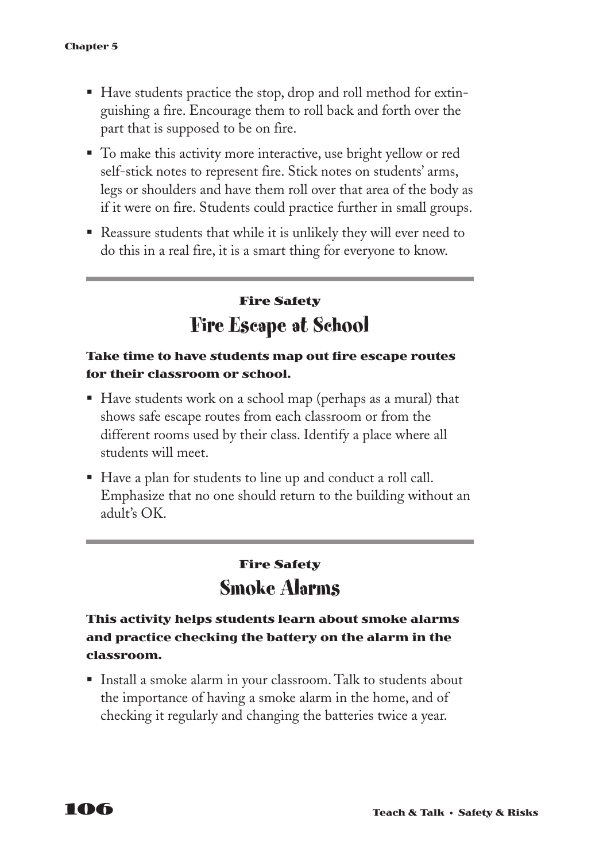- Have students practice the stop, drop and roll method for extinguishing a fire. Encourage them to roll back and forth over the part that is supposed to be on fire.
- To make this activity more interactive, use bright yellow or red self-stick notes to represent fire. Stick notes on students' arms, legs or shoulders and have them roll over that area of the body as if it were on fire. Students could practice further in small groups.
- Reassure students that while it is unlikely they will ever need to do this in a real fire, it is a smart thing for everyone to know.

## **Fire Safety Fire Escape at School**

#### **Take time to have students map out fire escape routes for their classroom or school.**

- Have students work on a school map (perhaps as a mural) that shows safe escape routes from each classroom or from the different rooms used by their class. Identify a place where all students will meet.
- § Have a plan for students to line up and conduct a roll call. Emphasize that no one should return to the building without an adult's OK.

## **Fire Safety Smoke Alarms**

### **This activity helps students learn about smoke alarms and practice checking the battery on the alarm in the classroom.**

■ Install a smoke alarm in your classroom. Talk to students about the importance of having a smoke alarm in the home, and of checking it regularly and changing the batteries twice a year.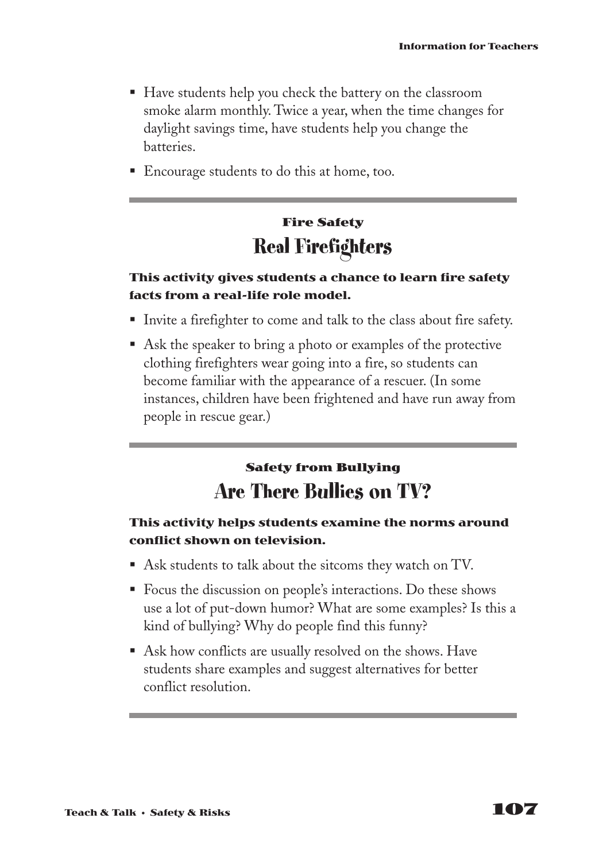- Have students help you check the battery on the classroom smoke alarm monthly. Twice a year, when the time changes for daylight savings time, have students help you change the batteries.
- Encourage students to do this at home, too.

## **Fire Safety Real Firefighters**

#### **This activity gives students a chance to learn fire safety facts from a real-life role model.**

- Invite a firefighter to come and talk to the class about fire safety.
- Ask the speaker to bring a photo or examples of the protective clothing firefighters wear going into a fire, so students can become familiar with the appearance of a rescuer. (In some instances, children have been frightened and have run away from people in rescue gear.)

### **Safety from Bullying Are There Bullies on TV?**

#### **This activity helps students examine the norms around conflict shown on television.**

- Ask students to talk about the sitcoms they watch on TV.
- Focus the discussion on people's interactions. Do these shows use a lot of put-down humor? What are some examples? Is this a kind of bullying? Why do people find this funny?
- Ask how conflicts are usually resolved on the shows. Have students share examples and suggest alternatives for better conflict resolution.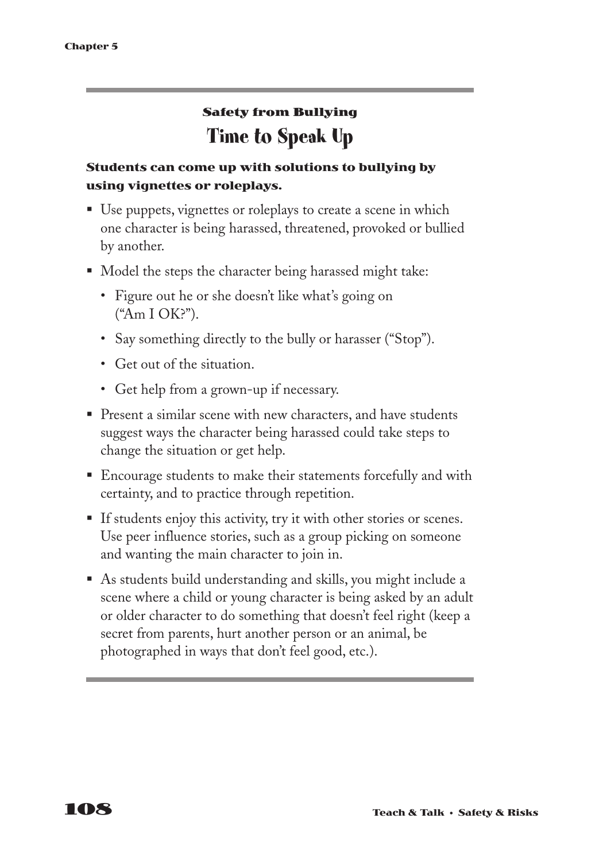## **Safety from Bullying Time to Speak Up**

### **Students can come up with solutions to bullying by using vignettes or roleplays.**

- Use puppets, vignettes or roleplays to create a scene in which one character is being harassed, threatened, provoked or bullied by another.
- Model the steps the character being harassed might take:
	- Figure out he or she doesn't like what's going on ("Am I OK?").
	- Say something directly to the bully or harasser ("Stop").
	- Get out of the situation.
	- Get help from a grown-up if necessary.
- Present a similar scene with new characters, and have students suggest ways the character being harassed could take steps to change the situation or get help.
- Encourage students to make their statements forcefully and with certainty, and to practice through repetition.
- If students enjoy this activity, try it with other stories or scenes. Use peer influence stories, such as a group picking on someone and wanting the main character to join in.
- § As students build understanding and skills, you might include a scene where a child or young character is being asked by an adult or older character to do something that doesn't feel right (keep a secret from parents, hurt another person or an animal, be photographed in ways that don't feel good, etc.).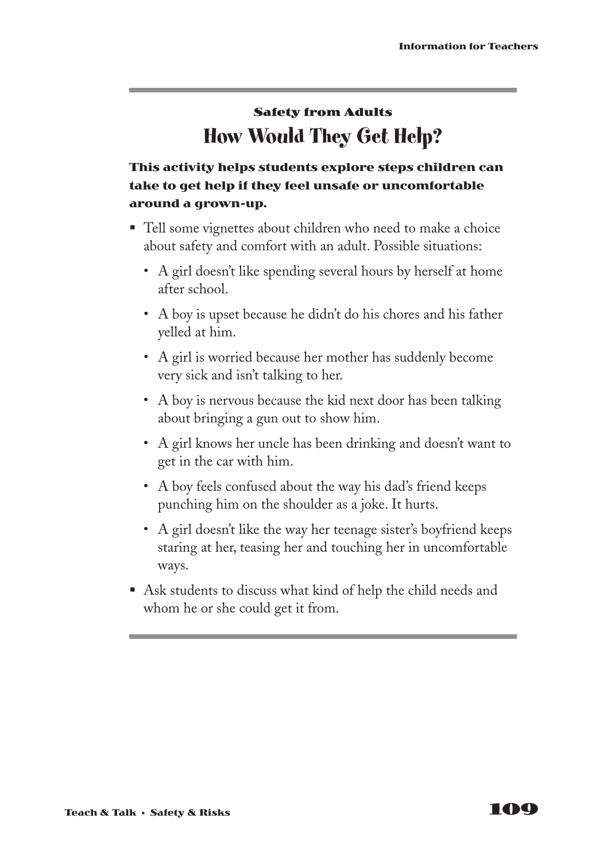## **Safety from Adults How Would They Get Help?**

### **This activity helps students explore steps children can take to get help if they feel unsafe or uncomfortable around a grown-up.**

- Tell some vignettes about children who need to make a choice about safety and comfort with an adult. Possible situations:
	- A girl doesn't like spending several hours by herself at home after school.
	- A boy is upset because he didn't do his chores and his father yelled at him.
	- A girl is worried because her mother has suddenly become very sick and isn't talking to her.
	- A boy is nervous because the kid next door has been talking about bringing a gun out to show him.
	- A girl knows her uncle has been drinking and doesn't want to get in the car with him.
	- A boy feels confused about the way his dad's friend keeps punching him on the shoulder as a joke. It hurts.
	- A girl doesn't like the way her teenage sister's boyfriend keeps staring at her, teasing her and touching her in uncomfortable ways.
- Ask students to discuss what kind of help the child needs and whom he or she could get it from.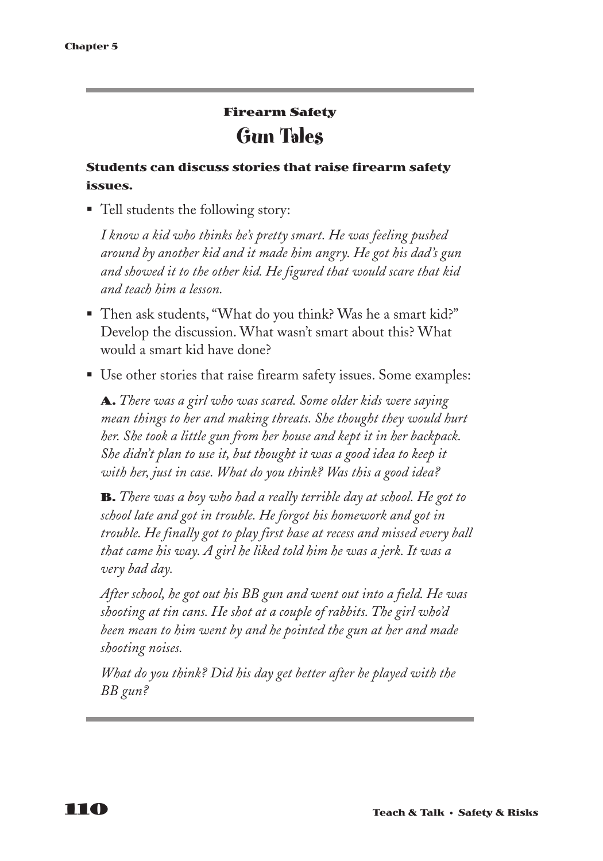## **Firearm Safety Gun Tales**

#### **Students can discuss stories that raise firearm safety issues.**

■ Tell students the following story:

*I know a kid who thinks he's pretty smart. He was feeling pushed around by another kid and it made him angry. He got his dad's gun and showed it to the other kid. He figured that would scare that kid and teach him a lesson.*

- Then ask students, "What do you think? Was he a smart kid?" Develop the discussion. What wasn't smart about this? What would a smart kid have done?
- Use other stories that raise firearm safety issues. Some examples:

**A.** *There was a girl who was scared. Some older kids were saying mean things to her and making threats. She thought they would hurt her. She took a little gun from her house and kept it in her backpack. She didn't plan to use it, but thought it was a good idea to keep it with her, just in case. What do you think? Was this a good idea?*

**B.** *There was a boy who had a really terrible day at school. He got to school late and got in trouble. He forgot his homework and got in trouble. He finally got to play first base at recess and missed every ball that came his way. A girl he liked told him he was a jerk. It was a very bad day.*

*After school, he got out his BB gun and went out into a field. He was shooting at tin cans. He shot at a couple of rabbits. The girl who'd been mean to him went by and he pointed the gun at her and made shooting noises.*

*What do you think? Did his day get better after he played with the BB gun?*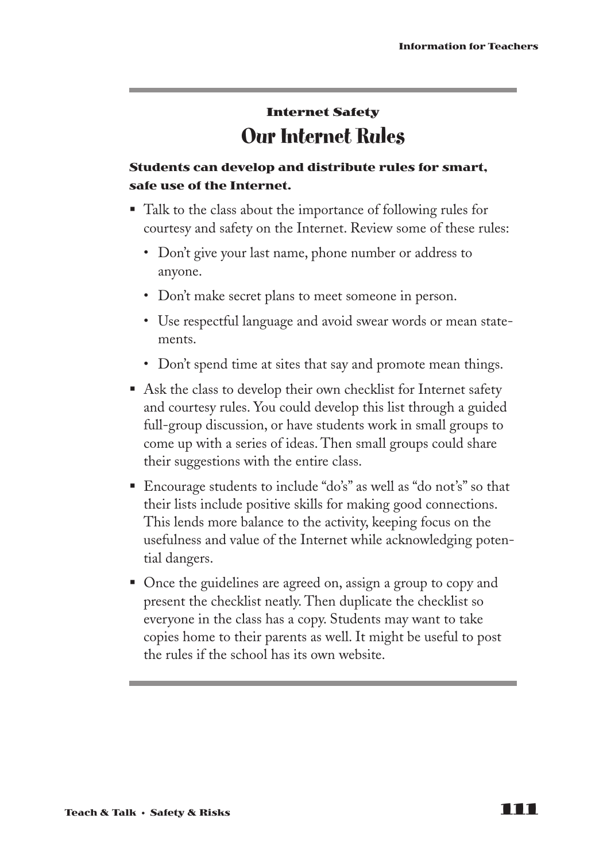## **Internet Safety Our Internet Rules**

### **Students can develop and distribute rules for smart, safe use of the Internet.**

- Talk to the class about the importance of following rules for courtesy and safety on the Internet. Review some of these rules:
	- Don't give your last name, phone number or address to anyone.
	- Don't make secret plans to meet someone in person.
	- Use respectful language and avoid swear words or mean statements.
	- Don't spend time at sites that say and promote mean things.
- Ask the class to develop their own checklist for Internet safety and courtesy rules. You could develop this list through a guided full-group discussion, or have students work in small groups to come up with a series of ideas. Then small groups could share their suggestions with the entire class.
- Encourage students to include "do's" as well as "do not's" so that their lists include positive skills for making good connections. This lends more balance to the activity, keeping focus on the usefulness and value of the Internet while acknowledging potential dangers.
- Once the guidelines are agreed on, assign a group to copy and present the checklist neatly. Then duplicate the checklist so everyone in the class has a copy. Students may want to take copies home to their parents as well. It might be useful to post the rules if the school has its own website.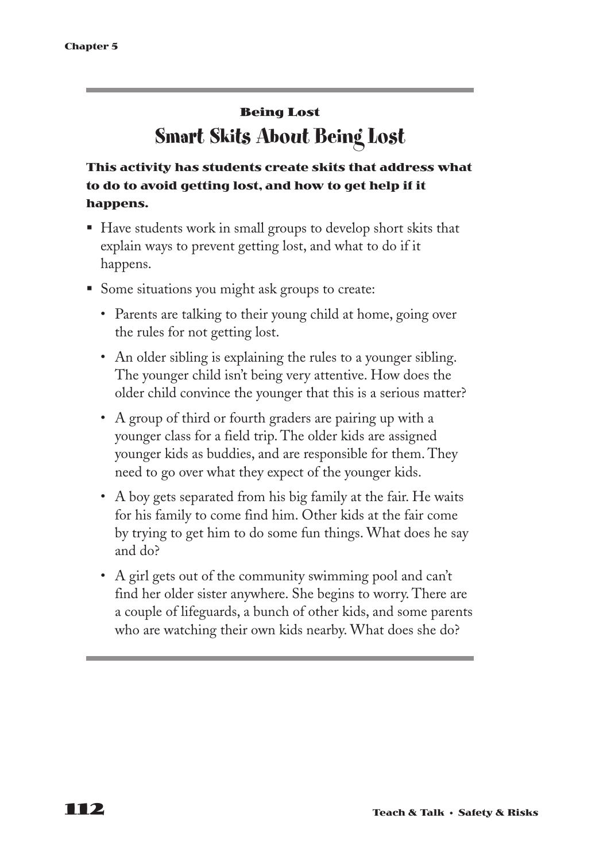## **Being Lost Smart Skits About Being Lost**

### **This activity has students create skits that address what to do to avoid getting lost, and how to get help if it happens.**

- Have students work in small groups to develop short skits that explain ways to prevent getting lost, and what to do if it happens.
- Some situations you might ask groups to create:
	- Parents are talking to their young child at home, going over the rules for not getting lost.
	- An older sibling is explaining the rules to a younger sibling. The younger child isn't being very attentive. How does the older child convince the younger that this is a serious matter?
	- A group of third or fourth graders are pairing up with a younger class for a field trip. The older kids are assigned younger kids as buddies, and are responsible for them. They need to go over what they expect of the younger kids.
	- A boy gets separated from his big family at the fair. He waits for his family to come find him. Other kids at the fair come by trying to get him to do some fun things. What does he say and do?
	- A girl gets out of the community swimming pool and can't find her older sister anywhere. She begins to worry. There are a couple of lifeguards, a bunch of other kids, and some parents who are watching their own kids nearby. What does she do?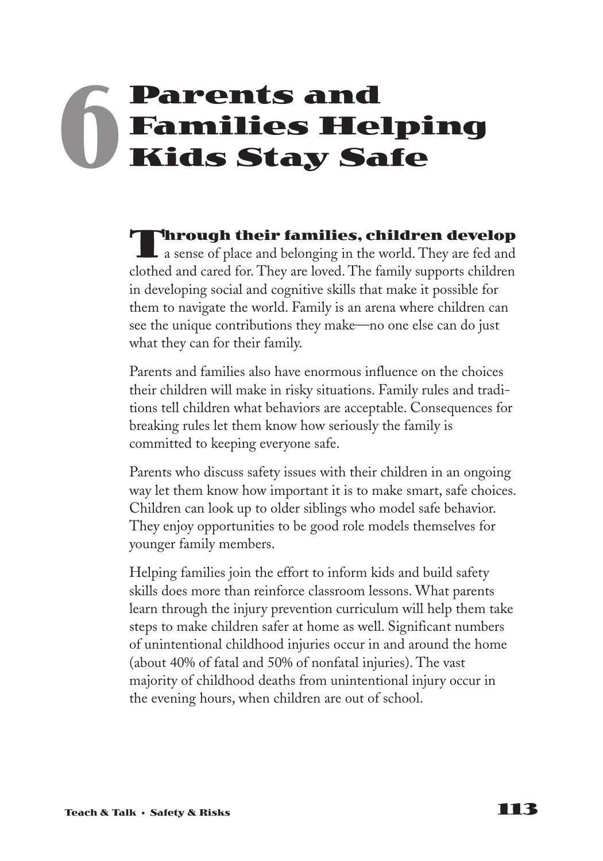# **Parents and Families Helping Kids Stay Safe 6**

**Through their families, children develop**  $\blacksquare$  a sense of place and belonging in the world. They are fed and clothed and cared for. They are loved. The family supports children in developing social and cognitive skills that make it possible for them to navigate the world. Family is an arena where children can see the unique contributions they make—no one else can do just what they can for their family.

Parents and families also have enormous influence on the choices their children will make in risky situations. Family rules and traditions tell children what behaviors are acceptable. Consequences for breaking rules let them know how seriously the family is committed to keeping everyone safe.

Parents who discuss safety issues with their children in an ongoing way let them know how important it is to make smart, safe choices. Children can look up to older siblings who model safe behavior. They enjoy opportunities to be good role models themselves for younger family members.

Helping families join the effort to inform kids and build safety skills does more than reinforce classroom lessons. What parents learn through the injury prevention curriculum will help them take steps to make children safer at home as well. Significant numbers of unintentional childhood injuries occur in and around the home (about 40% of fatal and 50% of nonfatal injuries). The vast majority of childhood deaths from unintentional injury occur in the evening hours, when children are out of school.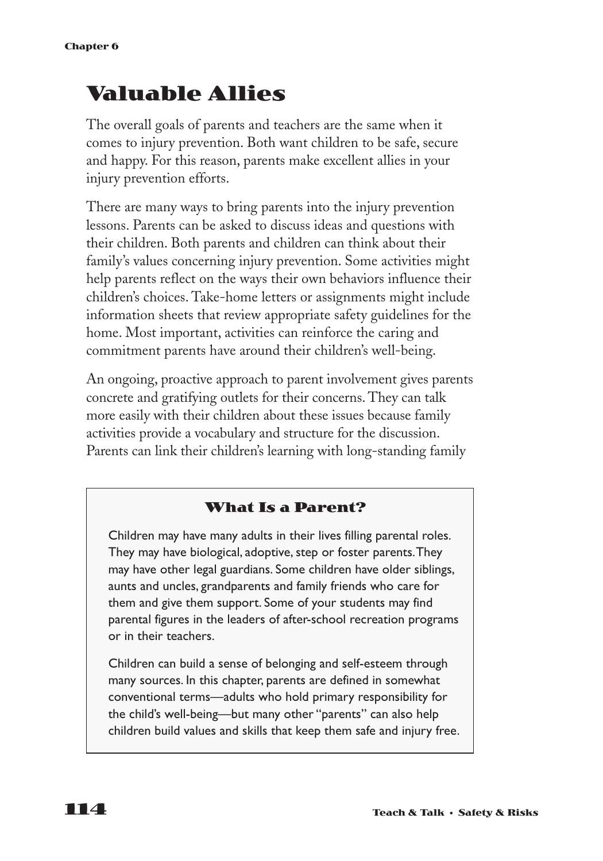## **Valuable Allies**

The overall goals of parents and teachers are the same when it comes to injury prevention. Both want children to be safe, secure and happy. For this reason, parents make excellent allies in your injury prevention efforts.

There are many ways to bring parents into the injury prevention lessons. Parents can be asked to discuss ideas and questions with their children. Both parents and children can think about their family's values concerning injury prevention. Some activities might help parents reflect on the ways their own behaviors influence their children's choices. Take-home letters or assignments might include information sheets that review appropriate safety guidelines for the home. Most important, activities can reinforce the caring and commitment parents have around their children's well-being.

An ongoing, proactive approach to parent involvement gives parents concrete and gratifying outlets for their concerns. They can talk more easily with their children about these issues because family activities provide a vocabulary and structure for the discussion. Parents can link their children's learning with long-standing family

### **What Is a Parent?**

Children may have many adults in their lives filling parental roles. They may have biological, adoptive, step or foster parents.They may have other legal guardians. Some children have older siblings, aunts and uncles, grandparents and family friends who care for them and give them support. Some of your students may find parental figures in the leaders of after-school recreation programs or in their teachers.

Children can build a sense of belonging and self-esteem through many sources. In this chapter, parents are defined in somewhat conventional terms—adults who hold primary responsibility for the child's well-being—but many other "parents" can also help children build values and skills that keep them safe and injury free.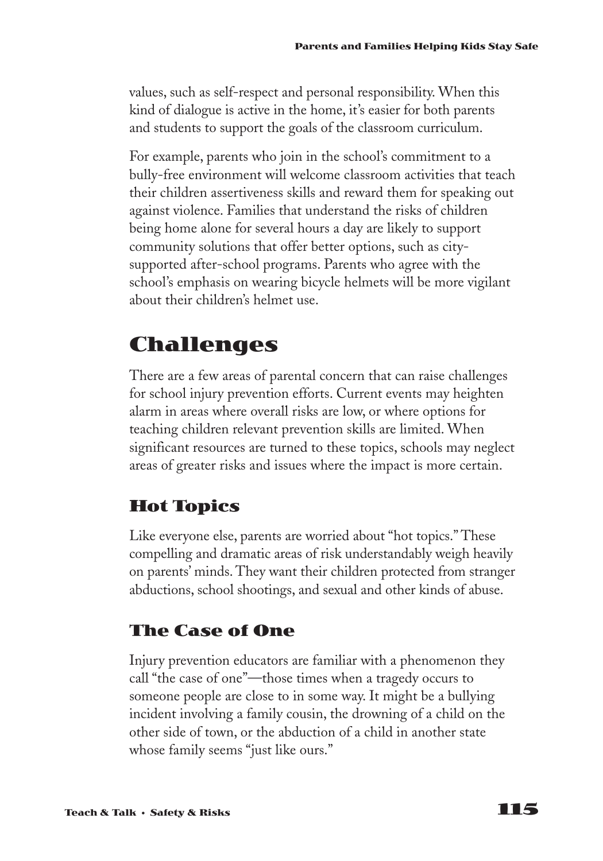values, such as self-respect and personal responsibility. When this kind of dialogue is active in the home, it's easier for both parents and students to support the goals of the classroom curriculum.

For example, parents who join in the school's commitment to a bully-free environment will welcome classroom activities that teach their children assertiveness skills and reward them for speaking out against violence. Families that understand the risks of children being home alone for several hours a day are likely to support community solutions that offer better options, such as citysupported after-school programs. Parents who agree with the school's emphasis on wearing bicycle helmets will be more vigilant about their children's helmet use.

## **Challenges**

There are a few areas of parental concern that can raise challenges for school injury prevention efforts. Current events may heighten alarm in areas where overall risks are low, or where options for teaching children relevant prevention skills are limited. When significant resources are turned to these topics, schools may neglect areas of greater risks and issues where the impact is more certain.

## **Hot Topics**

Like everyone else, parents are worried about "hot topics." These compelling and dramatic areas of risk understandably weigh heavily on parents' minds. They want their children protected from stranger abductions, school shootings, and sexual and other kinds of abuse.

### **The Case of One**

Injury prevention educators are familiar with a phenomenon they call "the case of one"—those times when a tragedy occurs to someone people are close to in some way. It might be a bullying incident involving a family cousin, the drowning of a child on the other side of town, or the abduction of a child in another state whose family seems "just like ours."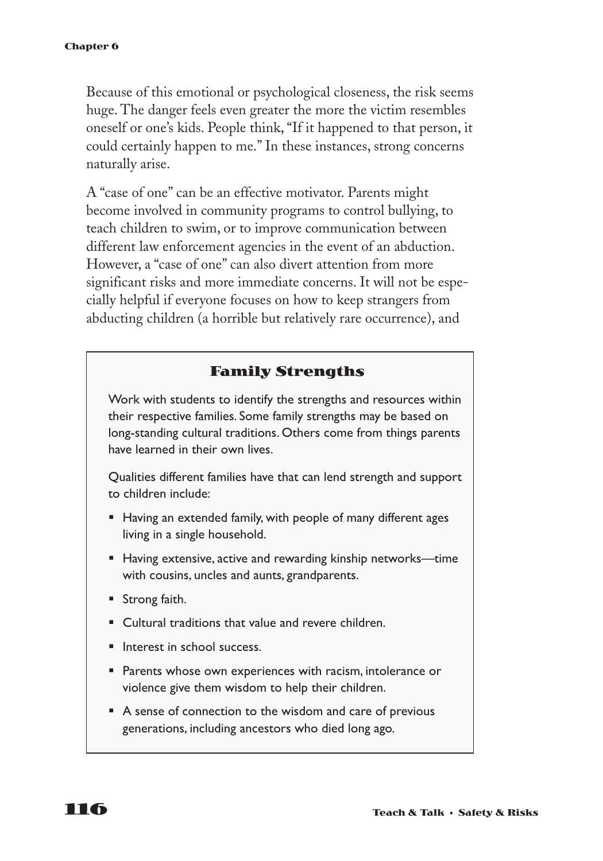Because of this emotional or psychological closeness, the risk seems huge. The danger feels even greater the more the victim resembles oneself or one's kids. People think, "If it happened to that person, it could certainly happen to me." In these instances, strong concerns naturally arise.

A "case of one" can be an effective motivator. Parents might become involved in community programs to control bullying, to teach children to swim, or to improve communication between different law enforcement agencies in the event of an abduction. However, a "case of one" can also divert attention from more significant risks and more immediate concerns. It will not be especially helpful if everyone focuses on how to keep strangers from abducting children (a horrible but relatively rare occurrence), and

### **Family Strengths**

Work with students to identify the strengths and resources within their respective families. Some family strengths may be based on long-standing cultural traditions. Others come from things parents have learned in their own lives.

Qualities different families have that can lend strength and support to children include:

- Having an extended family, with people of many different ages living in a single household.
- Having extensive, active and rewarding kinship networks—time with cousins, uncles and aunts, grandparents.
- Strong faith.
- Cultural traditions that value and revere children.
- Interest in school success.
- Parents whose own experiences with racism, intolerance or violence give them wisdom to help their children.
- A sense of connection to the wisdom and care of previous generations, including ancestors who died long ago.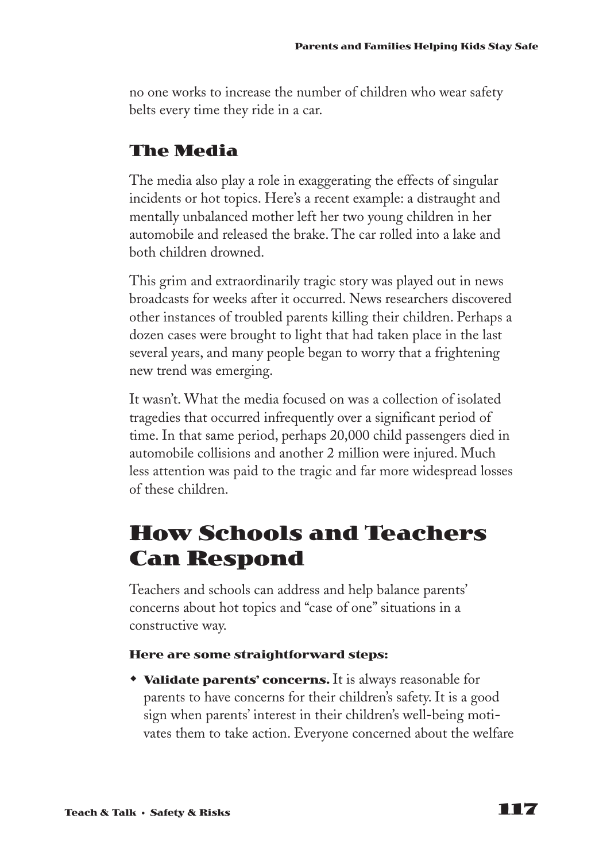no one works to increase the number of children who wear safety belts every time they ride in a car.

### **The Media**

The media also play a role in exaggerating the effects of singular incidents or hot topics. Here's a recent example: a distraught and mentally unbalanced mother left her two young children in her automobile and released the brake. The car rolled into a lake and both children drowned.

This grim and extraordinarily tragic story was played out in news broadcasts for weeks after it occurred. News researchers discovered other instances of troubled parents killing their children. Perhaps a dozen cases were brought to light that had taken place in the last several years, and many people began to worry that a frightening new trend was emerging.

It wasn't. What the media focused on was a collection of isolated tragedies that occurred infrequently over a significant period of time. In that same period, perhaps 20,000 child passengers died in automobile collisions and another 2 million were injured. Much less attention was paid to the tragic and far more widespread losses of these children.

## **How Schools and Teachers Can Respond**

Teachers and schools can address and help balance parents' concerns about hot topics and "case of one" situations in a constructive way.

#### **Here are some straightforward steps:**

**• Validate parents' concerns.** It is always reasonable for parents to have concerns for their children's safety. It is a good sign when parents' interest in their children's well-being motivates them to take action. Everyone concerned about the welfare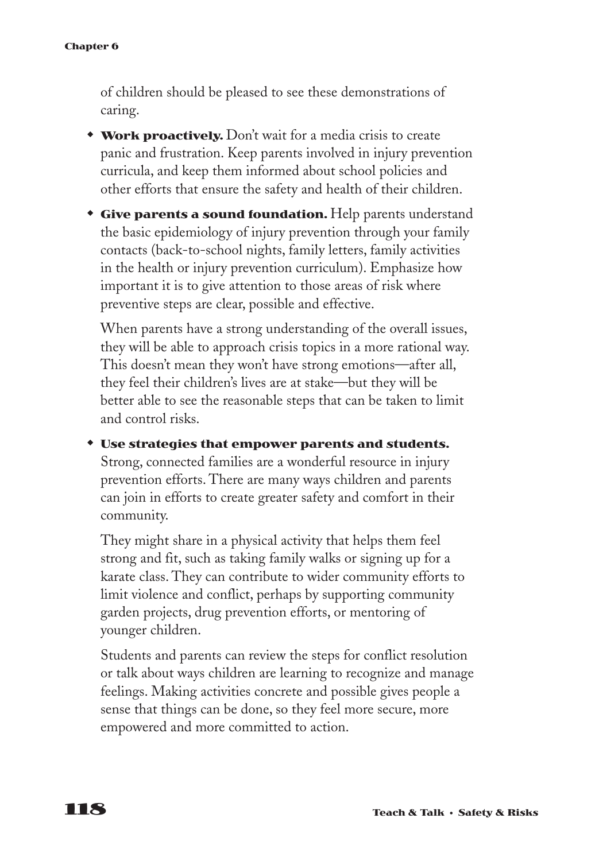of children should be pleased to see these demonstrations of caring.

- **\*** Work proactively. Don't wait for a media crisis to create panic and frustration. Keep parents involved in injury prevention curricula, and keep them informed about school policies and other efforts that ensure the safety and health of their children.
- **Give parents a sound foundation.** Help parents understand the basic epidemiology of injury prevention through your family contacts (back-to-school nights, family letters, family activities in the health or injury prevention curriculum). Emphasize how important it is to give attention to those areas of risk where preventive steps are clear, possible and effective.

When parents have a strong understanding of the overall issues, they will be able to approach crisis topics in a more rational way. This doesn't mean they won't have strong emotions—after all, they feel their children's lives are at stake—but they will be better able to see the reasonable steps that can be taken to limit and control risks.

 $*$  **Use strategies that empower parents and students.** Strong, connected families are a wonderful resource in injury prevention efforts. There are many ways children and parents can join in efforts to create greater safety and comfort in their community.

They might share in a physical activity that helps them feel strong and fit, such as taking family walks or signing up for a karate class. They can contribute to wider community efforts to limit violence and conflict, perhaps by supporting community garden projects, drug prevention efforts, or mentoring of younger children.

Students and parents can review the steps for conflict resolution or talk about ways children are learning to recognize and manage feelings. Making activities concrete and possible gives people a sense that things can be done, so they feel more secure, more empowered and more committed to action.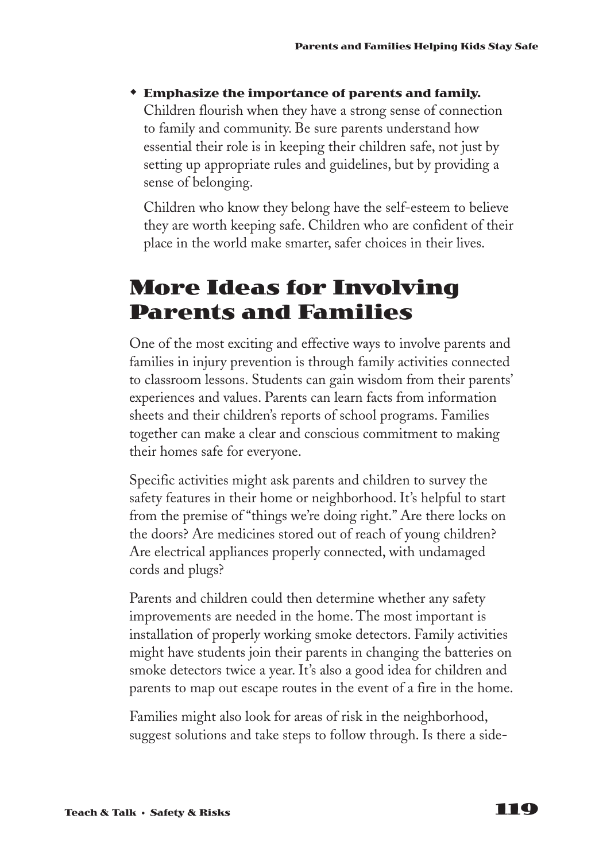**\*** Emphasize the importance of parents and family. Children flourish when they have a strong sense of connection to family and community. Be sure parents understand how essential their role is in keeping their children safe, not just by setting up appropriate rules and guidelines, but by providing a sense of belonging.

Children who know they belong have the self-esteem to believe they are worth keeping safe. Children who are confident of their place in the world make smarter, safer choices in their lives.

## **More Ideas for Involving Parents and Families**

One of the most exciting and effective ways to involve parents and families in injury prevention is through family activities connected to classroom lessons. Students can gain wisdom from their parents' experiences and values. Parents can learn facts from information sheets and their children's reports of school programs. Families together can make a clear and conscious commitment to making their homes safe for everyone.

Specific activities might ask parents and children to survey the safety features in their home or neighborhood. It's helpful to start from the premise of "things we're doing right." Are there locks on the doors? Are medicines stored out of reach of young children? Are electrical appliances properly connected, with undamaged cords and plugs?

Parents and children could then determine whether any safety improvements are needed in the home. The most important is installation of properly working smoke detectors. Family activities might have students join their parents in changing the batteries on smoke detectors twice a year. It's also a good idea for children and parents to map out escape routes in the event of a fire in the home.

Families might also look for areas of risk in the neighborhood, suggest solutions and take steps to follow through. Is there a side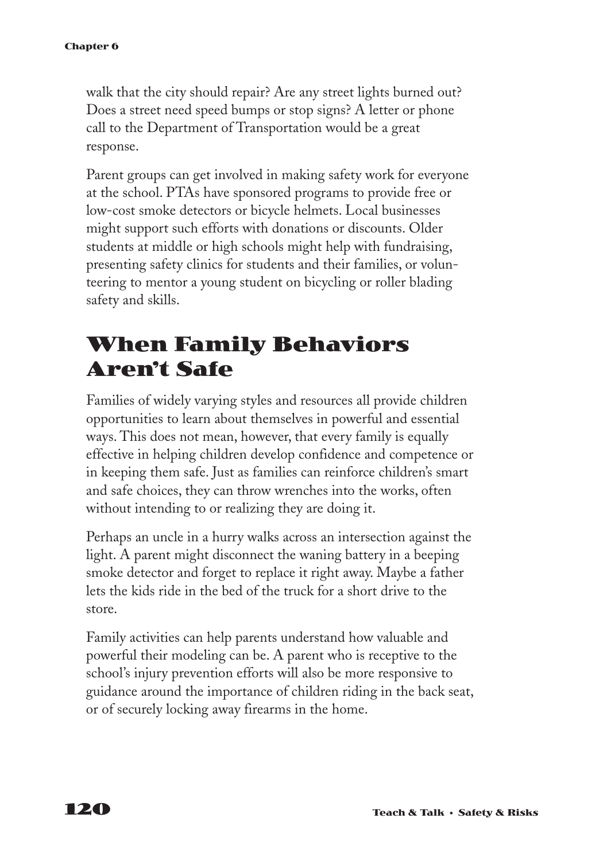walk that the city should repair? Are any street lights burned out? Does a street need speed bumps or stop signs? A letter or phone call to the Department of Transportation would be a great response.

Parent groups can get involved in making safety work for everyone at the school. PTAs have sponsored programs to provide free or low-cost smoke detectors or bicycle helmets. Local businesses might support such efforts with donations or discounts. Older students at middle or high schools might help with fundraising, presenting safety clinics for students and their families, or volunteering to mentor a young student on bicycling or roller blading safety and skills.

## **When Family Behaviors Aren't Safe**

Families of widely varying styles and resources all provide children opportunities to learn about themselves in powerful and essential ways. This does not mean, however, that every family is equally effective in helping children develop confidence and competence or in keeping them safe. Just as families can reinforce children's smart and safe choices, they can throw wrenches into the works, often without intending to or realizing they are doing it.

Perhaps an uncle in a hurry walks across an intersection against the light. A parent might disconnect the waning battery in a beeping smoke detector and forget to replace it right away. Maybe a father lets the kids ride in the bed of the truck for a short drive to the store.

Family activities can help parents understand how valuable and powerful their modeling can be. A parent who is receptive to the school's injury prevention efforts will also be more responsive to guidance around the importance of children riding in the back seat, or of securely locking away firearms in the home.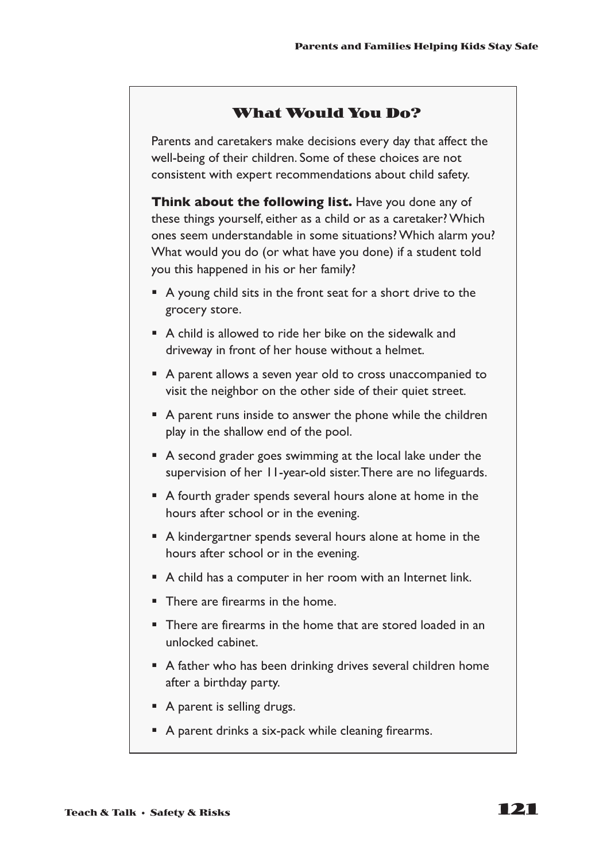### **What Would You Do?**

Parents and caretakers make decisions every day that affect the well-being of their children. Some of these choices are not consistent with expert recommendations about child safety.

**Think about the following list.** Have you done any of these things yourself, either as a child or as a caretaker? Which ones seem understandable in some situations? Which alarm you? What would you do (or what have you done) if a student told you this happened in his or her family?

- A young child sits in the front seat for a short drive to the grocery store.
- A child is allowed to ride her bike on the sidewalk and driveway in front of her house without a helmet.
- A parent allows a seven year old to cross unaccompanied to visit the neighbor on the other side of their quiet street.
- A parent runs inside to answer the phone while the children play in the shallow end of the pool.
- A second grader goes swimming at the local lake under the supervision of her 11-year-old sister.There are no lifeguards.
- A fourth grader spends several hours alone at home in the hours after school or in the evening.
- A kindergartner spends several hours alone at home in the hours after school or in the evening.
- A child has a computer in her room with an Internet link.
- There are firearms in the home.
- There are firearms in the home that are stored loaded in an unlocked cabinet.
- A father who has been drinking drives several children home after a birthday party.
- A parent is selling drugs.
- A parent drinks a six-pack while cleaning firearms.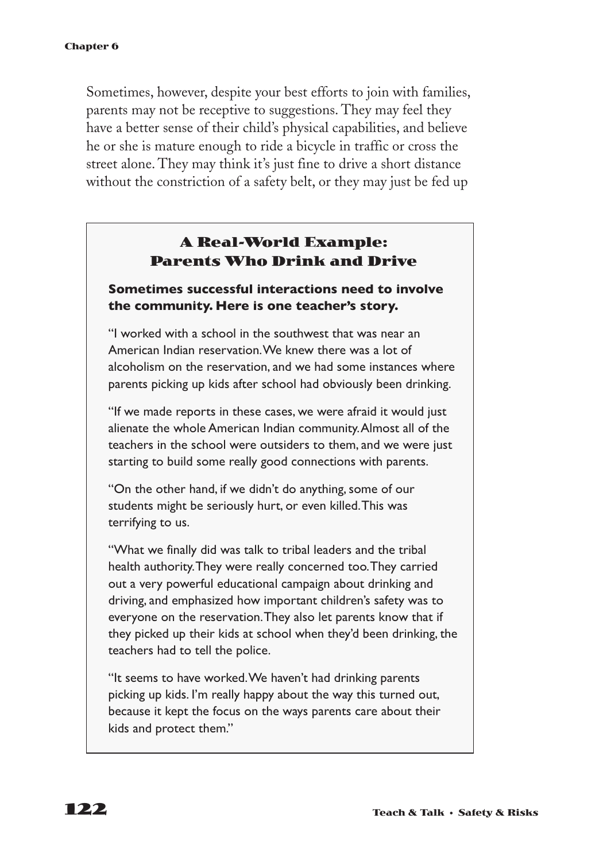Sometimes, however, despite your best efforts to join with families, parents may not be receptive to suggestions. They may feel they have a better sense of their child's physical capabilities, and believe he or she is mature enough to ride a bicycle in traffic or cross the street alone. They may think it's just fine to drive a short distance without the constriction of a safety belt, or they may just be fed up

### **A Real-World Example: Parents Who Drink and Drive**

#### **Sometimes successful interactions need to involve the community. Here is one teacher's story.**

"I worked with a school in the southwest that was near an American Indian reservation.We knew there was a lot of alcoholism on the reservation, and we had some instances where parents picking up kids after school had obviously been drinking.

"If we made reports in these cases, we were afraid it would just alienate the whole American Indian community.Almost all of the teachers in the school were outsiders to them, and we were just starting to build some really good connections with parents.

"On the other hand, if we didn't do anything, some of our students might be seriously hurt, or even killed.This was terrifying to us.

"What we finally did was talk to tribal leaders and the tribal health authority.They were really concerned too.They carried out a very powerful educational campaign about drinking and driving, and emphasized how important children's safety was to everyone on the reservation.They also let parents know that if they picked up their kids at school when they'd been drinking, the teachers had to tell the police.

"It seems to have worked.We haven't had drinking parents picking up kids. I'm really happy about the way this turned out, because it kept the focus on the ways parents care about their kids and protect them."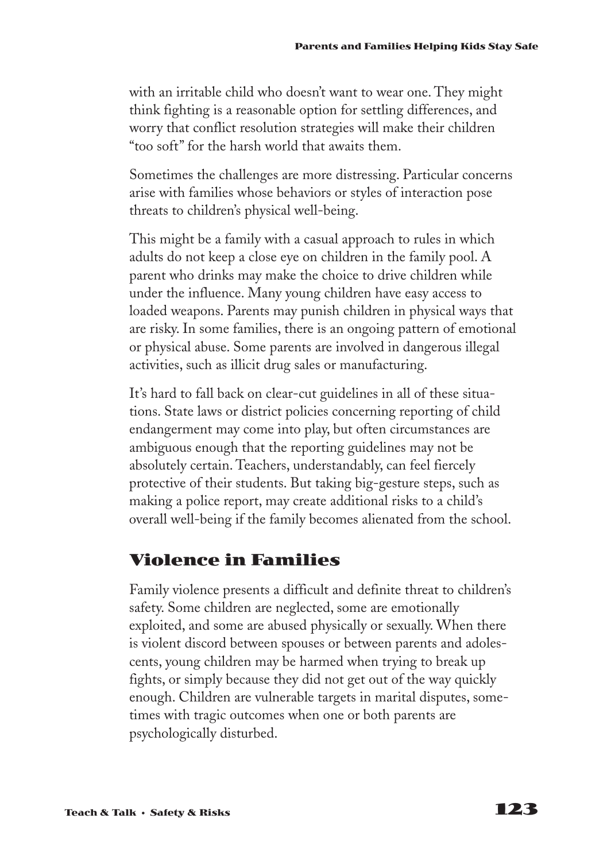with an irritable child who doesn't want to wear one. They might think fighting is a reasonable option for settling differences, and worry that conflict resolution strategies will make their children "too soft" for the harsh world that awaits them.

Sometimes the challenges are more distressing. Particular concerns arise with families whose behaviors or styles of interaction pose threats to children's physical well-being.

This might be a family with a casual approach to rules in which adults do not keep a close eye on children in the family pool. A parent who drinks may make the choice to drive children while under the influence. Many young children have easy access to loaded weapons. Parents may punish children in physical ways that are risky. In some families, there is an ongoing pattern of emotional or physical abuse. Some parents are involved in dangerous illegal activities, such as illicit drug sales or manufacturing.

It's hard to fall back on clear-cut guidelines in all of these situations. State laws or district policies concerning reporting of child endangerment may come into play, but often circumstances are ambiguous enough that the reporting guidelines may not be absolutely certain. Teachers, understandably, can feel fiercely protective of their students. But taking big-gesture steps, such as making a police report, may create additional risks to a child's overall well-being if the family becomes alienated from the school.

### **Violence in Families**

Family violence presents a difficult and definite threat to children's safety. Some children are neglected, some are emotionally exploited, and some are abused physically or sexually. When there is violent discord between spouses or between parents and adolescents, young children may be harmed when trying to break up fights, or simply because they did not get out of the way quickly enough. Children are vulnerable targets in marital disputes, sometimes with tragic outcomes when one or both parents are psychologically disturbed.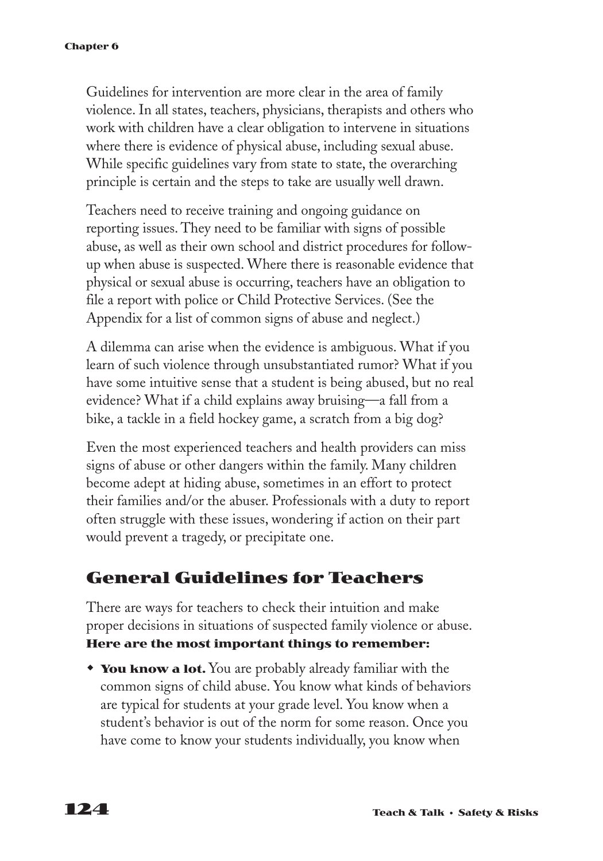Guidelines for intervention are more clear in the area of family violence. In all states, teachers, physicians, therapists and others who work with children have a clear obligation to intervene in situations where there is evidence of physical abuse, including sexual abuse. While specific guidelines vary from state to state, the overarching principle is certain and the steps to take are usually well drawn.

Teachers need to receive training and ongoing guidance on reporting issues. They need to be familiar with signs of possible abuse, as well as their own school and district procedures for followup when abuse is suspected. Where there is reasonable evidence that physical or sexual abuse is occurring, teachers have an obligation to file a report with police or Child Protective Services. (See the Appendix for a list of common signs of abuse and neglect.)

A dilemma can arise when the evidence is ambiguous. What if you learn of such violence through unsubstantiated rumor? What if you have some intuitive sense that a student is being abused, but no real evidence? What if a child explains away bruising—a fall from a bike, a tackle in a field hockey game, a scratch from a big dog?

Even the most experienced teachers and health providers can miss signs of abuse or other dangers within the family. Many children become adept at hiding abuse, sometimes in an effort to protect their families and/or the abuser. Professionals with a duty to report often struggle with these issues, wondering if action on their part would prevent a tragedy, or precipitate one.

### **General Guidelines for Teachers**

There are ways for teachers to check their intuition and make proper decisions in situations of suspected family violence or abuse. **Here are the most important things to remember:**

**You know a lot.** You are probably already familiar with the common signs of child abuse. You know what kinds of behaviors are typical for students at your grade level. You know when a student's behavior is out of the norm for some reason. Once you have come to know your students individually, you know when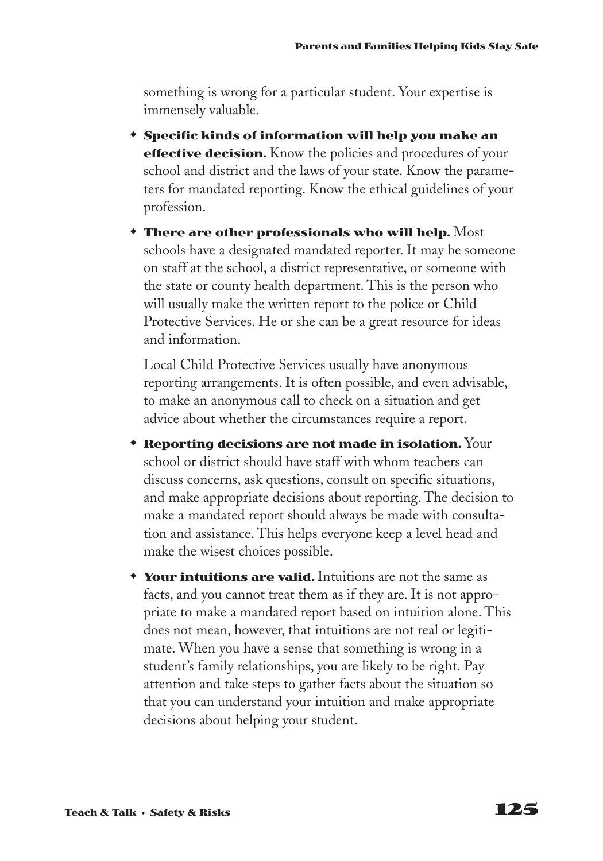something is wrong for a particular student. Your expertise is immensely valuable.

- w **Specific kinds of information will help you make an effective decision.** Know the policies and procedures of your school and district and the laws of your state. Know the parameters for mandated reporting. Know the ethical guidelines of your profession.
- $\bullet$  There are other professionals who will help.  $\operatorname{\mathsf{Most}}$ schools have a designated mandated reporter. It may be someone on staff at the school, a district representative, or someone with the state or county health department. This is the person who will usually make the written report to the police or Child Protective Services. He or she can be a great resource for ideas and information.

Local Child Protective Services usually have anonymous reporting arrangements. It is often possible, and even advisable, to make an anonymous call to check on a situation and get advice about whether the circumstances require a report.

- **\* Reporting decisions are not made in isolation.** Your school or district should have staff with whom teachers can discuss concerns, ask questions, consult on specific situations, and make appropriate decisions about reporting. The decision to make a mandated report should always be made with consultation and assistance. This helps everyone keep a level head and make the wisest choices possible.
- **Your intuitions are valid.** Intuitions are not the same as facts, and you cannot treat them as if they are. It is not appropriate to make a mandated report based on intuition alone. This does not mean, however, that intuitions are not real or legitimate. When you have a sense that something is wrong in a student's family relationships, you are likely to be right. Pay attention and take steps to gather facts about the situation so that you can understand your intuition and make appropriate decisions about helping your student.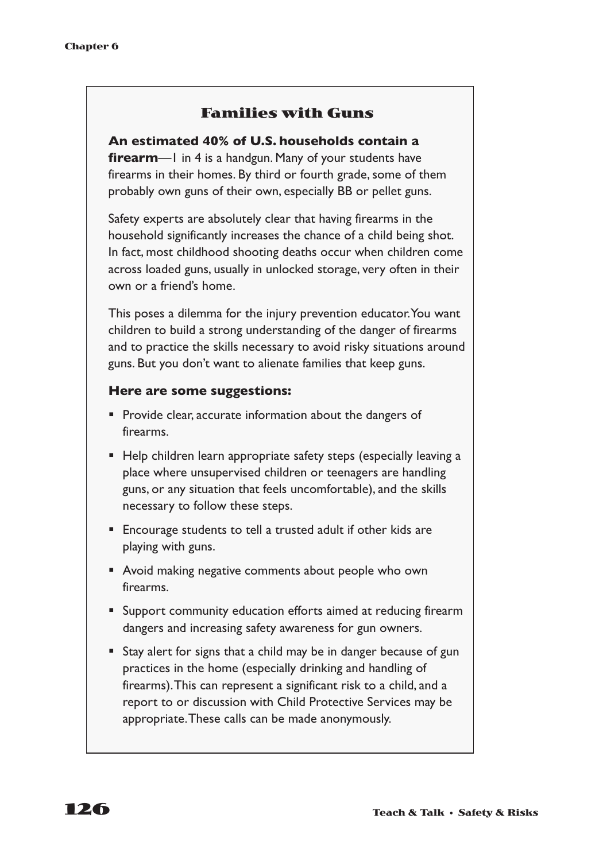### **Families with Guns**

**An estimated 40% of U.S. households contain a firearm**—1 in 4 is a handgun. Many of your students have firearms in their homes. By third or fourth grade, some of them probably own guns of their own, especially BB or pellet guns.

Safety experts are absolutely clear that having firearms in the household significantly increases the chance of a child being shot. In fact, most childhood shooting deaths occur when children come across loaded guns, usually in unlocked storage, very often in their own or a friend's home.

This poses a dilemma for the injury prevention educator.You want children to build a strong understanding of the danger of firearms and to practice the skills necessary to avoid risky situations around guns. But you don't want to alienate families that keep guns.

#### **Here are some suggestions:**

- Provide clear, accurate information about the dangers of firearms.
- Help children learn appropriate safety steps (especially leaving a place where unsupervised children or teenagers are handling guns, or any situation that feels uncomfortable), and the skills necessary to follow these steps.
- Encourage students to tell a trusted adult if other kids are playing with guns.
- Avoid making negative comments about people who own firearms.
- Support community education efforts aimed at reducing firearm dangers and increasing safety awareness for gun owners.
- Stay alert for signs that a child may be in danger because of gun practices in the home (especially drinking and handling of firearms).This can represent a significant risk to a child, and a report to or discussion with Child Protective Services may be appropriate.These calls can be made anonymously.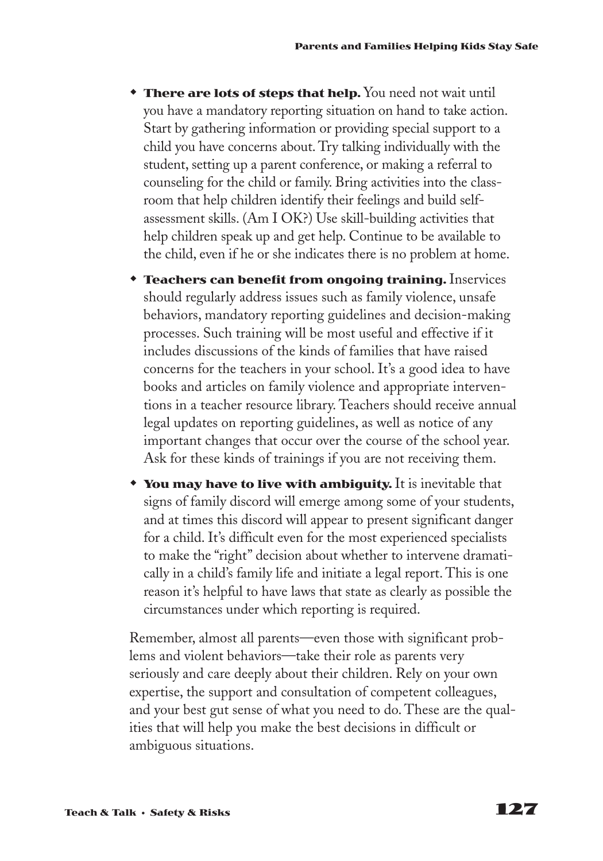- **There are lots of steps that help.** You need not wait until you have a mandatory reporting situation on hand to take action. Start by gathering information or providing special support to a child you have concerns about. Try talking individually with the student, setting up a parent conference, or making a referral to counseling for the child or family. Bring activities into the classroom that help children identify their feelings and build selfassessment skills. (Am I OK?) Use skill-building activities that help children speak up and get help. Continue to be available to the child, even if he or she indicates there is no problem at home.
- **\* Teachers can benefit from ongoing training.** Inservices should regularly address issues such as family violence, unsafe behaviors, mandatory reporting guidelines and decision-making processes. Such training will be most useful and effective if it includes discussions of the kinds of families that have raised concerns for the teachers in your school. It's a good idea to have books and articles on family violence and appropriate interventions in a teacher resource library. Teachers should receive annual legal updates on reporting guidelines, as well as notice of any important changes that occur over the course of the school year. Ask for these kinds of trainings if you are not receiving them.
- **\*** You may have to live with ambiguity. It is inevitable that signs of family discord will emerge among some of your students, and at times this discord will appear to present significant danger for a child. It's difficult even for the most experienced specialists to make the "right" decision about whether to intervene dramatically in a child's family life and initiate a legal report. This is one reason it's helpful to have laws that state as clearly as possible the circumstances under which reporting is required.

Remember, almost all parents—even those with significant problems and violent behaviors—take their role as parents very seriously and care deeply about their children. Rely on your own expertise, the support and consultation of competent colleagues, and your best gut sense of what you need to do. These are the qualities that will help you make the best decisions in difficult or ambiguous situations.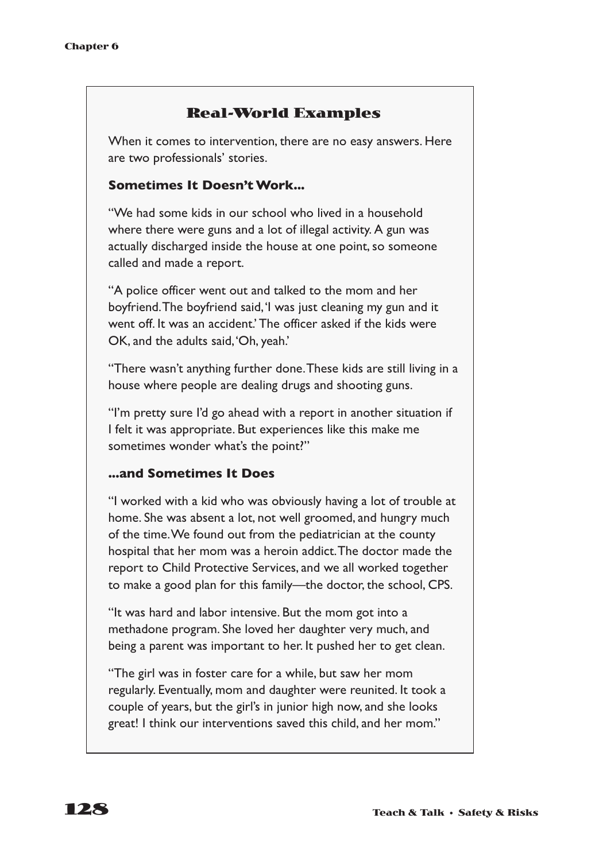### **Real-World Examples**

When it comes to intervention, there are no easy answers. Here are two professionals' stories.

#### **Sometimes It Doesn't Work...**

"We had some kids in our school who lived in a household where there were guns and a lot of illegal activity. A gun was actually discharged inside the house at one point, so someone called and made a report.

"A police officer went out and talked to the mom and her boyfriend.The boyfriend said,'I was just cleaning my gun and it went off. It was an accident.' The officer asked if the kids were OK, and the adults said,'Oh, yeah.'

"There wasn't anything further done.These kids are still living in a house where people are dealing drugs and shooting guns.

"I'm pretty sure I'd go ahead with a report in another situation if I felt it was appropriate. But experiences like this make me sometimes wonder what's the point?"

#### **...and Sometimes It Does**

"I worked with a kid who was obviously having a lot of trouble at home. She was absent a lot, not well groomed, and hungry much of the time.We found out from the pediatrician at the county hospital that her mom was a heroin addict.The doctor made the report to Child Protective Services, and we all worked together to make a good plan for this family—the doctor, the school, CPS.

"It was hard and labor intensive. But the mom got into a methadone program. She loved her daughter very much, and being a parent was important to her. It pushed her to get clean.

"The girl was in foster care for a while, but saw her mom regularly. Eventually, mom and daughter were reunited. It took a couple of years, but the girl's in junior high now, and she looks great! I think our interventions saved this child, and her mom."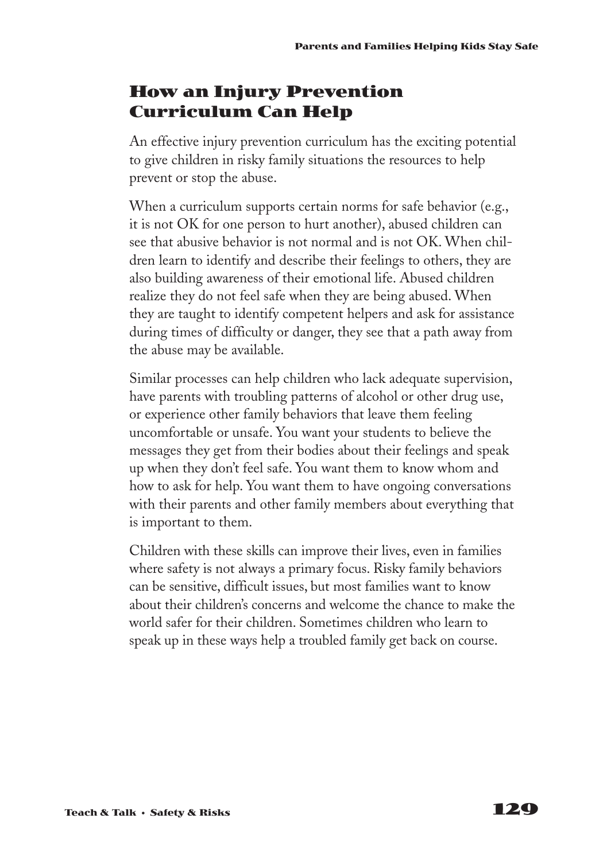### **How an Injury Prevention Curriculum Can Help**

An effective injury prevention curriculum has the exciting potential to give children in risky family situations the resources to help prevent or stop the abuse.

When a curriculum supports certain norms for safe behavior (e.g., it is not OK for one person to hurt another), abused children can see that abusive behavior is not normal and is not OK. When children learn to identify and describe their feelings to others, they are also building awareness of their emotional life. Abused children realize they do not feel safe when they are being abused. When they are taught to identify competent helpers and ask for assistance during times of difficulty or danger, they see that a path away from the abuse may be available.

Similar processes can help children who lack adequate supervision, have parents with troubling patterns of alcohol or other drug use, or experience other family behaviors that leave them feeling uncomfortable or unsafe. You want your students to believe the messages they get from their bodies about their feelings and speak up when they don't feel safe. You want them to know whom and how to ask for help. You want them to have ongoing conversations with their parents and other family members about everything that is important to them.

Children with these skills can improve their lives, even in families where safety is not always a primary focus. Risky family behaviors can be sensitive, difficult issues, but most families want to know about their children's concerns and welcome the chance to make the world safer for their children. Sometimes children who learn to speak up in these ways help a troubled family get back on course.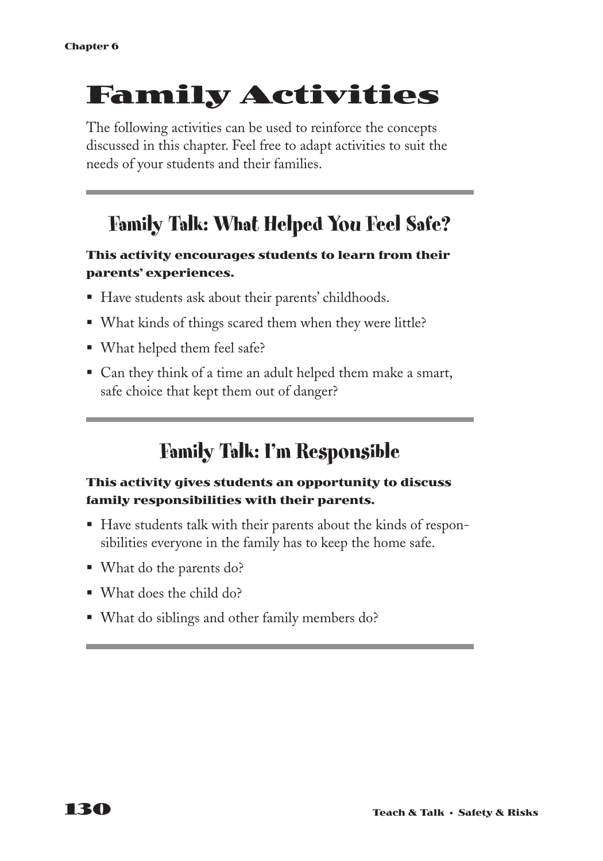# **Family Activities**

The following activities can be used to reinforce the concepts discussed in this chapter. Feel free to adapt activities to suit the needs of your students and their families.

## **Family Talk: What Helped You Feel Safe?**

### **This activity encourages students to learn from their parents' experiences.**

- Have students ask about their parents' childhoods.
- What kinds of things scared them when they were little?
- What helped them feel safe?
- Can they think of a time an adult helped them make a smart, safe choice that kept them out of danger?

## **Family Talk: I'm Responsible**

### **This activity gives students an opportunity to discuss family responsibilities with their parents.**

- § Have students talk with their parents about the kinds of responsibilities everyone in the family has to keep the home safe.
- What do the parents do?
- § What does the child do?
- What do siblings and other family members do?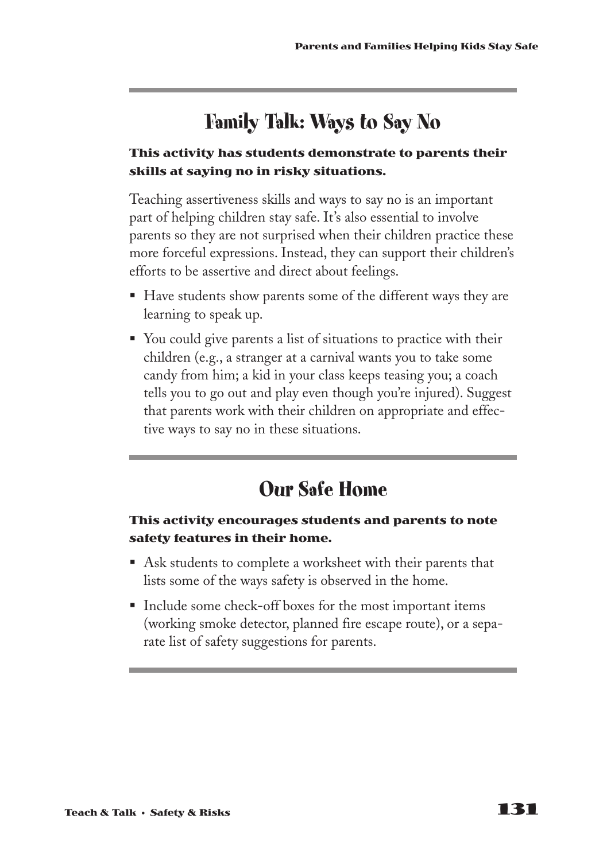## **Family Talk: Ways to Say No**

#### **This activity has students demonstrate to parents their skills at saying no in risky situations.**

Teaching assertiveness skills and ways to say no is an important part of helping children stay safe. It's also essential to involve parents so they are not surprised when their children practice these more forceful expressions. Instead, they can support their children's efforts to be assertive and direct about feelings.

- Have students show parents some of the different ways they are learning to speak up.
- You could give parents a list of situations to practice with their children (e.g., a stranger at a carnival wants you to take some candy from him; a kid in your class keeps teasing you; a coach tells you to go out and play even though you're injured). Suggest that parents work with their children on appropriate and effective ways to say no in these situations.

## **Our Safe Home**

#### **This activity encourages students and parents to note safety features in their home.**

- Ask students to complete a worksheet with their parents that lists some of the ways safety is observed in the home.
- Include some check-off boxes for the most important items (working smoke detector, planned fire escape route), or a separate list of safety suggestions for parents.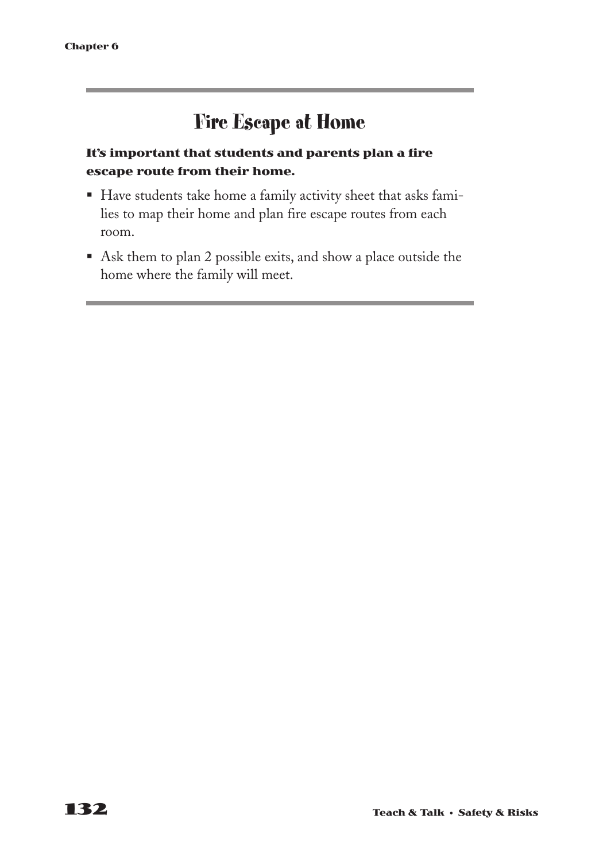## **Fire Escape at Home**

### **It's important that students and parents plan a fire escape route from their home.**

- § Have students take home a family activity sheet that asks families to map their home and plan fire escape routes from each room.
- Ask them to plan 2 possible exits, and show a place outside the home where the family will meet.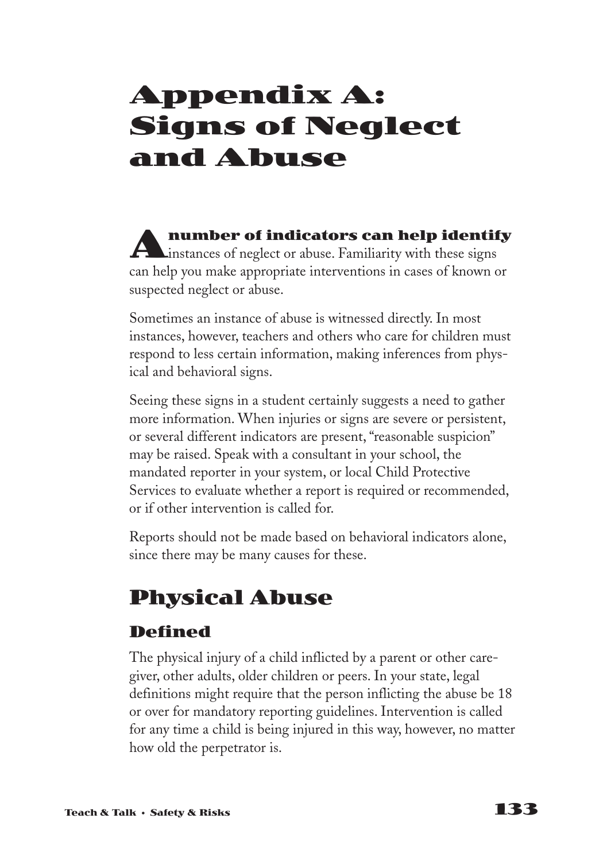# **Appendix A: Signs of Neglect and Abuse**

**Anumber of indicators can help identify**<br>instances of neglect or abuse. Familiarity with these signs can help you make appropriate interventions in cases of known or suspected neglect or abuse.

Sometimes an instance of abuse is witnessed directly. In most instances, however, teachers and others who care for children must respond to less certain information, making inferences from physical and behavioral signs.

Seeing these signs in a student certainly suggests a need to gather more information. When injuries or signs are severe or persistent, or several different indicators are present, "reasonable suspicion" may be raised. Speak with a consultant in your school, the mandated reporter in your system, or local Child Protective Services to evaluate whether a report is required or recommended, or if other intervention is called for.

Reports should not be made based on behavioral indicators alone, since there may be many causes for these.

## **Physical Abuse**

### **Defined**

The physical injury of a child inflicted by a parent or other caregiver, other adults, older children or peers. In your state, legal definitions might require that the person inflicting the abuse be 18 or over for mandatory reporting guidelines. Intervention is called for any time a child is being injured in this way, however, no matter how old the perpetrator is.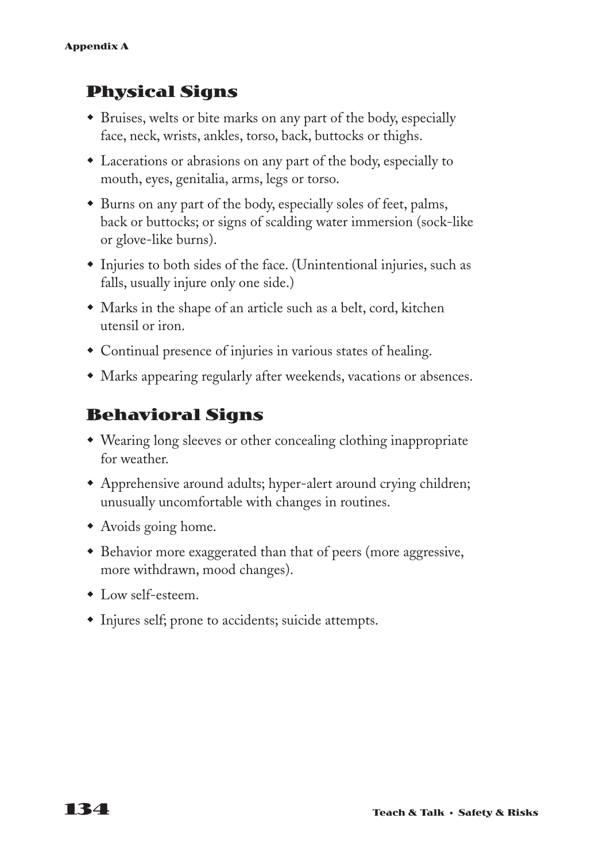## **Physical Signs**

- w Bruises, welts or bite marks on any part of the body, especially face, neck, wrists, ankles, torso, back, buttocks or thighs.
- Lacerations or abrasions on any part of the body, especially to mouth, eyes, genitalia, arms, legs or torso.
- Burns on any part of the body, especially soles of feet, palms, back or buttocks; or signs of scalding water immersion (sock-like or glove-like burns).
- $\bullet$  Injuries to both sides of the face. (Unintentional injuries, such as falls, usually injure only one side.)
- Marks in the shape of an article such as a belt, cord, kitchen utensil or iron.
- Continual presence of injuries in various states of healing.
- Marks appearing regularly after weekends, vacations or absences.

### **Behavioral Signs**

- Wearing long sleeves or other concealing clothing inappropriate for weather.
- Apprehensive around adults; hyper-alert around crying children; unusually uncomfortable with changes in routines.
- Avoids going home.
- Behavior more exaggerated than that of peers (more aggressive, more withdrawn, mood changes).
- $\bullet$  Low self-esteem.
- Injures self; prone to accidents; suicide attempts.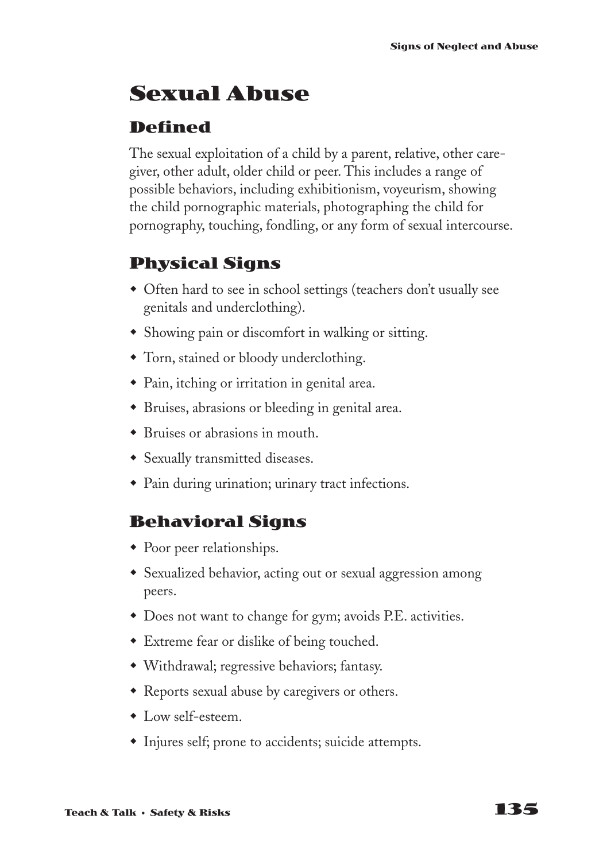## **Sexual Abuse**

### **Defined**

The sexual exploitation of a child by a parent, relative, other caregiver, other adult, older child or peer. This includes a range of possible behaviors, including exhibitionism, voyeurism, showing the child pornographic materials, photographing the child for pornography, touching, fondling, or any form of sexual intercourse.

### **Physical Signs**

- Often hard to see in school settings (teachers don't usually see genitals and underclothing).
- Showing pain or discomfort in walking or sitting.
- Torn, stained or bloody underclothing.
- Pain, itching or irritation in genital area.
- Bruises, abrasions or bleeding in genital area.
- $\bullet$  Bruises or abrasions in mouth.
- Sexually transmitted diseases.
- Pain during urination; urinary tract infections.

### **Behavioral Signs**

- $\bullet$  Poor peer relationships.
- Sexualized behavior, acting out or sexual aggression among peers.
- $\bullet$  Does not want to change for gym; avoids P.E. activities.
- Extreme fear or dislike of being touched.
- w Withdrawal; regressive behaviors; fantasy.
- Reports sexual abuse by caregivers or others.
- $\bullet$  Low self-esteem.
- Injures self; prone to accidents; suicide attempts.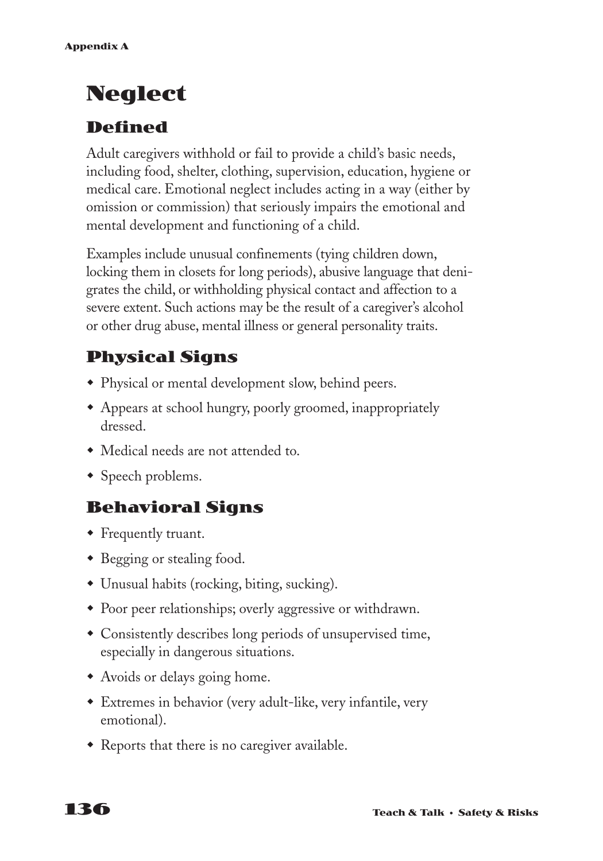## **Neglect**

### **Defined**

Adult caregivers withhold or fail to provide a child's basic needs, including food, shelter, clothing, supervision, education, hygiene or medical care. Emotional neglect includes acting in a way (either by omission or commission) that seriously impairs the emotional and mental development and functioning of a child.

Examples include unusual confinements (tying children down, locking them in closets for long periods), abusive language that denigrates the child, or withholding physical contact and affection to a severe extent. Such actions may be the result of a caregiver's alcohol or other drug abuse, mental illness or general personality traits.

## **Physical Signs**

- Physical or mental development slow, behind peers.
- Appears at school hungry, poorly groomed, inappropriately dressed.
- Medical needs are not attended to.
- Speech problems.

## **Behavioral Signs**

- Frequently truant.
- Begging or stealing food.
- Unusual habits (rocking, biting, sucking).
- Poor peer relationships; overly aggressive or withdrawn.
- Consistently describes long periods of unsupervised time, especially in dangerous situations.
- Avoids or delays going home.
- \* Extremes in behavior (very adult-like, very infantile, very emotional).
- $\bullet$  Reports that there is no caregiver available.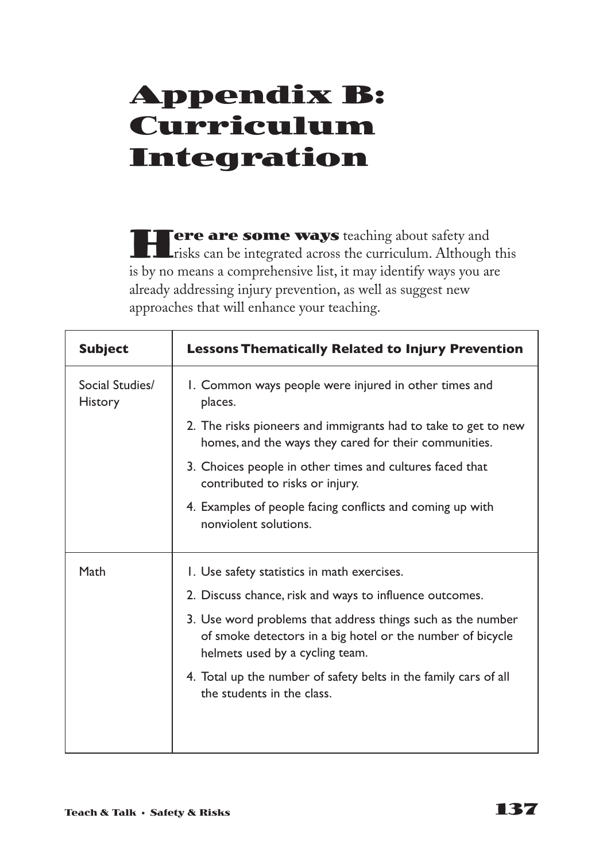# **Appendix B: Curriculum Integration**

**Here are some ways** teaching about safety and risks can be integrated across the curriculum. Although this is by no means a comprehensive list, it may identify ways you are already addressing injury prevention, as well as suggest new approaches that will enhance your teaching.

| <b>Subject</b>                    | <b>Lessons Thematically Related to Injury Prevention</b>                                                                                                     |
|-----------------------------------|--------------------------------------------------------------------------------------------------------------------------------------------------------------|
| Social Studies/<br><b>History</b> | I. Common ways people were injured in other times and<br>places.                                                                                             |
|                                   | 2. The risks pioneers and immigrants had to take to get to new<br>homes, and the ways they cared for their communities.                                      |
|                                   | 3. Choices people in other times and cultures faced that<br>contributed to risks or injury.                                                                  |
|                                   | 4. Examples of people facing conflicts and coming up with<br>nonviolent solutions.                                                                           |
| Math                              | I. Use safety statistics in math exercises.                                                                                                                  |
|                                   | 2. Discuss chance, risk and ways to influence outcomes.                                                                                                      |
|                                   | 3. Use word problems that address things such as the number<br>of smoke detectors in a big hotel or the number of bicycle<br>helmets used by a cycling team. |
|                                   | 4. Total up the number of safety belts in the family cars of all<br>the students in the class.                                                               |
|                                   |                                                                                                                                                              |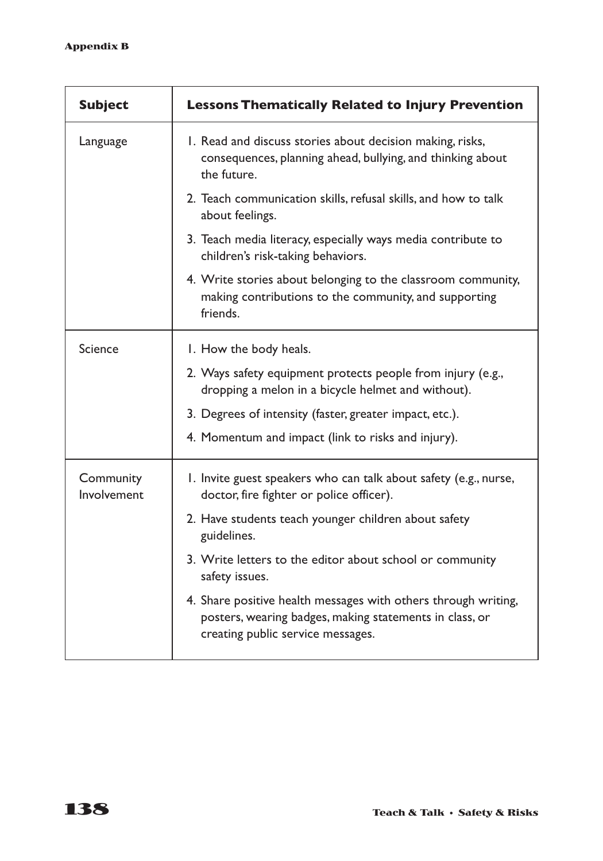| <b>Subject</b>           | <b>Lessons Thematically Related to Injury Prevention</b>                                                                                                       |
|--------------------------|----------------------------------------------------------------------------------------------------------------------------------------------------------------|
| Language                 | I. Read and discuss stories about decision making, risks,<br>consequences, planning ahead, bullying, and thinking about<br>the future.                         |
|                          | 2. Teach communication skills, refusal skills, and how to talk<br>about feelings.                                                                              |
|                          | 3. Teach media literacy, especially ways media contribute to<br>children's risk-taking behaviors.                                                              |
|                          | 4. Write stories about belonging to the classroom community,<br>making contributions to the community, and supporting<br>friends.                              |
| Science                  | I. How the body heals.                                                                                                                                         |
|                          | 2. Ways safety equipment protects people from injury (e.g.,<br>dropping a melon in a bicycle helmet and without).                                              |
|                          | 3. Degrees of intensity (faster, greater impact, etc.).                                                                                                        |
|                          | 4. Momentum and impact (link to risks and injury).                                                                                                             |
| Community<br>Involvement | I. Invite guest speakers who can talk about safety (e.g., nurse,<br>doctor, fire fighter or police officer).                                                   |
|                          | 2. Have students teach younger children about safety<br>guidelines.                                                                                            |
|                          | 3. Write letters to the editor about school or community<br>safety issues.                                                                                     |
|                          | 4. Share positive health messages with others through writing,<br>posters, wearing badges, making statements in class, or<br>creating public service messages. |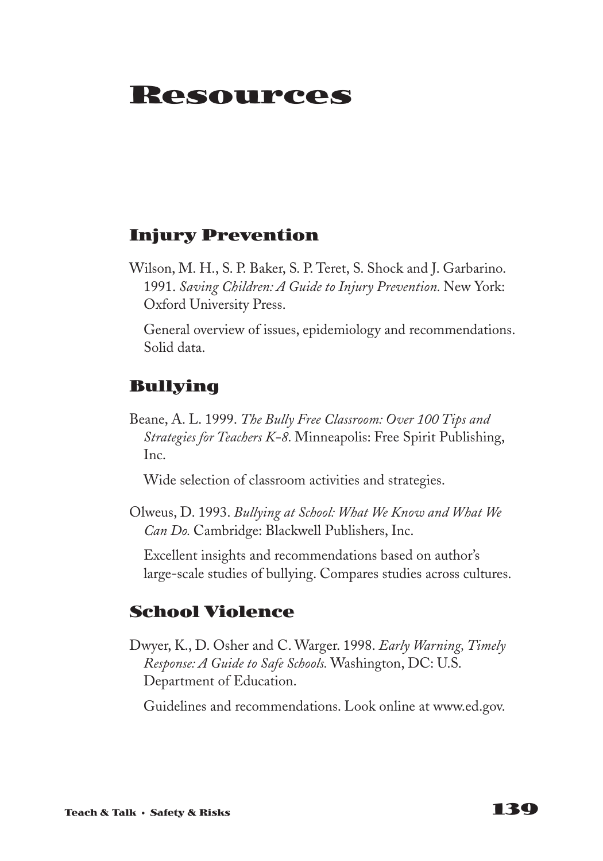# **Resources**

# **Injury Prevention**

Wilson, M. H., S. P. Baker, S. P. Teret, S. Shock and J. Garbarino. 1991. *Saving Children: A Guide to Injury Prevention.* New York: Oxford University Press.

General overview of issues, epidemiology and recommendations. Solid data.

# **Bullying**

Beane, A. L. 1999. *The Bully Free Classroom: Over 100 Tips and Strategies for Teachers K-8.* Minneapolis: Free Spirit Publishing, Inc.

Wide selection of classroom activities and strategies.

Olweus, D. 1993. *Bullying at School: What We Know and What We Can Do.* Cambridge: Blackwell Publishers, Inc.

Excellent insights and recommendations based on author's large-scale studies of bullying. Compares studies across cultures.

## **School Violence**

Dwyer, K., D. Osher and C. Warger. 1998. *Early Warning, Timely Response: A Guide to Safe Schools.* Washington, DC: U.S. Department of Education.

Guidelines and recommendations. Look online at www.ed.gov.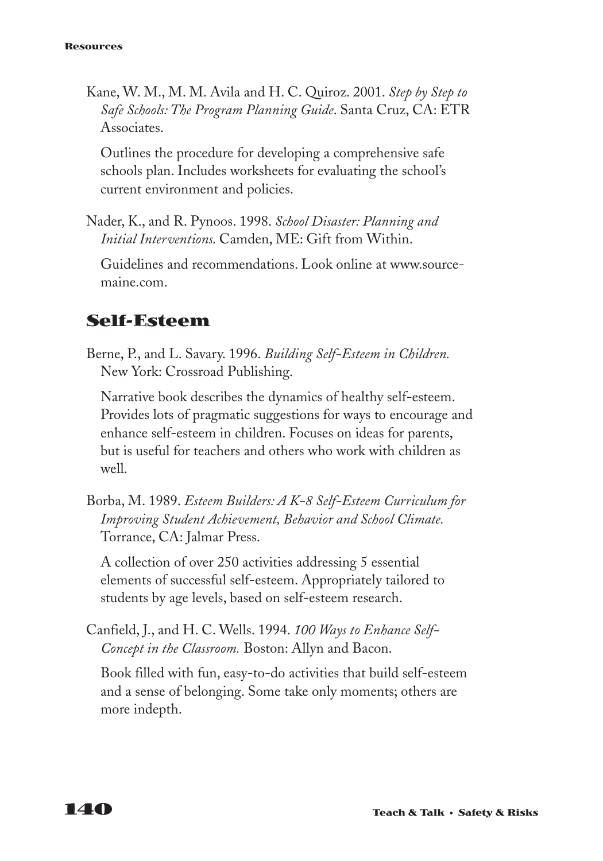Kane, W. M., M. M. Avila and H. C. Quiroz. 2001. *Step by Step to Safe Schools: The Program Planning Guide*. Santa Cruz, CA: ETR Associates.

Outlines the procedure for developing a comprehensive safe schools plan. Includes worksheets for evaluating the school's current environment and policies.

Nader, K., and R. Pynoos. 1998. *School Disaster: Planning and Initial Interventions.* Camden, ME: Gift from Within.

Guidelines and recommendations. Look online at www.sourcemaine.com.

# **Self-Esteem**

Berne, P., and L. Savary. 1996. *Building Self-Esteem in Children.* New York: Crossroad Publishing.

Narrative book describes the dynamics of healthy self-esteem. Provides lots of pragmatic suggestions for ways to encourage and enhance self-esteem in children. Focuses on ideas for parents, but is useful for teachers and others who work with children as well.

Borba, M. 1989. *Esteem Builders: A K-8 Self-Esteem Curriculum for Improving Student Achievement, Behavior and School Climate.* Torrance, CA: Jalmar Press.

A collection of over 250 activities addressing 5 essential elements of successful self-esteem. Appropriately tailored to students by age levels, based on self-esteem research.

Canfield, J., and H. C. Wells. 1994. *100 Ways to Enhance Self-Concept in the Classroom.* Boston: Allyn and Bacon.

Book filled with fun, easy-to-do activities that build self-esteem and a sense of belonging. Some take only moments; others are more indepth.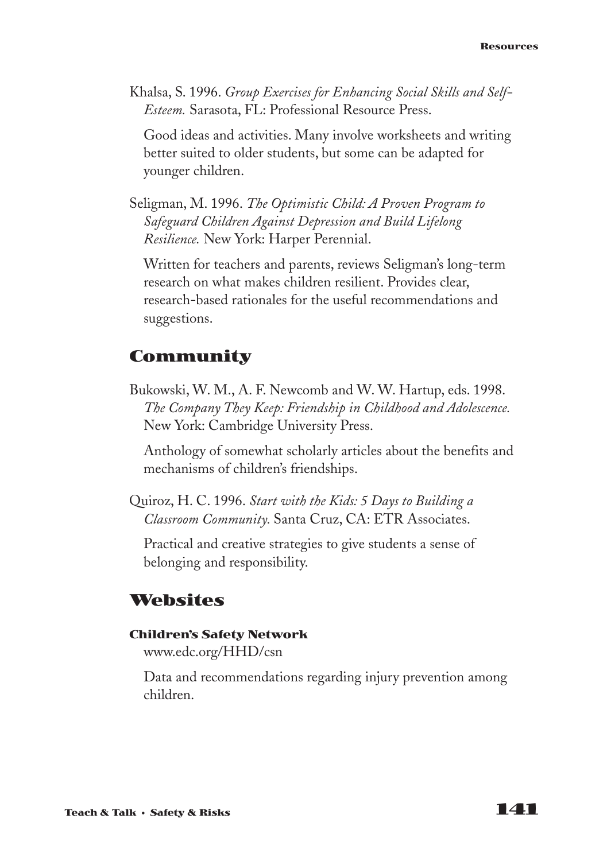Khalsa, S. 1996. *Group Exercises for Enhancing Social Skills and Self-Esteem.* Sarasota, FL: Professional Resource Press.

Good ideas and activities. Many involve worksheets and writing better suited to older students, but some can be adapted for younger children.

Seligman, M. 1996. *The Optimistic Child: A Proven Program to Safeguard Children Against Depression and Build Lifelong Resilience.* New York: Harper Perennial.

Written for teachers and parents, reviews Seligman's long-term research on what makes children resilient. Provides clear, research-based rationales for the useful recommendations and suggestions.

# **Community**

Bukowski, W. M., A. F. Newcomb and W. W. Hartup, eds. 1998. *The Company They Keep: Friendship in Childhood and Adolescence.* New York: Cambridge University Press.

Anthology of somewhat scholarly articles about the benefits and mechanisms of children's friendships.

Quiroz, H. C. 1996. *Start with the Kids: 5 Days to Building a Classroom Community.* Santa Cruz, CA: ETR Associates.

Practical and creative strategies to give students a sense of belonging and responsibility.

## **Websites**

### **Children's Safety Network**

www.edc.org/HHD/csn

Data and recommendations regarding injury prevention among children.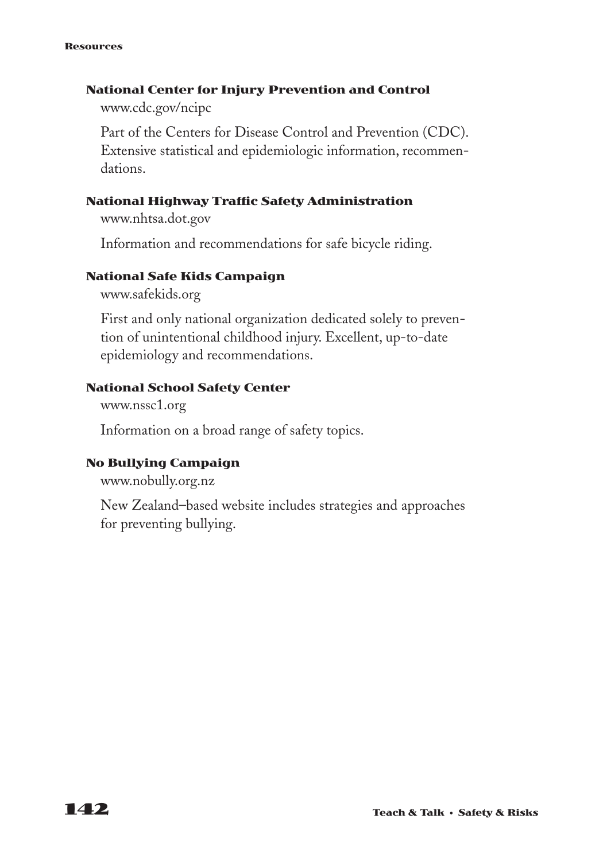#### **Resources**

### **National Center for Injury Prevention and Control**

www.cdc.gov/ncipc

Part of the Centers for Disease Control and Prevention (CDC). Extensive statistical and epidemiologic information, recommendations.

### **National Highway Traffic Safety Administration**

www.nhtsa.dot.gov

Information and recommendations for safe bicycle riding.

### **National Safe Kids Campaign**

www.safekids.org

First and only national organization dedicated solely to prevention of unintentional childhood injury. Excellent, up-to-date epidemiology and recommendations.

### **National School Safety Center**

www.nssc1.org

Information on a broad range of safety topics.

### **No Bullying Campaign**

www.nobully.org.nz

New Zealand–based website includes strategies and approaches for preventing bullying.